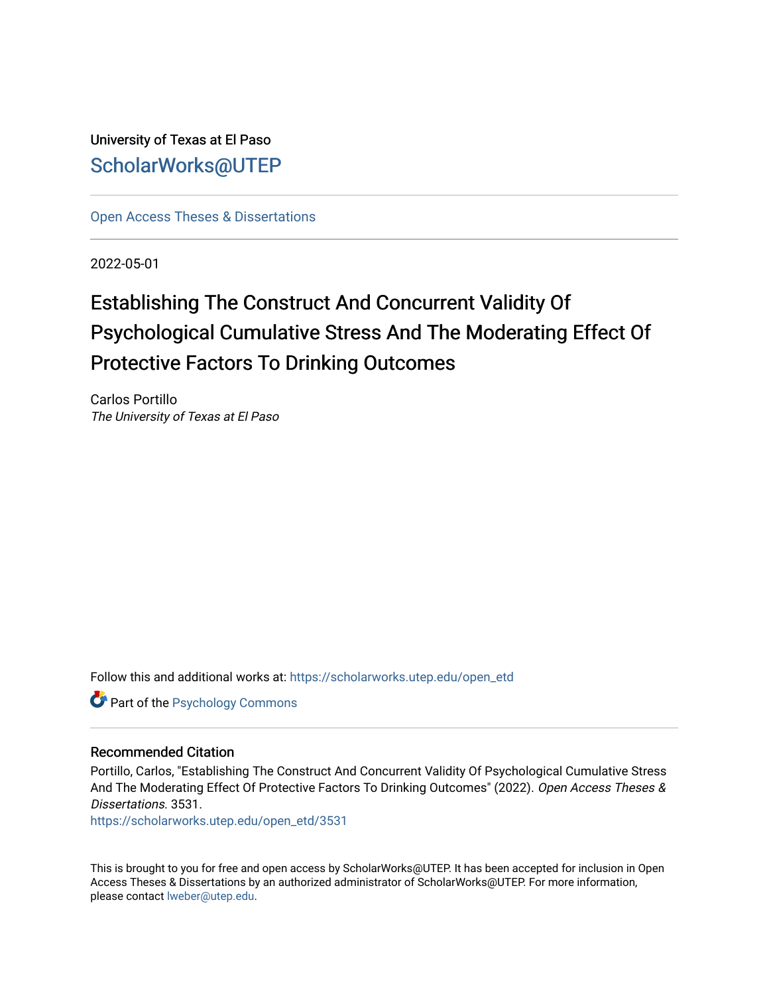University of Texas at El Paso [ScholarWorks@UTEP](https://scholarworks.utep.edu/)

[Open Access Theses & Dissertations](https://scholarworks.utep.edu/open_etd) 

2022-05-01

## Establishing The Construct And Concurrent Validity Of Psychological Cumulative Stress And The Moderating Effect Of Protective Factors To Drinking Outcomes

Carlos Portillo The University of Texas at El Paso

Follow this and additional works at: [https://scholarworks.utep.edu/open\\_etd](https://scholarworks.utep.edu/open_etd?utm_source=scholarworks.utep.edu%2Fopen_etd%2F3531&utm_medium=PDF&utm_campaign=PDFCoverPages)

Part of the [Psychology Commons](https://network.bepress.com/hgg/discipline/404?utm_source=scholarworks.utep.edu%2Fopen_etd%2F3531&utm_medium=PDF&utm_campaign=PDFCoverPages) 

#### Recommended Citation

Portillo, Carlos, "Establishing The Construct And Concurrent Validity Of Psychological Cumulative Stress And The Moderating Effect Of Protective Factors To Drinking Outcomes" (2022). Open Access Theses & Dissertations. 3531.

[https://scholarworks.utep.edu/open\\_etd/3531](https://scholarworks.utep.edu/open_etd/3531?utm_source=scholarworks.utep.edu%2Fopen_etd%2F3531&utm_medium=PDF&utm_campaign=PDFCoverPages) 

This is brought to you for free and open access by ScholarWorks@UTEP. It has been accepted for inclusion in Open Access Theses & Dissertations by an authorized administrator of ScholarWorks@UTEP. For more information, please contact [lweber@utep.edu.](mailto:lweber@utep.edu)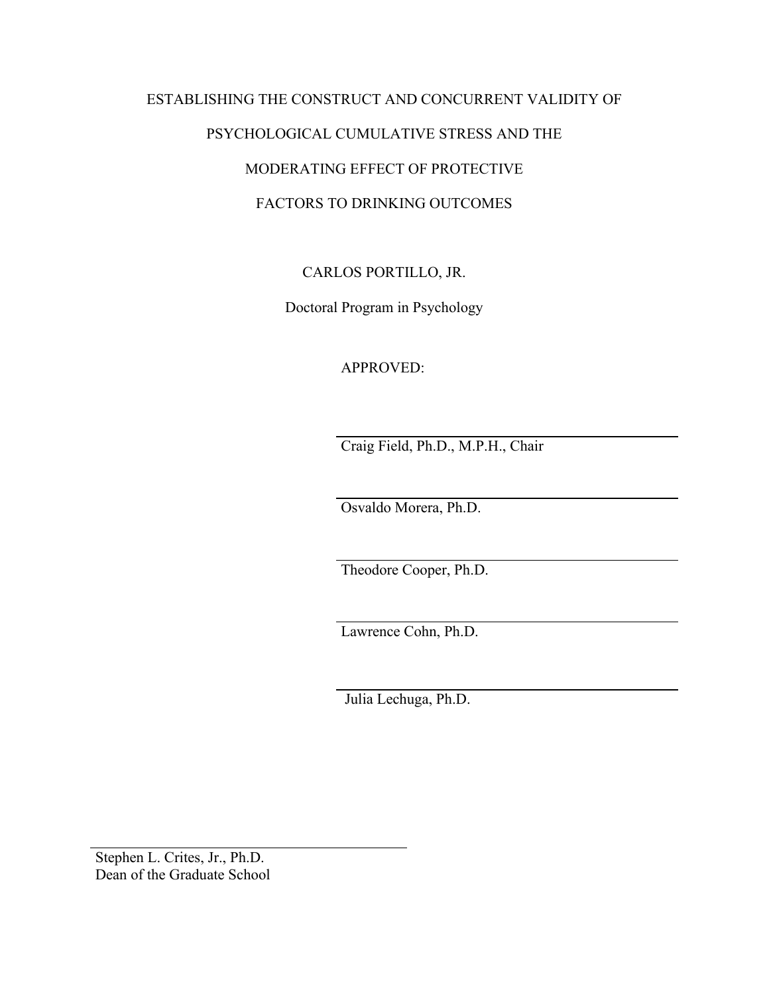## ESTABLISHING THE CONSTRUCT AND CONCURRENT VALIDITY OF PSYCHOLOGICAL CUMULATIVE STRESS AND THE MODERATING EFFECT OF PROTECTIVE FACTORS TO DRINKING OUTCOMES

## CARLOS PORTILLO, JR.

Doctoral Program in Psychology

### APPROVED:

Craig Field, Ph.D., M.P.H., Chair

Osvaldo Morera, Ph.D.

Theodore Cooper, Ph.D.

Lawrence Cohn, Ph.D.

Julia Lechuga, Ph.D.

Stephen L. Crites, Jr., Ph.D. Dean of the Graduate School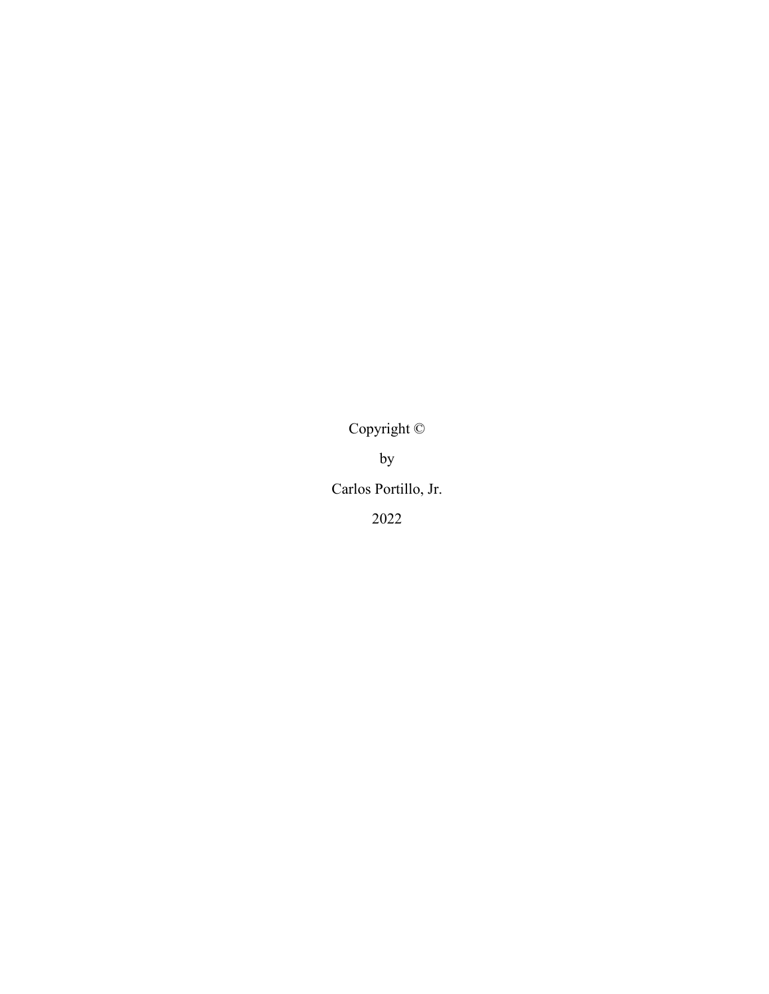Copyright ©

by

Carlos Portillo, Jr.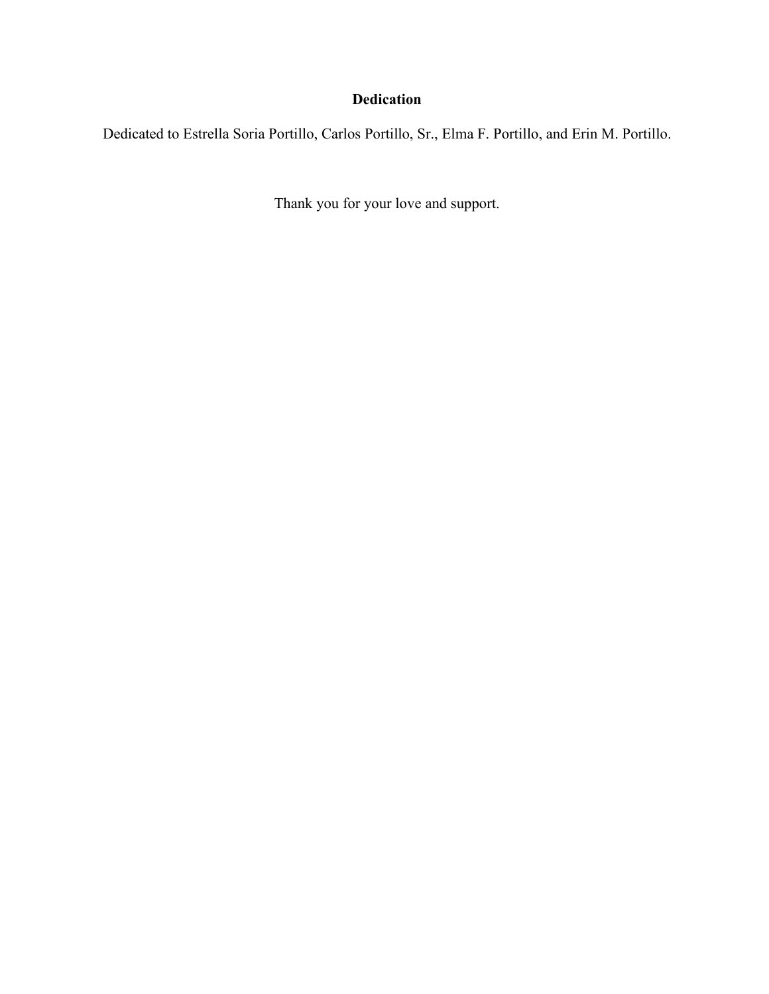## **Dedication**

Dedicated to Estrella Soria Portillo, Carlos Portillo, Sr., Elma F. Portillo, and Erin M. Portillo.

Thank you for your love and support.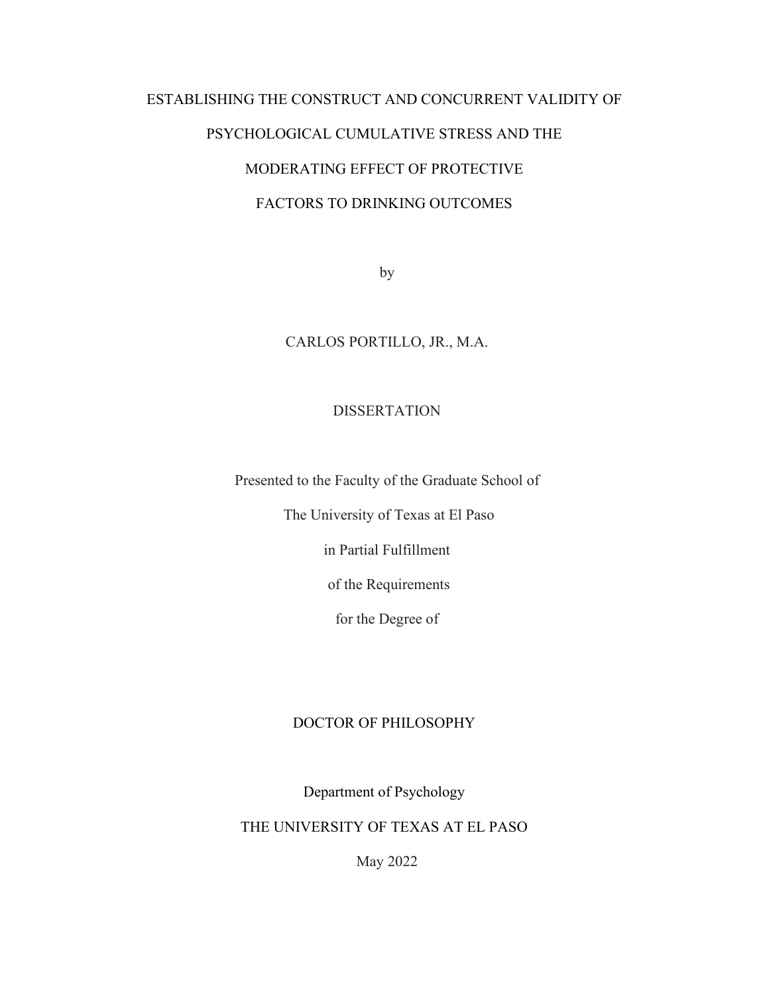# ESTABLISHING THE CONSTRUCT AND CONCURRENT VALIDITY OF PSYCHOLOGICAL CUMULATIVE STRESS AND THE MODERATING EFFECT OF PROTECTIVE FACTORS TO DRINKING OUTCOMES

by

### CARLOS PORTILLO, JR., M.A.

#### **DISSERTATION**

Presented to the Faculty of the Graduate School of

The University of Texas at El Paso

in Partial Fulfillment

of the Requirements

for the Degree of

#### DOCTOR OF PHILOSOPHY

Department of Psychology

THE UNIVERSITY OF TEXAS AT EL PASO

May 2022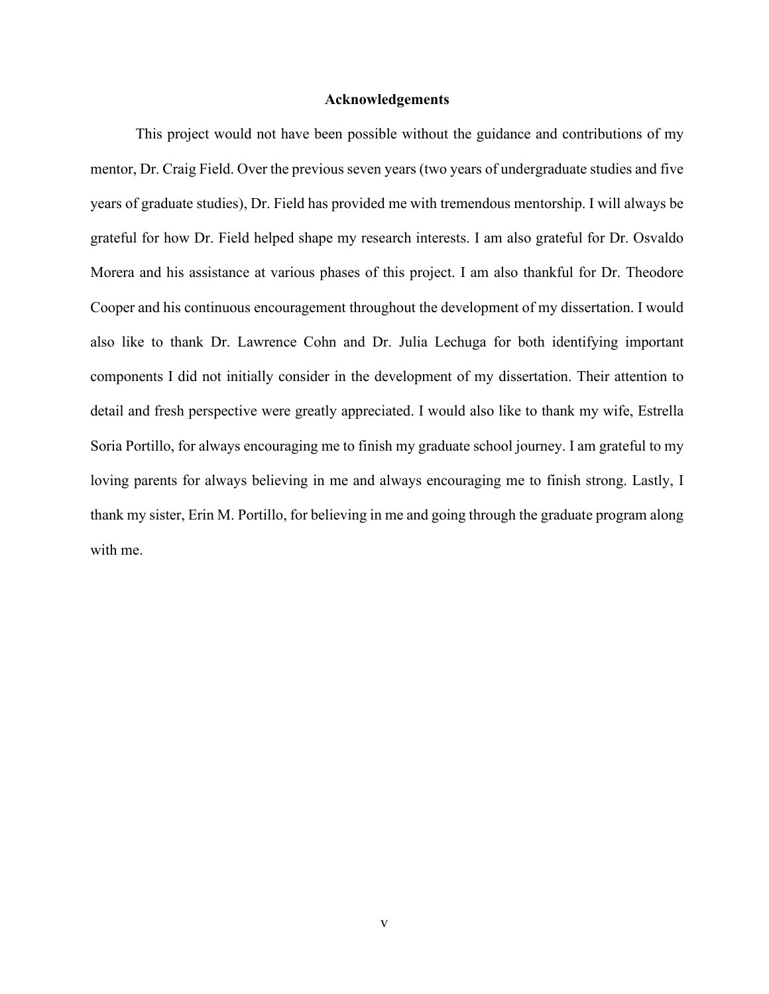#### **Acknowledgements**

<span id="page-5-0"></span>This project would not have been possible without the guidance and contributions of my mentor, Dr. Craig Field. Over the previous seven years (two years of undergraduate studies and five years of graduate studies), Dr. Field has provided me with tremendous mentorship. I will always be grateful for how Dr. Field helped shape my research interests. I am also grateful for Dr. Osvaldo Morera and his assistance at various phases of this project. I am also thankful for Dr. Theodore Cooper and his continuous encouragement throughout the development of my dissertation. I would also like to thank Dr. Lawrence Cohn and Dr. Julia Lechuga for both identifying important components I did not initially consider in the development of my dissertation. Their attention to detail and fresh perspective were greatly appreciated. I would also like to thank my wife, Estrella Soria Portillo, for always encouraging me to finish my graduate school journey. I am grateful to my loving parents for always believing in me and always encouraging me to finish strong. Lastly, I thank my sister, Erin M. Portillo, for believing in me and going through the graduate program along with me.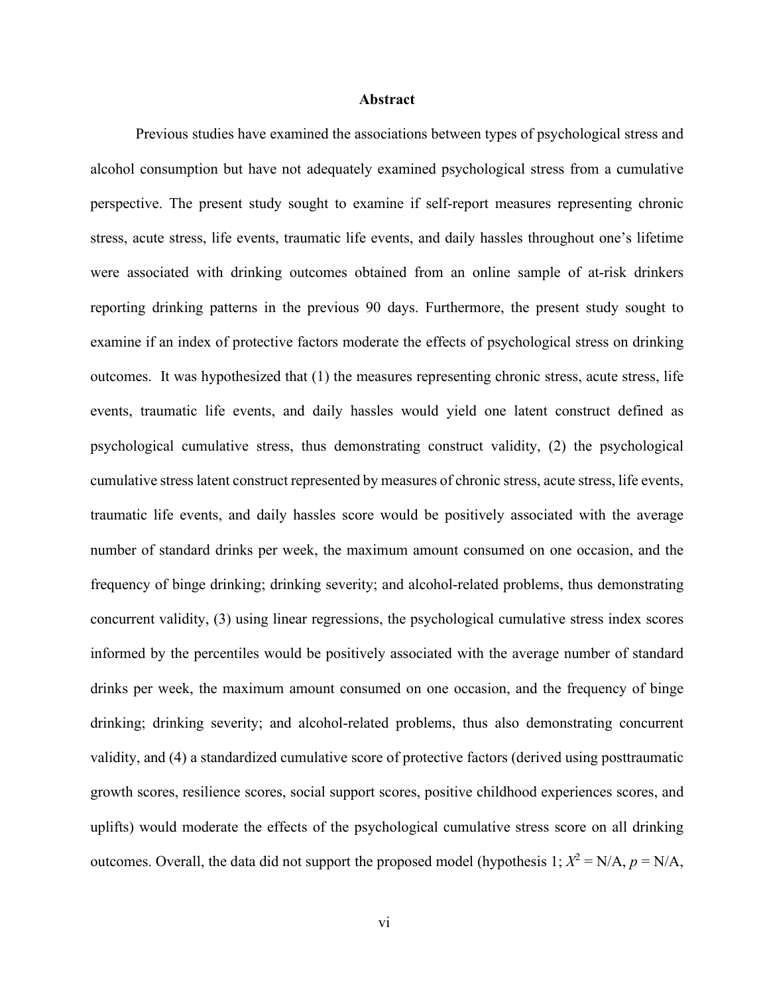#### **Abstract**

<span id="page-6-0"></span>Previous studies have examined the associations between types of psychological stress and alcohol consumption but have not adequately examined psychological stress from a cumulative perspective. The present study sought to examine if self-report measures representing chronic stress, acute stress, life events, traumatic life events, and daily hassles throughout one's lifetime were associated with drinking outcomes obtained from an online sample of at-risk drinkers reporting drinking patterns in the previous 90 days. Furthermore, the present study sought to examine if an index of protective factors moderate the effects of psychological stress on drinking outcomes. It was hypothesized that (1) the measures representing chronic stress, acute stress, life events, traumatic life events, and daily hassles would yield one latent construct defined as psychological cumulative stress, thus demonstrating construct validity, (2) the psychological cumulative stress latent construct represented by measures of chronic stress, acute stress, life events, traumatic life events, and daily hassles score would be positively associated with the average number of standard drinks per week, the maximum amount consumed on one occasion, and the frequency of binge drinking; drinking severity; and alcohol-related problems, thus demonstrating concurrent validity, (3) using linear regressions, the psychological cumulative stress index scores informed by the percentiles would be positively associated with the average number of standard drinks per week, the maximum amount consumed on one occasion, and the frequency of binge drinking; drinking severity; and alcohol-related problems, thus also demonstrating concurrent validity, and (4) a standardized cumulative score of protective factors (derived using posttraumatic growth scores, resilience scores, social support scores, positive childhood experiences scores, and uplifts) would moderate the effects of the psychological cumulative stress score on all drinking outcomes. Overall, the data did not support the proposed model (hypothesis 1;  $X^2 = N/A$ ,  $p = N/A$ ,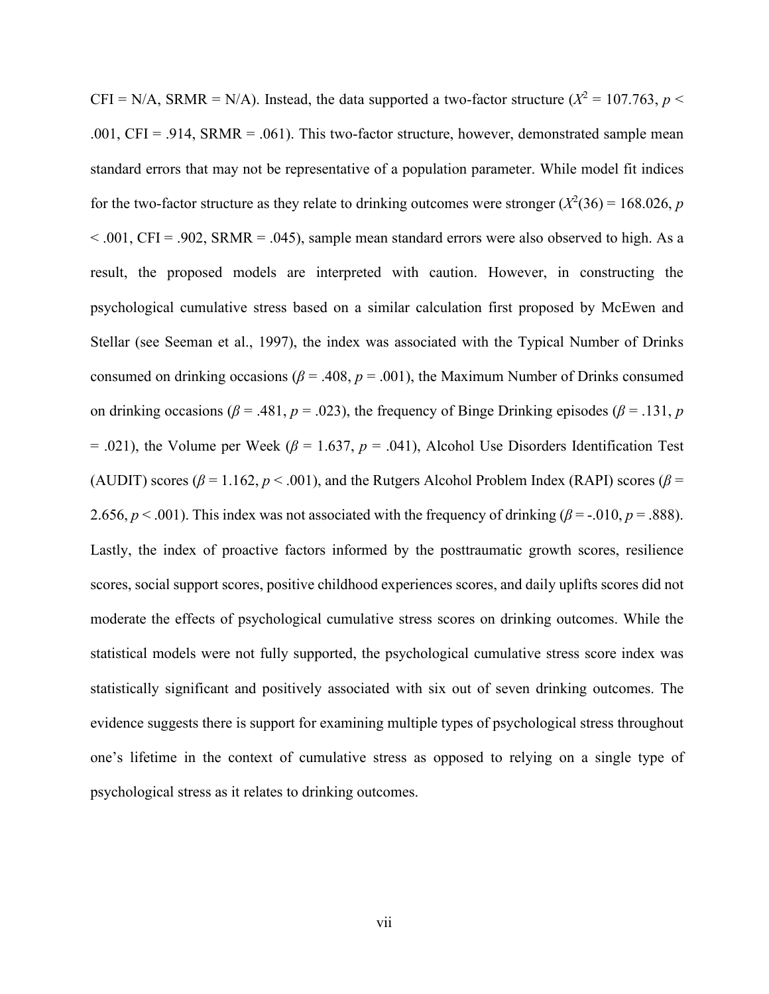CFI = N/A, SRMR = N/A). Instead, the data supported a two-factor structure ( $X^2 = 107.763$ ,  $p <$ .001, CFI = .914, SRMR = .061). This two-factor structure, however, demonstrated sample mean standard errors that may not be representative of a population parameter. While model fit indices for the two-factor structure as they relate to drinking outcomes were stronger  $(X^2(36) = 168.026, p$  $< .001$ , CFI = .902, SRMR = .045), sample mean standard errors were also observed to high. As a result, the proposed models are interpreted with caution. However, in constructing the psychological cumulative stress based on a similar calculation first proposed by McEwen and Stellar (see Seeman et al., 1997), the index was associated with the Typical Number of Drinks consumed on drinking occasions ( $\beta$  = .408,  $p$  = .001), the Maximum Number of Drinks consumed on drinking occasions ( $\beta$  = .481,  $p$  = .023), the frequency of Binge Drinking episodes ( $\beta$  = .131,  $p$  $= .021$ ), the Volume per Week ( $\beta = 1.637$ ,  $p = .041$ ), Alcohol Use Disorders Identification Test (AUDIT) scores ( $\beta$  = 1.162,  $p$  < .001), and the Rutgers Alcohol Problem Index (RAPI) scores ( $\beta$  = 2.656,  $p < .001$ ). This index was not associated with the frequency of drinking ( $\beta$  = -.010,  $p = .888$ ). Lastly, the index of proactive factors informed by the posttraumatic growth scores, resilience scores, social support scores, positive childhood experiences scores, and daily uplifts scores did not moderate the effects of psychological cumulative stress scores on drinking outcomes. While the statistical models were not fully supported, the psychological cumulative stress score index was statistically significant and positively associated with six out of seven drinking outcomes. The evidence suggests there is support for examining multiple types of psychological stress throughout one's lifetime in the context of cumulative stress as opposed to relying on a single type of psychological stress as it relates to drinking outcomes.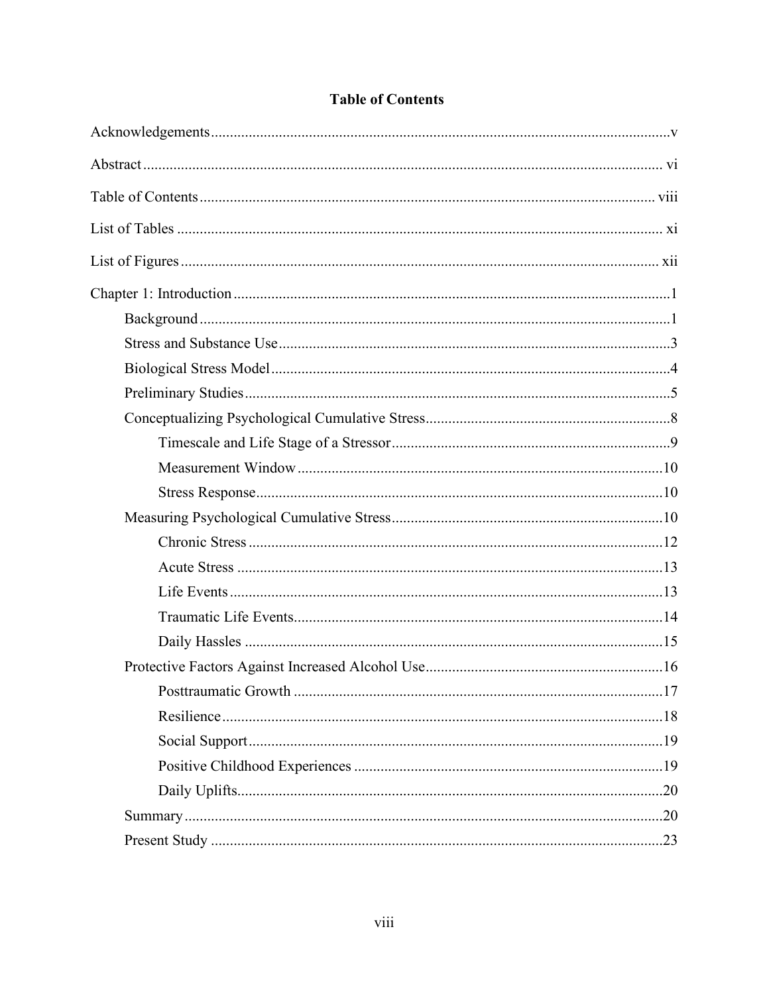<span id="page-8-0"></span>

## **Table of Contents**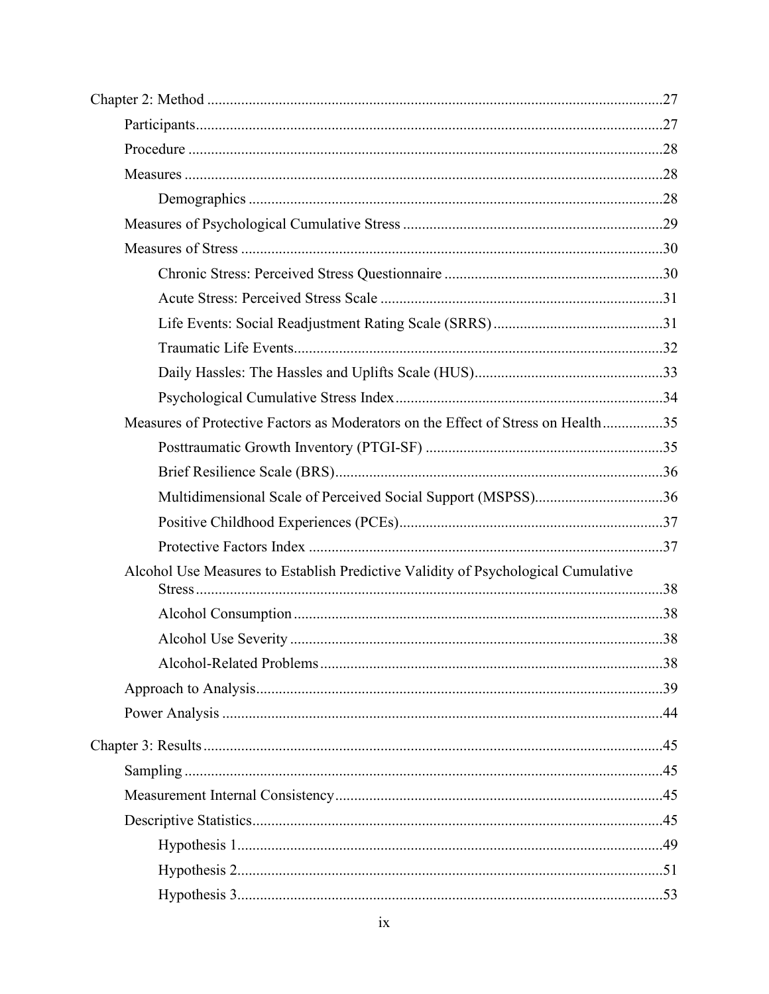| Measures of Protective Factors as Moderators on the Effect of Stress on Health35  |  |
|-----------------------------------------------------------------------------------|--|
|                                                                                   |  |
|                                                                                   |  |
| Multidimensional Scale of Perceived Social Support (MSPSS)36                      |  |
|                                                                                   |  |
|                                                                                   |  |
| Alcohol Use Measures to Establish Predictive Validity of Psychological Cumulative |  |
|                                                                                   |  |
|                                                                                   |  |
|                                                                                   |  |
|                                                                                   |  |
|                                                                                   |  |
|                                                                                   |  |
|                                                                                   |  |
|                                                                                   |  |
|                                                                                   |  |
|                                                                                   |  |
|                                                                                   |  |
|                                                                                   |  |
|                                                                                   |  |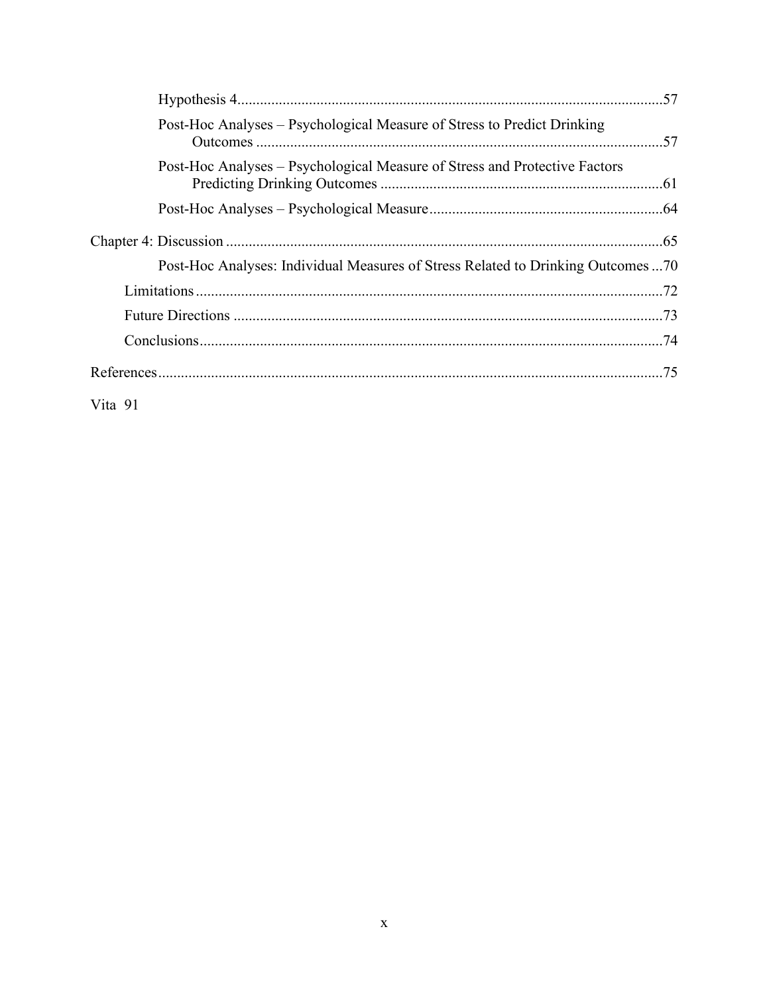| Post-Hoc Analyses – Psychological Measure of Stress to Predict Drinking    |                                                                                 |
|----------------------------------------------------------------------------|---------------------------------------------------------------------------------|
| Post-Hoc Analyses – Psychological Measure of Stress and Protective Factors |                                                                                 |
|                                                                            |                                                                                 |
|                                                                            |                                                                                 |
|                                                                            | Post-Hoc Analyses: Individual Measures of Stress Related to Drinking Outcomes70 |
|                                                                            |                                                                                 |
|                                                                            |                                                                                 |
|                                                                            |                                                                                 |
|                                                                            |                                                                                 |

Vita 91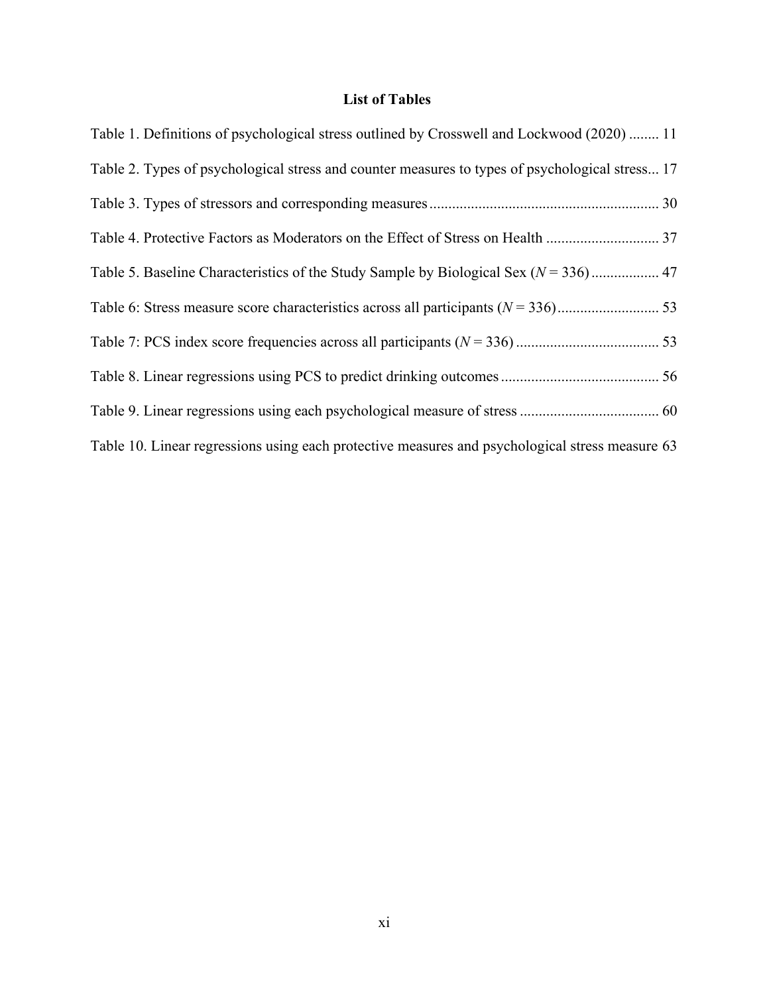## **List of Tables**

<span id="page-11-0"></span>

| Table 1. Definitions of psychological stress outlined by Crosswell and Lockwood (2020)  11      |
|-------------------------------------------------------------------------------------------------|
| Table 2. Types of psychological stress and counter measures to types of psychological stress 17 |
|                                                                                                 |
| Table 4. Protective Factors as Moderators on the Effect of Stress on Health  37                 |
|                                                                                                 |
|                                                                                                 |
|                                                                                                 |
|                                                                                                 |
|                                                                                                 |
| Table 10. Linear regressions using each protective measures and psychological stress measure 63 |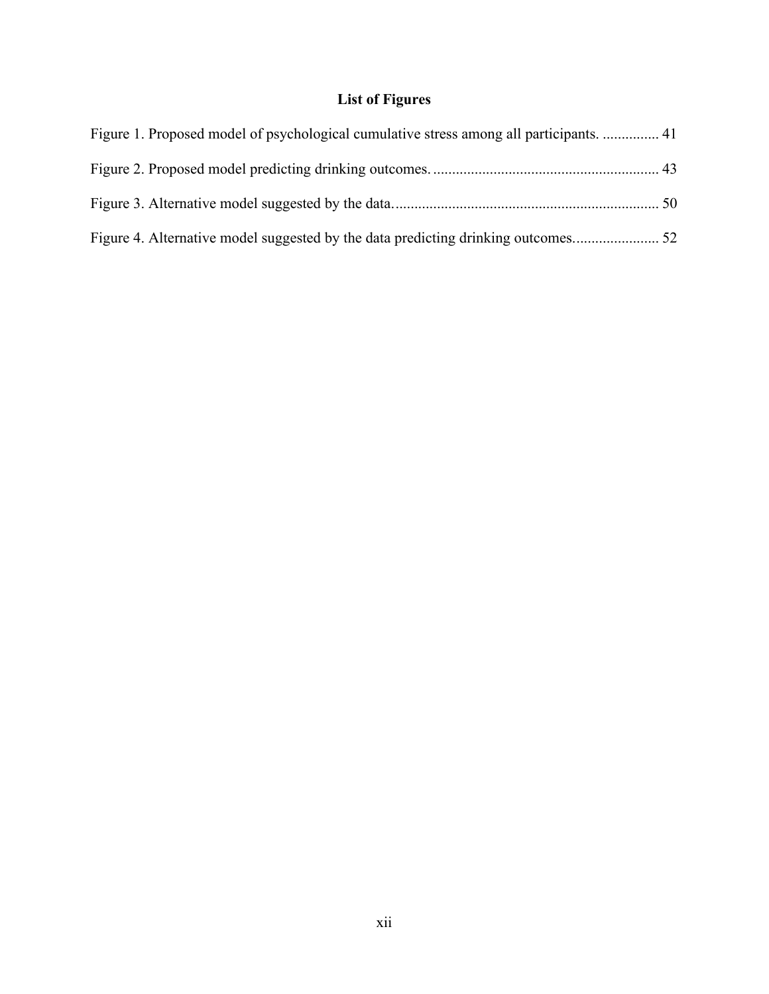## **List of Figures**

<span id="page-12-0"></span>

| Figure 1. Proposed model of psychological cumulative stress among all participants.  41 |  |
|-----------------------------------------------------------------------------------------|--|
|                                                                                         |  |
|                                                                                         |  |
|                                                                                         |  |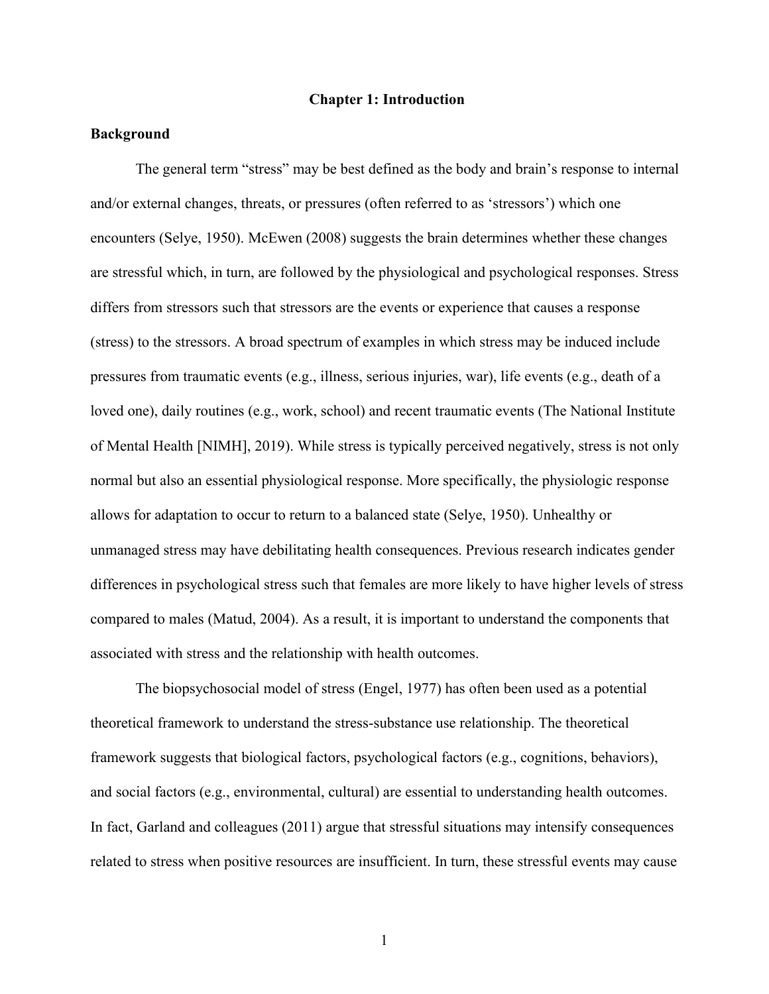#### **Chapter 1: Introduction**

#### <span id="page-13-1"></span><span id="page-13-0"></span>**Background**

The general term "stress" may be best defined as the body and brain's response to internal and/or external changes, threats, or pressures (often referred to as 'stressors') which one encounters (Selye, 1950). McEwen (2008) suggests the brain determines whether these changes are stressful which, in turn, are followed by the physiological and psychological responses. Stress differs from stressors such that stressors are the events or experience that causes a response (stress) to the stressors. A broad spectrum of examples in which stress may be induced include pressures from traumatic events (e.g., illness, serious injuries, war), life events (e.g., death of a loved one), daily routines (e.g., work, school) and recent traumatic events (The National Institute of Mental Health [NIMH], 2019). While stress is typically perceived negatively, stress is not only normal but also an essential physiological response. More specifically, the physiologic response allows for adaptation to occur to return to a balanced state (Selye, 1950). Unhealthy or unmanaged stress may have debilitating health consequences. Previous research indicates gender differences in psychological stress such that females are more likely to have higher levels of stress compared to males (Matud, 2004). As a result, it is important to understand the components that associated with stress and the relationship with health outcomes.

The biopsychosocial model of stress (Engel, 1977) has often been used as a potential theoretical framework to understand the stress-substance use relationship. The theoretical framework suggests that biological factors, psychological factors (e.g., cognitions, behaviors), and social factors (e.g., environmental, cultural) are essential to understanding health outcomes. In fact, Garland and colleagues (2011) argue that stressful situations may intensify consequences related to stress when positive resources are insufficient. In turn, these stressful events may cause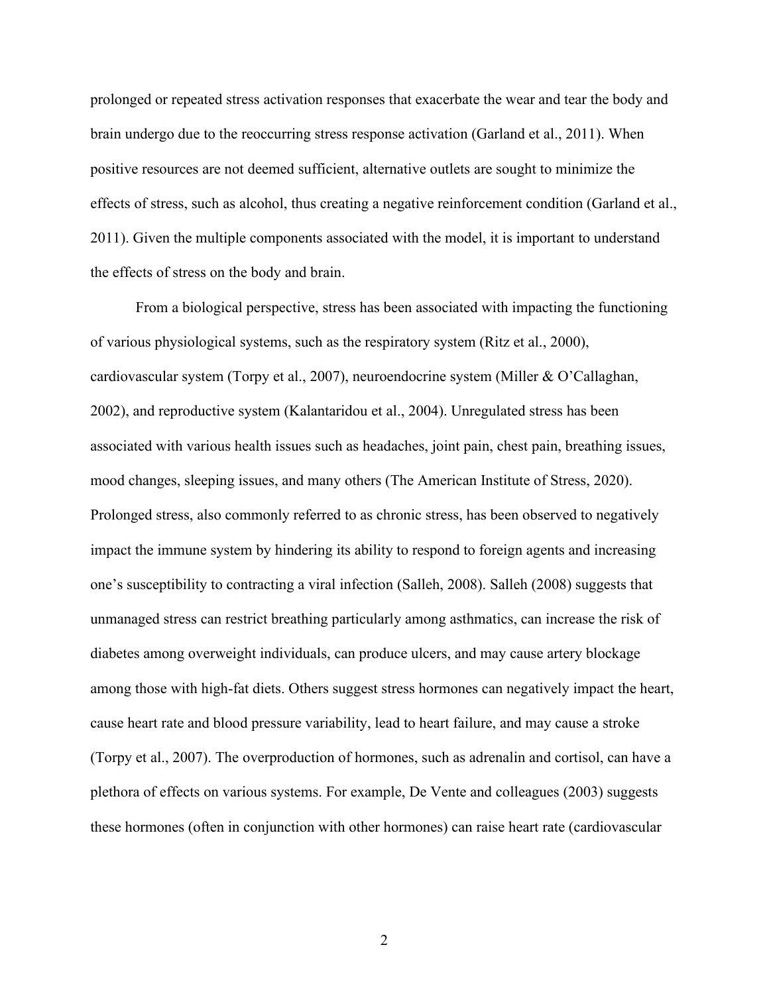prolonged or repeated stress activation responses that exacerbate the wear and tear the body and brain undergo due to the reoccurring stress response activation (Garland et al., 2011). When positive resources are not deemed sufficient, alternative outlets are sought to minimize the effects of stress, such as alcohol, thus creating a negative reinforcement condition (Garland et al., 2011). Given the multiple components associated with the model, it is important to understand the effects of stress on the body and brain.

From a biological perspective, stress has been associated with impacting the functioning of various physiological systems, such as the respiratory system (Ritz et al., 2000), cardiovascular system (Torpy et al., 2007), neuroendocrine system (Miller & O'Callaghan, 2002), and reproductive system (Kalantaridou et al., 2004). Unregulated stress has been associated with various health issues such as headaches, joint pain, chest pain, breathing issues, mood changes, sleeping issues, and many others (The American Institute of Stress, 2020). Prolonged stress, also commonly referred to as chronic stress, has been observed to negatively impact the immune system by hindering its ability to respond to foreign agents and increasing one's susceptibility to contracting a viral infection (Salleh, 2008). Salleh (2008) suggests that unmanaged stress can restrict breathing particularly among asthmatics, can increase the risk of diabetes among overweight individuals, can produce ulcers, and may cause artery blockage among those with high-fat diets. Others suggest stress hormones can negatively impact the heart, cause heart rate and blood pressure variability, lead to heart failure, and may cause a stroke (Torpy et al., 2007). The overproduction of hormones, such as adrenalin and cortisol, can have a plethora of effects on various systems. For example, De Vente and colleagues (2003) suggests these hormones (often in conjunction with other hormones) can raise heart rate (cardiovascular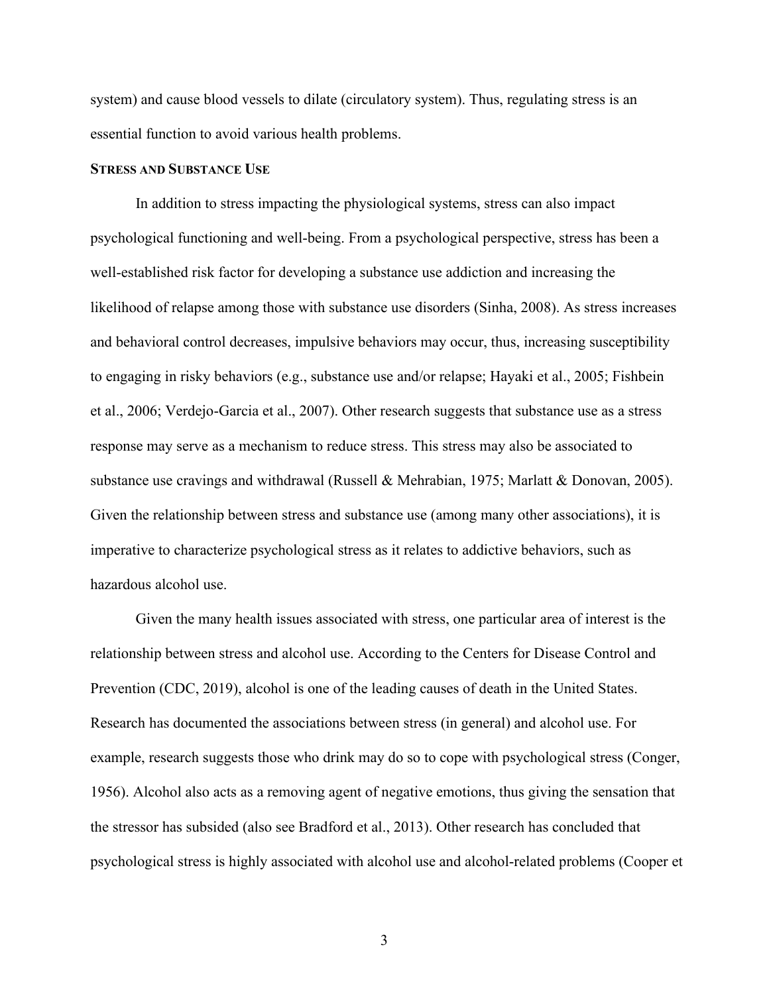system) and cause blood vessels to dilate (circulatory system). Thus, regulating stress is an essential function to avoid various health problems.

#### <span id="page-15-0"></span>**STRESS AND SUBSTANCE USE**

In addition to stress impacting the physiological systems, stress can also impact psychological functioning and well-being. From a psychological perspective, stress has been a well-established risk factor for developing a substance use addiction and increasing the likelihood of relapse among those with substance use disorders (Sinha, 2008). As stress increases and behavioral control decreases, impulsive behaviors may occur, thus, increasing susceptibility to engaging in risky behaviors (e.g., substance use and/or relapse; Hayaki et al., 2005; Fishbein et al., 2006; Verdejo-Garcia et al., 2007). Other research suggests that substance use as a stress response may serve as a mechanism to reduce stress. This stress may also be associated to substance use cravings and withdrawal (Russell & Mehrabian, 1975; Marlatt & Donovan, 2005). Given the relationship between stress and substance use (among many other associations), it is imperative to characterize psychological stress as it relates to addictive behaviors, such as hazardous alcohol use.

Given the many health issues associated with stress, one particular area of interest is the relationship between stress and alcohol use. According to the Centers for Disease Control and Prevention (CDC, 2019), alcohol is one of the leading causes of death in the United States. Research has documented the associations between stress (in general) and alcohol use. For example, research suggests those who drink may do so to cope with psychological stress (Conger, 1956). Alcohol also acts as a removing agent of negative emotions, thus giving the sensation that the stressor has subsided (also see Bradford et al., 2013). Other research has concluded that psychological stress is highly associated with alcohol use and alcohol-related problems (Cooper et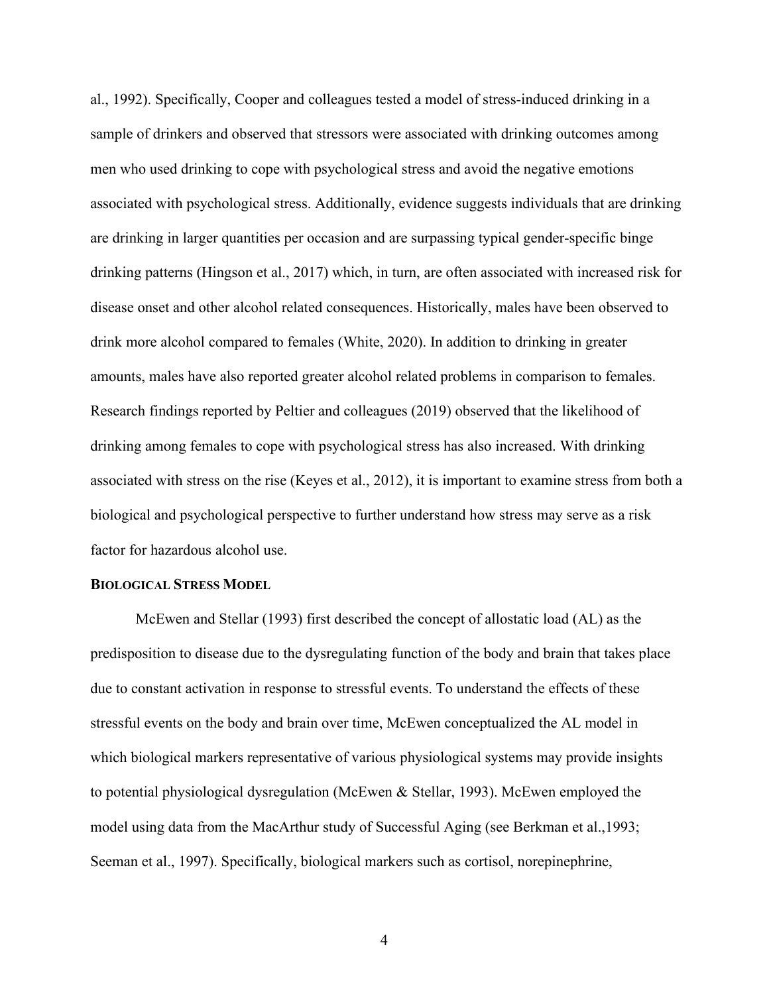al., 1992). Specifically, Cooper and colleagues tested a model of stress-induced drinking in a sample of drinkers and observed that stressors were associated with drinking outcomes among men who used drinking to cope with psychological stress and avoid the negative emotions associated with psychological stress. Additionally, evidence suggests individuals that are drinking are drinking in larger quantities per occasion and are surpassing typical gender-specific binge drinking patterns (Hingson et al., 2017) which, in turn, are often associated with increased risk for disease onset and other alcohol related consequences. Historically, males have been observed to drink more alcohol compared to females (White, 2020). In addition to drinking in greater amounts, males have also reported greater alcohol related problems in comparison to females. Research findings reported by Peltier and colleagues (2019) observed that the likelihood of drinking among females to cope with psychological stress has also increased. With drinking associated with stress on the rise (Keyes et al., 2012), it is important to examine stress from both a biological and psychological perspective to further understand how stress may serve as a risk factor for hazardous alcohol use.

#### <span id="page-16-0"></span>**BIOLOGICAL STRESS MODEL**

McEwen and Stellar (1993) first described the concept of allostatic load (AL) as the predisposition to disease due to the dysregulating function of the body and brain that takes place due to constant activation in response to stressful events. To understand the effects of these stressful events on the body and brain over time, McEwen conceptualized the AL model in which biological markers representative of various physiological systems may provide insights to potential physiological dysregulation (McEwen & Stellar, 1993). McEwen employed the model using data from the MacArthur study of Successful Aging (see Berkman et al.,1993; Seeman et al., 1997). Specifically, biological markers such as cortisol, norepinephrine,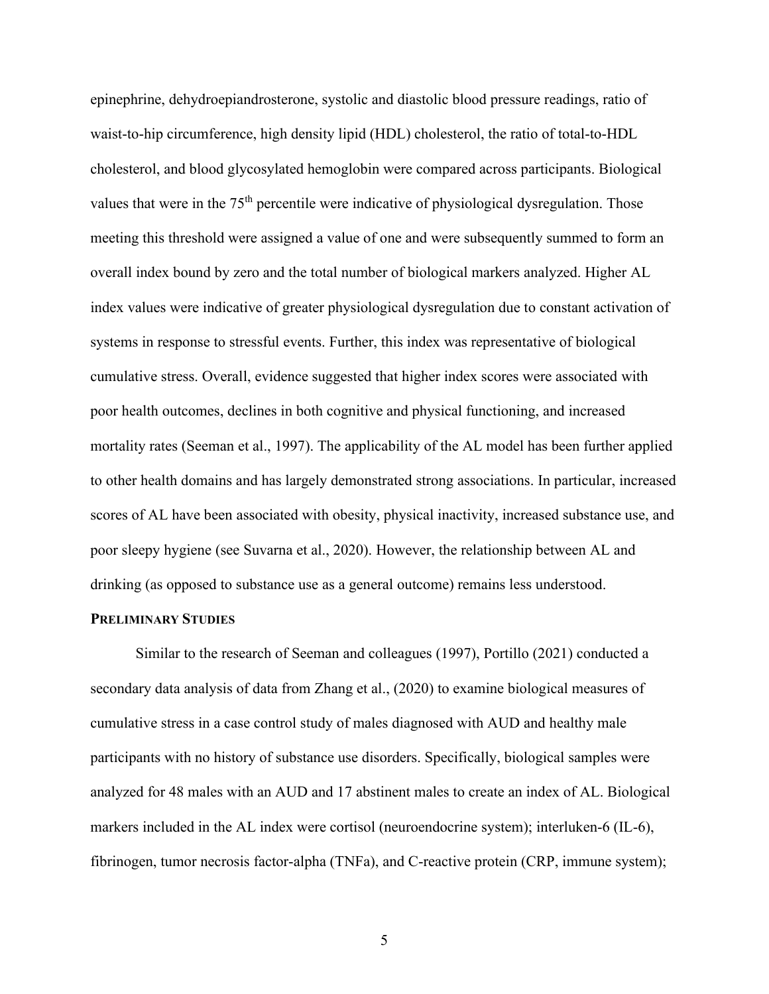epinephrine, dehydroepiandrosterone, systolic and diastolic blood pressure readings, ratio of waist-to-hip circumference, high density lipid (HDL) cholesterol, the ratio of total-to-HDL cholesterol, and blood glycosylated hemoglobin were compared across participants. Biological values that were in the 75<sup>th</sup> percentile were indicative of physiological dysregulation. Those meeting this threshold were assigned a value of one and were subsequently summed to form an overall index bound by zero and the total number of biological markers analyzed. Higher AL index values were indicative of greater physiological dysregulation due to constant activation of systems in response to stressful events. Further, this index was representative of biological cumulative stress. Overall, evidence suggested that higher index scores were associated with poor health outcomes, declines in both cognitive and physical functioning, and increased mortality rates (Seeman et al., 1997). The applicability of the AL model has been further applied to other health domains and has largely demonstrated strong associations. In particular, increased scores of AL have been associated with obesity, physical inactivity, increased substance use, and poor sleepy hygiene (see Suvarna et al., 2020). However, the relationship between AL and drinking (as opposed to substance use as a general outcome) remains less understood.

#### <span id="page-17-0"></span>**PRELIMINARY STUDIES**

Similar to the research of Seeman and colleagues (1997), Portillo (2021) conducted a secondary data analysis of data from Zhang et al., (2020) to examine biological measures of cumulative stress in a case control study of males diagnosed with AUD and healthy male participants with no history of substance use disorders. Specifically, biological samples were analyzed for 48 males with an AUD and 17 abstinent males to create an index of AL. Biological markers included in the AL index were cortisol (neuroendocrine system); interluken-6 (IL-6), fibrinogen, tumor necrosis factor-alpha (TNFa), and C-reactive protein (CRP, immune system);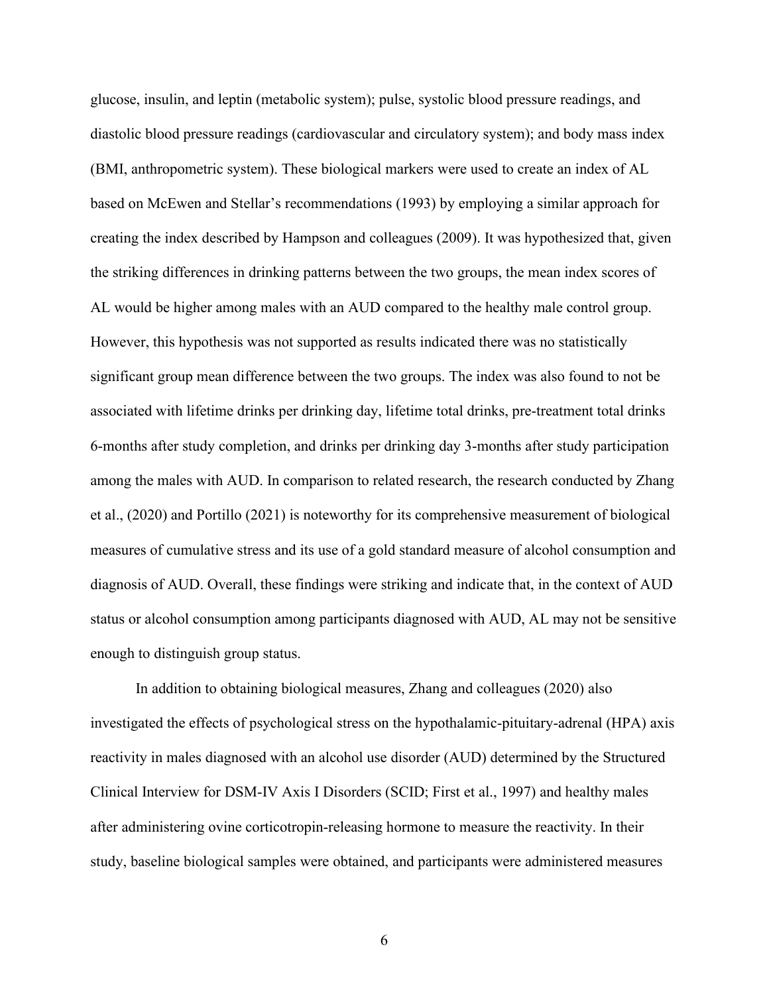glucose, insulin, and leptin (metabolic system); pulse, systolic blood pressure readings, and diastolic blood pressure readings (cardiovascular and circulatory system); and body mass index (BMI, anthropometric system). These biological markers were used to create an index of AL based on McEwen and Stellar's recommendations (1993) by employing a similar approach for creating the index described by Hampson and colleagues (2009). It was hypothesized that, given the striking differences in drinking patterns between the two groups, the mean index scores of AL would be higher among males with an AUD compared to the healthy male control group. However, this hypothesis was not supported as results indicated there was no statistically significant group mean difference between the two groups. The index was also found to not be associated with lifetime drinks per drinking day, lifetime total drinks, pre-treatment total drinks 6-months after study completion, and drinks per drinking day 3-months after study participation among the males with AUD. In comparison to related research, the research conducted by Zhang et al., (2020) and Portillo (2021) is noteworthy for its comprehensive measurement of biological measures of cumulative stress and its use of a gold standard measure of alcohol consumption and diagnosis of AUD. Overall, these findings were striking and indicate that, in the context of AUD status or alcohol consumption among participants diagnosed with AUD, AL may not be sensitive enough to distinguish group status.

In addition to obtaining biological measures, Zhang and colleagues (2020) also investigated the effects of psychological stress on the hypothalamic-pituitary-adrenal (HPA) axis reactivity in males diagnosed with an alcohol use disorder (AUD) determined by the Structured Clinical Interview for DSM-IV Axis I Disorders (SCID; First et al., 1997) and healthy males after administering ovine corticotropin-releasing hormone to measure the reactivity. In their study, baseline biological samples were obtained, and participants were administered measures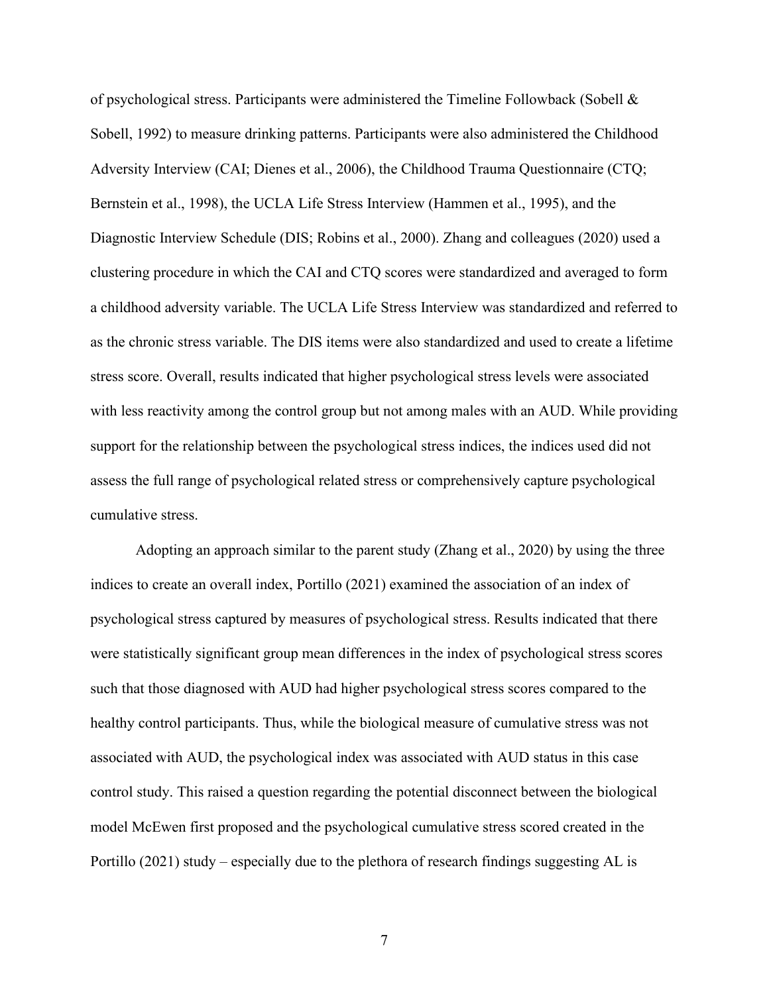of psychological stress. Participants were administered the Timeline Followback (Sobell  $\&$ Sobell, 1992) to measure drinking patterns. Participants were also administered the Childhood Adversity Interview (CAI; Dienes et al., 2006), the Childhood Trauma Questionnaire (CTQ; Bernstein et al., 1998), the UCLA Life Stress Interview (Hammen et al., 1995), and the Diagnostic Interview Schedule (DIS; Robins et al., 2000). Zhang and colleagues (2020) used a clustering procedure in which the CAI and CTQ scores were standardized and averaged to form a childhood adversity variable. The UCLA Life Stress Interview was standardized and referred to as the chronic stress variable. The DIS items were also standardized and used to create a lifetime stress score. Overall, results indicated that higher psychological stress levels were associated with less reactivity among the control group but not among males with an AUD. While providing support for the relationship between the psychological stress indices, the indices used did not assess the full range of psychological related stress or comprehensively capture psychological cumulative stress.

Adopting an approach similar to the parent study (Zhang et al., 2020) by using the three indices to create an overall index, Portillo (2021) examined the association of an index of psychological stress captured by measures of psychological stress. Results indicated that there were statistically significant group mean differences in the index of psychological stress scores such that those diagnosed with AUD had higher psychological stress scores compared to the healthy control participants. Thus, while the biological measure of cumulative stress was not associated with AUD, the psychological index was associated with AUD status in this case control study. This raised a question regarding the potential disconnect between the biological model McEwen first proposed and the psychological cumulative stress scored created in the Portillo (2021) study – especially due to the plethora of research findings suggesting AL is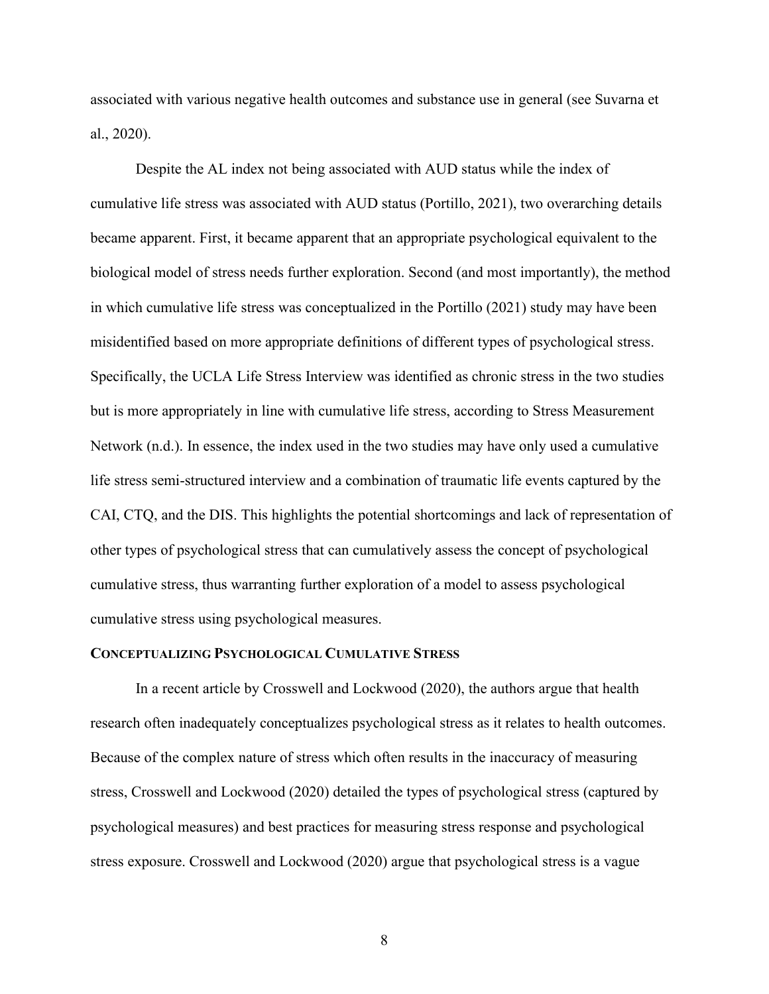associated with various negative health outcomes and substance use in general (see Suvarna et al., 2020).

Despite the AL index not being associated with AUD status while the index of cumulative life stress was associated with AUD status (Portillo, 2021), two overarching details became apparent. First, it became apparent that an appropriate psychological equivalent to the biological model of stress needs further exploration. Second (and most importantly), the method in which cumulative life stress was conceptualized in the Portillo (2021) study may have been misidentified based on more appropriate definitions of different types of psychological stress. Specifically, the UCLA Life Stress Interview was identified as chronic stress in the two studies but is more appropriately in line with cumulative life stress, according to Stress Measurement Network (n.d.). In essence, the index used in the two studies may have only used a cumulative life stress semi-structured interview and a combination of traumatic life events captured by the CAI, CTQ, and the DIS. This highlights the potential shortcomings and lack of representation of other types of psychological stress that can cumulatively assess the concept of psychological cumulative stress, thus warranting further exploration of a model to assess psychological cumulative stress using psychological measures.

#### <span id="page-20-0"></span>**CONCEPTUALIZING PSYCHOLOGICAL CUMULATIVE STRESS**

In a recent article by Crosswell and Lockwood (2020), the authors argue that health research often inadequately conceptualizes psychological stress as it relates to health outcomes. Because of the complex nature of stress which often results in the inaccuracy of measuring stress, Crosswell and Lockwood (2020) detailed the types of psychological stress (captured by psychological measures) and best practices for measuring stress response and psychological stress exposure. Crosswell and Lockwood (2020) argue that psychological stress is a vague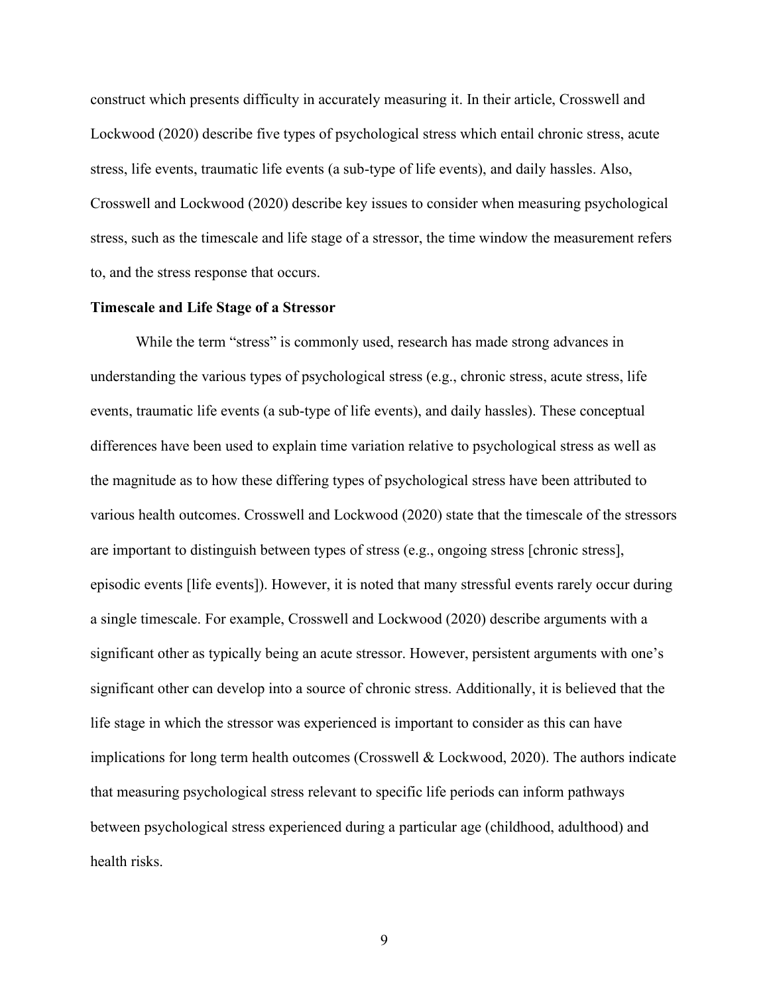construct which presents difficulty in accurately measuring it. In their article, Crosswell and Lockwood (2020) describe five types of psychological stress which entail chronic stress, acute stress, life events, traumatic life events (a sub-type of life events), and daily hassles. Also, Crosswell and Lockwood (2020) describe key issues to consider when measuring psychological stress, such as the timescale and life stage of a stressor, the time window the measurement refers to, and the stress response that occurs.

#### <span id="page-21-0"></span>**Timescale and Life Stage of a Stressor**

While the term "stress" is commonly used, research has made strong advances in understanding the various types of psychological stress (e.g., chronic stress, acute stress, life events, traumatic life events (a sub-type of life events), and daily hassles). These conceptual differences have been used to explain time variation relative to psychological stress as well as the magnitude as to how these differing types of psychological stress have been attributed to various health outcomes. Crosswell and Lockwood (2020) state that the timescale of the stressors are important to distinguish between types of stress (e.g., ongoing stress [chronic stress], episodic events [life events]). However, it is noted that many stressful events rarely occur during a single timescale. For example, Crosswell and Lockwood (2020) describe arguments with a significant other as typically being an acute stressor. However, persistent arguments with one's significant other can develop into a source of chronic stress. Additionally, it is believed that the life stage in which the stressor was experienced is important to consider as this can have implications for long term health outcomes (Crosswell & Lockwood, 2020). The authors indicate that measuring psychological stress relevant to specific life periods can inform pathways between psychological stress experienced during a particular age (childhood, adulthood) and health risks.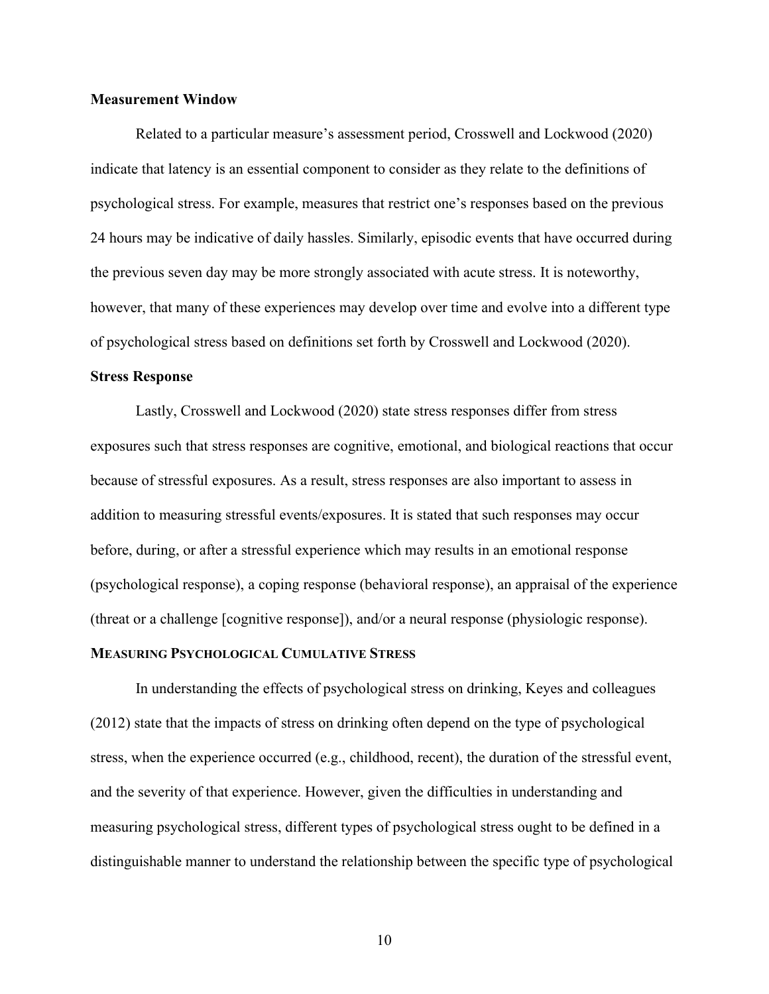#### <span id="page-22-0"></span>**Measurement Window**

Related to a particular measure's assessment period, Crosswell and Lockwood (2020) indicate that latency is an essential component to consider as they relate to the definitions of psychological stress. For example, measures that restrict one's responses based on the previous 24 hours may be indicative of daily hassles. Similarly, episodic events that have occurred during the previous seven day may be more strongly associated with acute stress. It is noteworthy, however, that many of these experiences may develop over time and evolve into a different type of psychological stress based on definitions set forth by Crosswell and Lockwood (2020).

#### <span id="page-22-1"></span>**Stress Response**

Lastly, Crosswell and Lockwood (2020) state stress responses differ from stress exposures such that stress responses are cognitive, emotional, and biological reactions that occur because of stressful exposures. As a result, stress responses are also important to assess in addition to measuring stressful events/exposures. It is stated that such responses may occur before, during, or after a stressful experience which may results in an emotional response (psychological response), a coping response (behavioral response), an appraisal of the experience (threat or a challenge [cognitive response]), and/or a neural response (physiologic response).

#### <span id="page-22-2"></span>**MEASURING PSYCHOLOGICAL CUMULATIVE STRESS**

In understanding the effects of psychological stress on drinking, Keyes and colleagues (2012) state that the impacts of stress on drinking often depend on the type of psychological stress, when the experience occurred (e.g., childhood, recent), the duration of the stressful event, and the severity of that experience. However, given the difficulties in understanding and measuring psychological stress, different types of psychological stress ought to be defined in a distinguishable manner to understand the relationship between the specific type of psychological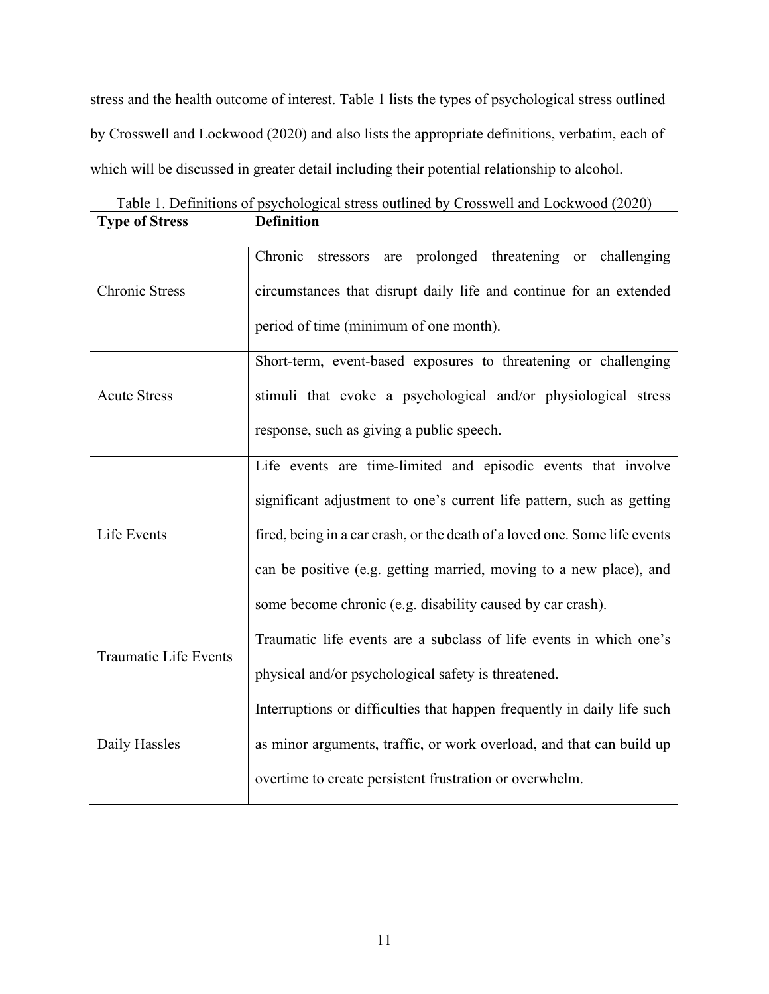stress and the health outcome of interest. Table 1 lists the types of psychological stress outlined by Crosswell and Lockwood (2020) and also lists the appropriate definitions, verbatim, each of which will be discussed in greater detail including their potential relationship to alcohol.

<span id="page-23-0"></span>

|                       | Table 1. Definitions of psychological stress outlined by Crosswell and Lockwood (2020) |
|-----------------------|----------------------------------------------------------------------------------------|
| <b>Type of Stress</b> | <b>Definition</b>                                                                      |

| <b>Chronic Stress</b> | Chronic<br>stressors are prolonged threatening or challenging              |
|-----------------------|----------------------------------------------------------------------------|
|                       | circumstances that disrupt daily life and continue for an extended         |
|                       | period of time (minimum of one month).                                     |
|                       | Short-term, event-based exposures to threatening or challenging            |
| <b>Acute Stress</b>   | stimuli that evoke a psychological and/or physiological stress             |
|                       | response, such as giving a public speech.                                  |
|                       | Life events are time-limited and episodic events that involve              |
| Life Events           | significant adjustment to one's current life pattern, such as getting      |
|                       | fired, being in a car crash, or the death of a loved one. Some life events |
|                       | can be positive (e.g. getting married, moving to a new place), and         |
|                       | some become chronic (e.g. disability caused by car crash).                 |
| Traumatic Life Events | Traumatic life events are a subclass of life events in which one's         |
|                       | physical and/or psychological safety is threatened.                        |
| Daily Hassles         | Interruptions or difficulties that happen frequently in daily life such    |
|                       | as minor arguments, traffic, or work overload, and that can build up       |
|                       | overtime to create persistent frustration or overwhelm.                    |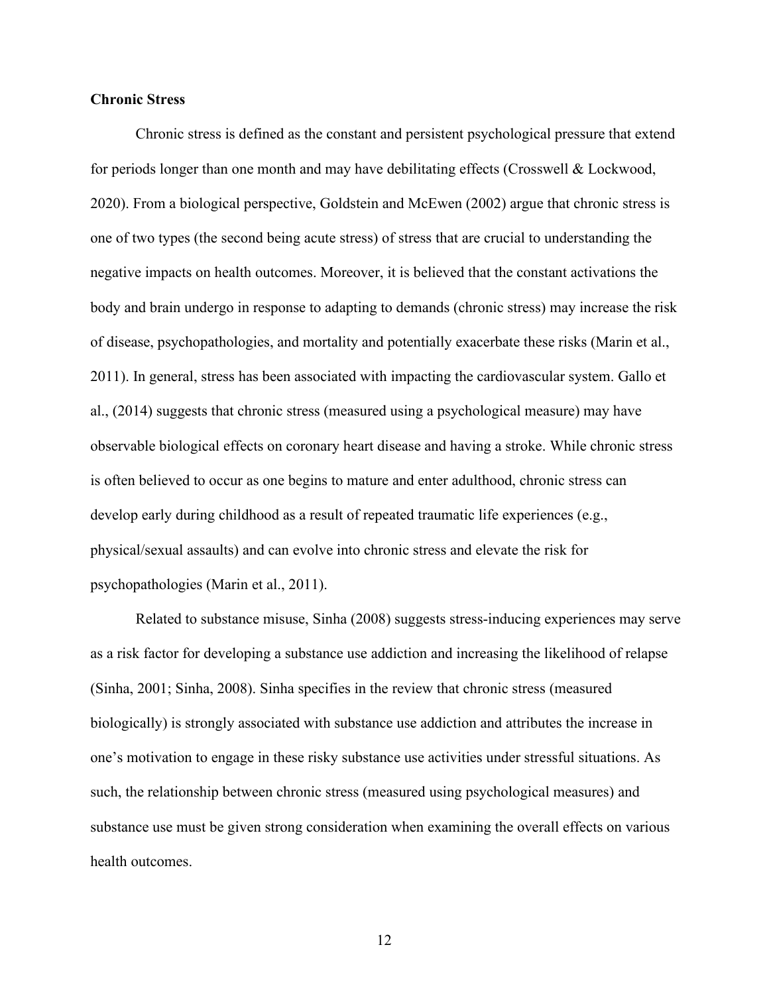#### <span id="page-24-0"></span>**Chronic Stress**

Chronic stress is defined as the constant and persistent psychological pressure that extend for periods longer than one month and may have debilitating effects (Crosswell & Lockwood, 2020). From a biological perspective, Goldstein and McEwen (2002) argue that chronic stress is one of two types (the second being acute stress) of stress that are crucial to understanding the negative impacts on health outcomes. Moreover, it is believed that the constant activations the body and brain undergo in response to adapting to demands (chronic stress) may increase the risk of disease, psychopathologies, and mortality and potentially exacerbate these risks (Marin et al., 2011). In general, stress has been associated with impacting the cardiovascular system. Gallo et al., (2014) suggests that chronic stress (measured using a psychological measure) may have observable biological effects on coronary heart disease and having a stroke. While chronic stress is often believed to occur as one begins to mature and enter adulthood, chronic stress can develop early during childhood as a result of repeated traumatic life experiences (e.g., physical/sexual assaults) and can evolve into chronic stress and elevate the risk for psychopathologies (Marin et al., 2011).

Related to substance misuse, Sinha (2008) suggests stress-inducing experiences may serve as a risk factor for developing a substance use addiction and increasing the likelihood of relapse (Sinha, 2001; Sinha, 2008). Sinha specifies in the review that chronic stress (measured biologically) is strongly associated with substance use addiction and attributes the increase in one's motivation to engage in these risky substance use activities under stressful situations. As such, the relationship between chronic stress (measured using psychological measures) and substance use must be given strong consideration when examining the overall effects on various health outcomes.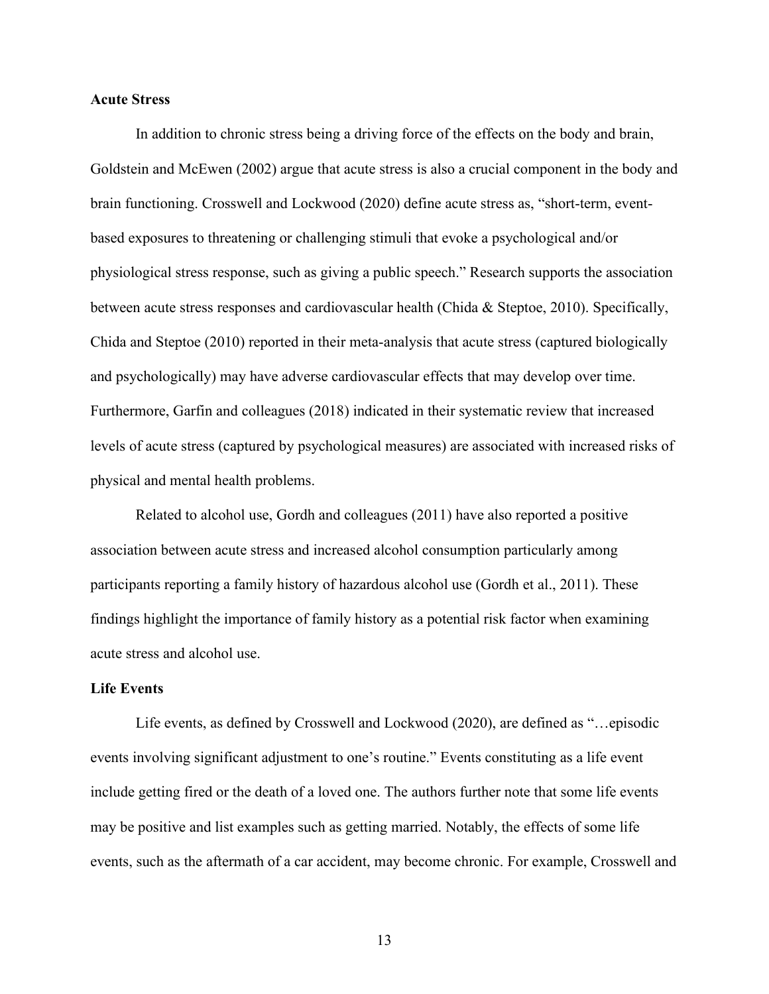#### <span id="page-25-0"></span>**Acute Stress**

In addition to chronic stress being a driving force of the effects on the body and brain, Goldstein and McEwen (2002) argue that acute stress is also a crucial component in the body and brain functioning. Crosswell and Lockwood (2020) define acute stress as, "short-term, eventbased exposures to threatening or challenging stimuli that evoke a psychological and/or physiological stress response, such as giving a public speech." Research supports the association between acute stress responses and cardiovascular health (Chida & Steptoe, 2010). Specifically, Chida and Steptoe (2010) reported in their meta-analysis that acute stress (captured biologically and psychologically) may have adverse cardiovascular effects that may develop over time. Furthermore, Garfin and colleagues (2018) indicated in their systematic review that increased levels of acute stress (captured by psychological measures) are associated with increased risks of physical and mental health problems.

Related to alcohol use, Gordh and colleagues (2011) have also reported a positive association between acute stress and increased alcohol consumption particularly among participants reporting a family history of hazardous alcohol use (Gordh et al., 2011). These findings highlight the importance of family history as a potential risk factor when examining acute stress and alcohol use.

#### <span id="page-25-1"></span>**Life Events**

Life events, as defined by Crosswell and Lockwood (2020), are defined as "…episodic events involving significant adjustment to one's routine." Events constituting as a life event include getting fired or the death of a loved one. The authors further note that some life events may be positive and list examples such as getting married. Notably, the effects of some life events, such as the aftermath of a car accident, may become chronic. For example, Crosswell and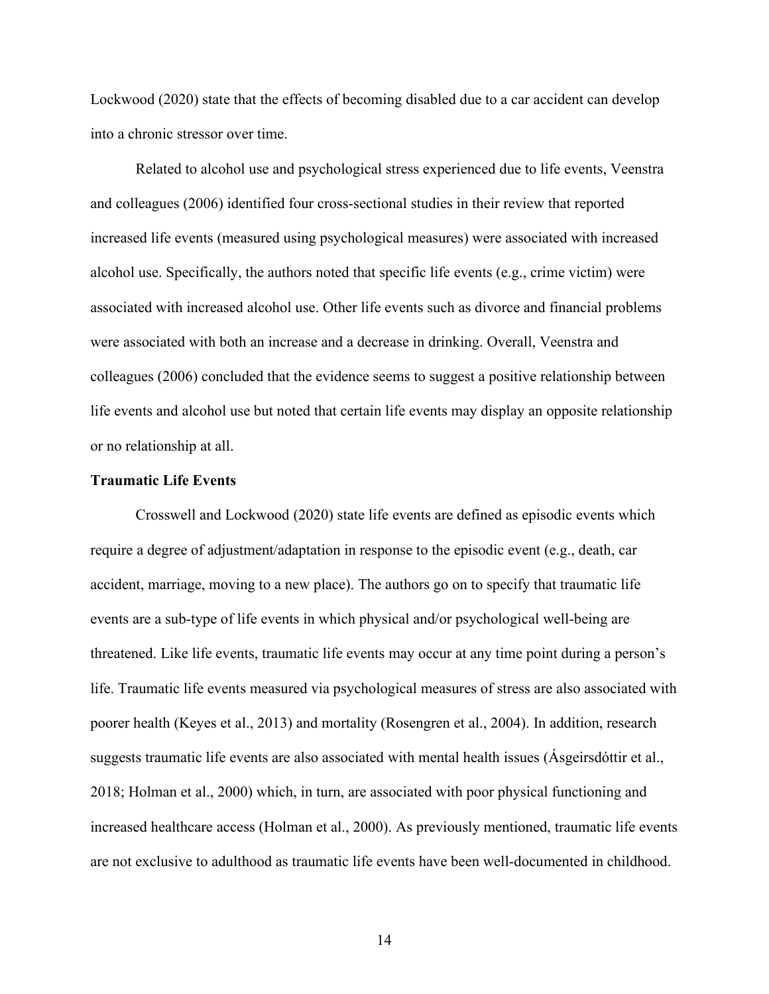Lockwood (2020) state that the effects of becoming disabled due to a car accident can develop into a chronic stressor over time.

Related to alcohol use and psychological stress experienced due to life events, Veenstra and colleagues (2006) identified four cross-sectional studies in their review that reported increased life events (measured using psychological measures) were associated with increased alcohol use. Specifically, the authors noted that specific life events (e.g., crime victim) were associated with increased alcohol use. Other life events such as divorce and financial problems were associated with both an increase and a decrease in drinking. Overall, Veenstra and colleagues (2006) concluded that the evidence seems to suggest a positive relationship between life events and alcohol use but noted that certain life events may display an opposite relationship or no relationship at all.

#### <span id="page-26-0"></span>**Traumatic Life Events**

Crosswell and Lockwood (2020) state life events are defined as episodic events which require a degree of adjustment/adaptation in response to the episodic event (e.g., death, car accident, marriage, moving to a new place). The authors go on to specify that traumatic life events are a sub-type of life events in which physical and/or psychological well-being are threatened. Like life events, traumatic life events may occur at any time point during a person's life. Traumatic life events measured via psychological measures of stress are also associated with poorer health (Keyes et al., 2013) and mortality (Rosengren et al., 2004). In addition, research suggests traumatic life events are also associated with mental health issues (Ásgeirsdóttir et al., 2018; Holman et al., 2000) which, in turn, are associated with poor physical functioning and increased healthcare access (Holman et al., 2000). As previously mentioned, traumatic life events are not exclusive to adulthood as traumatic life events have been well-documented in childhood.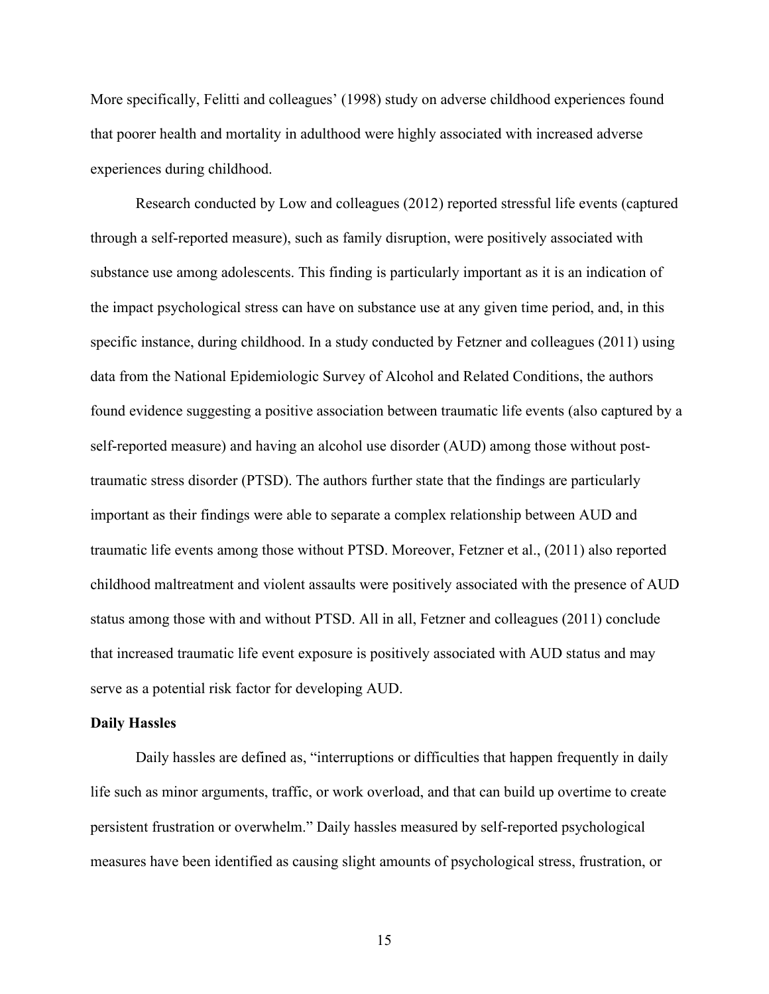More specifically, Felitti and colleagues' (1998) study on adverse childhood experiences found that poorer health and mortality in adulthood were highly associated with increased adverse experiences during childhood.

Research conducted by Low and colleagues (2012) reported stressful life events (captured through a self-reported measure), such as family disruption, were positively associated with substance use among adolescents. This finding is particularly important as it is an indication of the impact psychological stress can have on substance use at any given time period, and, in this specific instance, during childhood. In a study conducted by Fetzner and colleagues (2011) using data from the National Epidemiologic Survey of Alcohol and Related Conditions, the authors found evidence suggesting a positive association between traumatic life events (also captured by a self-reported measure) and having an alcohol use disorder (AUD) among those without posttraumatic stress disorder (PTSD). The authors further state that the findings are particularly important as their findings were able to separate a complex relationship between AUD and traumatic life events among those without PTSD. Moreover, Fetzner et al., (2011) also reported childhood maltreatment and violent assaults were positively associated with the presence of AUD status among those with and without PTSD. All in all, Fetzner and colleagues (2011) conclude that increased traumatic life event exposure is positively associated with AUD status and may serve as a potential risk factor for developing AUD.

#### <span id="page-27-0"></span>**Daily Hassles**

Daily hassles are defined as, "interruptions or difficulties that happen frequently in daily life such as minor arguments, traffic, or work overload, and that can build up overtime to create persistent frustration or overwhelm." Daily hassles measured by self-reported psychological measures have been identified as causing slight amounts of psychological stress, frustration, or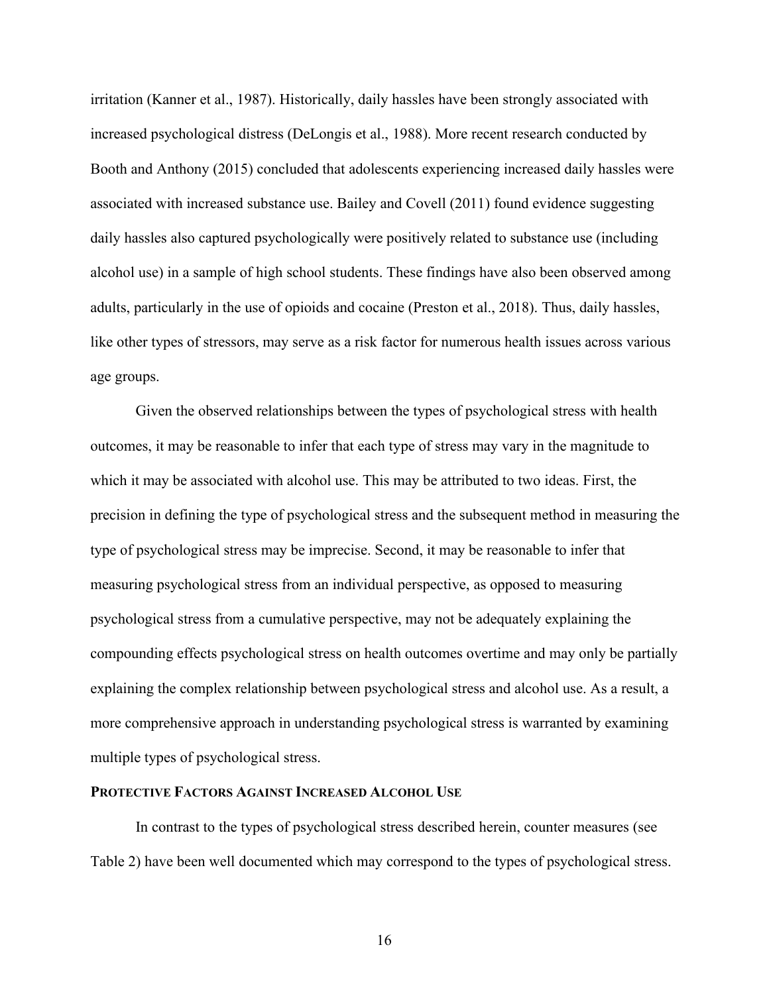irritation (Kanner et al., 1987). Historically, daily hassles have been strongly associated with increased psychological distress (DeLongis et al., 1988). More recent research conducted by Booth and Anthony (2015) concluded that adolescents experiencing increased daily hassles were associated with increased substance use. Bailey and Covell (2011) found evidence suggesting daily hassles also captured psychologically were positively related to substance use (including alcohol use) in a sample of high school students. These findings have also been observed among adults, particularly in the use of opioids and cocaine (Preston et al., 2018). Thus, daily hassles, like other types of stressors, may serve as a risk factor for numerous health issues across various age groups.

Given the observed relationships between the types of psychological stress with health outcomes, it may be reasonable to infer that each type of stress may vary in the magnitude to which it may be associated with alcohol use. This may be attributed to two ideas. First, the precision in defining the type of psychological stress and the subsequent method in measuring the type of psychological stress may be imprecise. Second, it may be reasonable to infer that measuring psychological stress from an individual perspective, as opposed to measuring psychological stress from a cumulative perspective, may not be adequately explaining the compounding effects psychological stress on health outcomes overtime and may only be partially explaining the complex relationship between psychological stress and alcohol use. As a result, a more comprehensive approach in understanding psychological stress is warranted by examining multiple types of psychological stress.

#### <span id="page-28-0"></span>**PROTECTIVE FACTORS AGAINST INCREASED ALCOHOL USE**

In contrast to the types of psychological stress described herein, counter measures (see Table 2) have been well documented which may correspond to the types of psychological stress.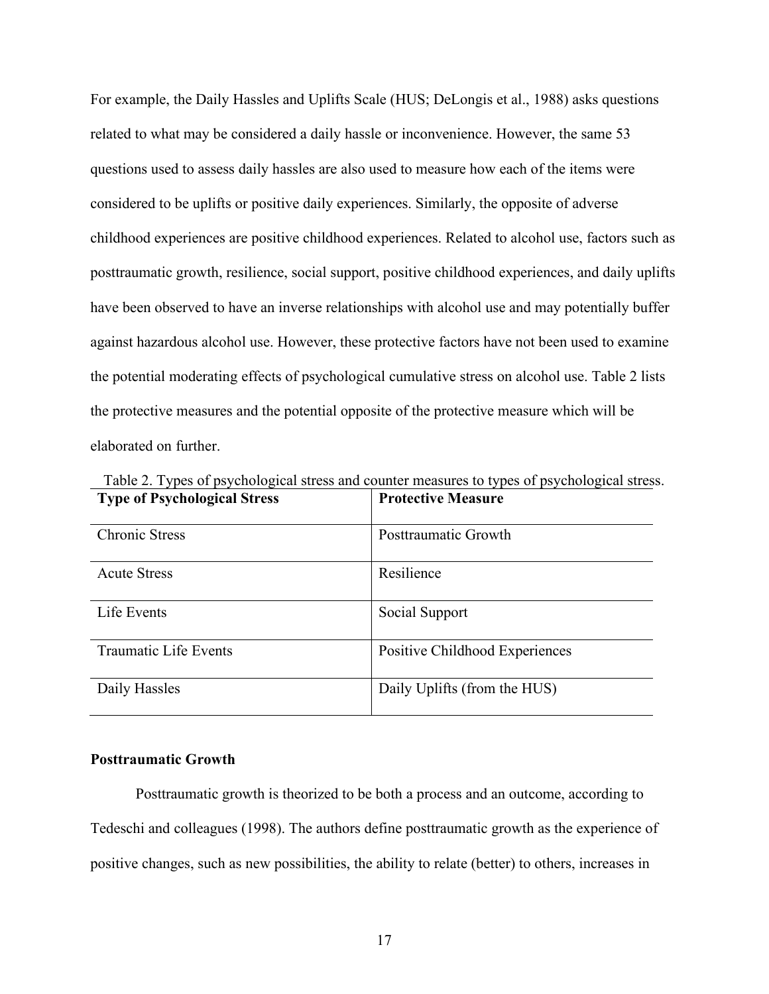For example, the Daily Hassles and Uplifts Scale (HUS; DeLongis et al., 1988) asks questions related to what may be considered a daily hassle or inconvenience. However, the same 53 questions used to assess daily hassles are also used to measure how each of the items were considered to be uplifts or positive daily experiences. Similarly, the opposite of adverse childhood experiences are positive childhood experiences. Related to alcohol use, factors such as posttraumatic growth, resilience, social support, positive childhood experiences, and daily uplifts have been observed to have an inverse relationships with alcohol use and may potentially buffer against hazardous alcohol use. However, these protective factors have not been used to examine the potential moderating effects of psychological cumulative stress on alcohol use. Table 2 lists the protective measures and the potential opposite of the protective measure which will be elaborated on further.

| <b>Type of Psychological Stress</b> | <b>Protective Measure</b>      |
|-------------------------------------|--------------------------------|
| <b>Chronic Stress</b>               | Posttraumatic Growth           |
| <b>Acute Stress</b>                 | Resilience                     |
| Life Events                         | Social Support                 |
| Traumatic Life Events               | Positive Childhood Experiences |
| Daily Hassles                       | Daily Uplifts (from the HUS)   |

<span id="page-29-1"></span>Table 2. Types of psychological stress and counter measures to types of psychological stress.

#### <span id="page-29-0"></span>**Posttraumatic Growth**

Posttraumatic growth is theorized to be both a process and an outcome, according to Tedeschi and colleagues (1998). The authors define posttraumatic growth as the experience of positive changes, such as new possibilities, the ability to relate (better) to others, increases in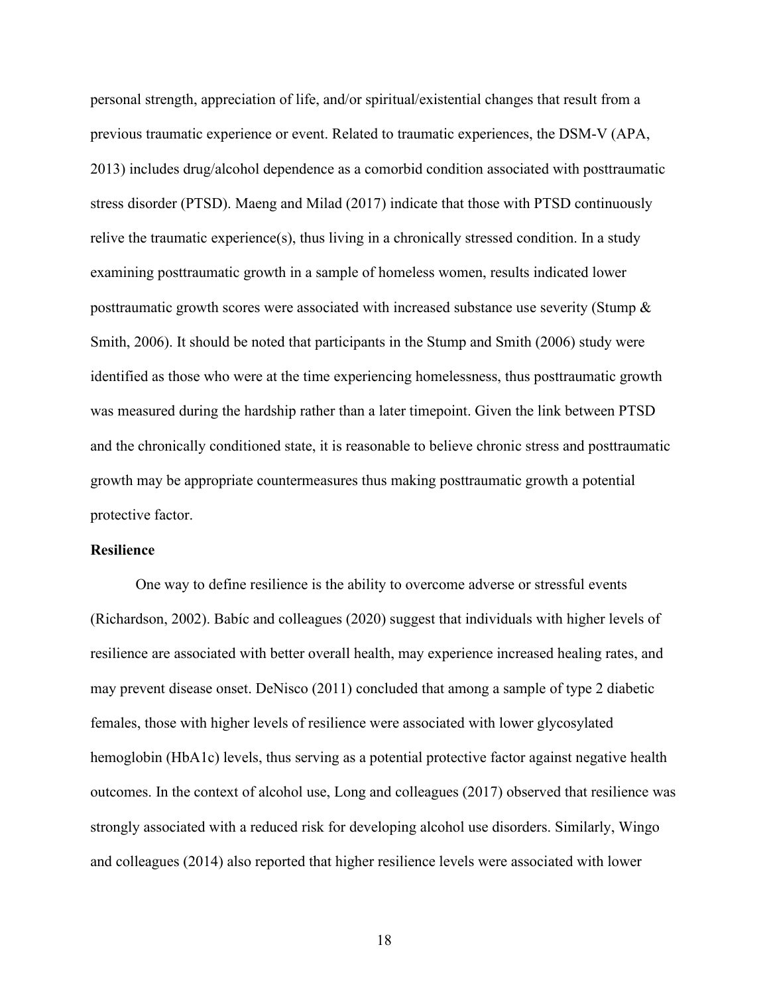personal strength, appreciation of life, and/or spiritual/existential changes that result from a previous traumatic experience or event. Related to traumatic experiences, the DSM-V (APA, 2013) includes drug/alcohol dependence as a comorbid condition associated with posttraumatic stress disorder (PTSD). Maeng and Milad (2017) indicate that those with PTSD continuously relive the traumatic experience(s), thus living in a chronically stressed condition. In a study examining posttraumatic growth in a sample of homeless women, results indicated lower posttraumatic growth scores were associated with increased substance use severity (Stump & Smith, 2006). It should be noted that participants in the Stump and Smith (2006) study were identified as those who were at the time experiencing homelessness, thus posttraumatic growth was measured during the hardship rather than a later timepoint. Given the link between PTSD and the chronically conditioned state, it is reasonable to believe chronic stress and posttraumatic growth may be appropriate countermeasures thus making posttraumatic growth a potential protective factor.

#### <span id="page-30-0"></span>**Resilience**

One way to define resilience is the ability to overcome adverse or stressful events (Richardson, 2002). Babíc and colleagues (2020) suggest that individuals with higher levels of resilience are associated with better overall health, may experience increased healing rates, and may prevent disease onset. DeNisco (2011) concluded that among a sample of type 2 diabetic females, those with higher levels of resilience were associated with lower glycosylated hemoglobin (HbA1c) levels, thus serving as a potential protective factor against negative health outcomes. In the context of alcohol use, Long and colleagues (2017) observed that resilience was strongly associated with a reduced risk for developing alcohol use disorders. Similarly, Wingo and colleagues (2014) also reported that higher resilience levels were associated with lower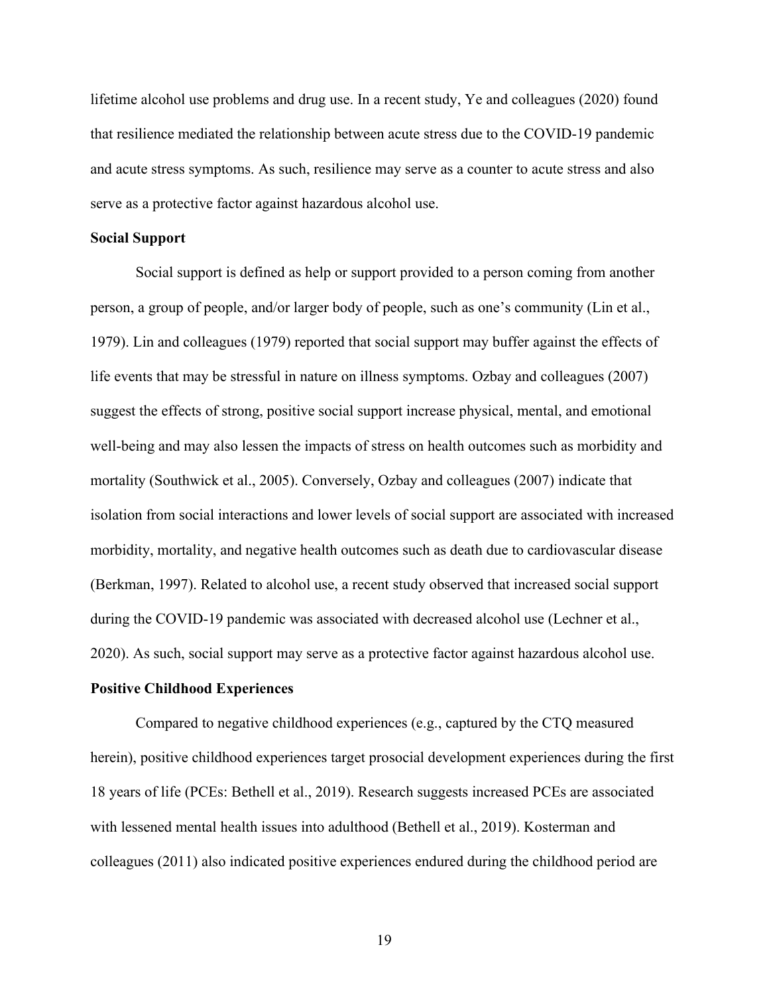lifetime alcohol use problems and drug use. In a recent study, Ye and colleagues (2020) found that resilience mediated the relationship between acute stress due to the COVID-19 pandemic and acute stress symptoms. As such, resilience may serve as a counter to acute stress and also serve as a protective factor against hazardous alcohol use.

#### <span id="page-31-0"></span>**Social Support**

Social support is defined as help or support provided to a person coming from another person, a group of people, and/or larger body of people, such as one's community (Lin et al., 1979). Lin and colleagues (1979) reported that social support may buffer against the effects of life events that may be stressful in nature on illness symptoms. Ozbay and colleagues (2007) suggest the effects of strong, positive social support increase physical, mental, and emotional well-being and may also lessen the impacts of stress on health outcomes such as morbidity and mortality (Southwick et al., 2005). Conversely, Ozbay and colleagues (2007) indicate that isolation from social interactions and lower levels of social support are associated with increased morbidity, mortality, and negative health outcomes such as death due to cardiovascular disease (Berkman, 1997). Related to alcohol use, a recent study observed that increased social support during the COVID-19 pandemic was associated with decreased alcohol use (Lechner et al., 2020). As such, social support may serve as a protective factor against hazardous alcohol use.

#### <span id="page-31-1"></span>**Positive Childhood Experiences**

Compared to negative childhood experiences (e.g., captured by the CTQ measured herein), positive childhood experiences target prosocial development experiences during the first 18 years of life (PCEs: Bethell et al., 2019). Research suggests increased PCEs are associated with lessened mental health issues into adulthood (Bethell et al., 2019). Kosterman and colleagues (2011) also indicated positive experiences endured during the childhood period are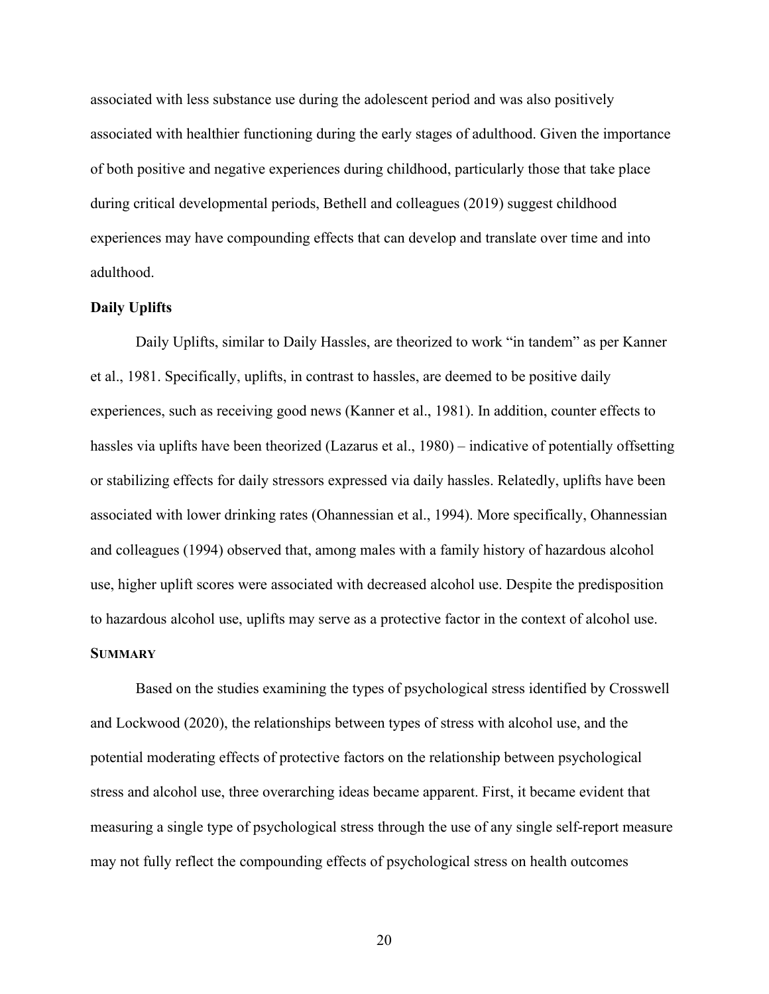associated with less substance use during the adolescent period and was also positively associated with healthier functioning during the early stages of adulthood. Given the importance of both positive and negative experiences during childhood, particularly those that take place during critical developmental periods, Bethell and colleagues (2019) suggest childhood experiences may have compounding effects that can develop and translate over time and into adulthood.

#### <span id="page-32-0"></span>**Daily Uplifts**

Daily Uplifts, similar to Daily Hassles, are theorized to work "in tandem" as per Kanner et al., 1981. Specifically, uplifts, in contrast to hassles, are deemed to be positive daily experiences, such as receiving good news (Kanner et al., 1981). In addition, counter effects to hassles via uplifts have been theorized (Lazarus et al., 1980) – indicative of potentially offsetting or stabilizing effects for daily stressors expressed via daily hassles. Relatedly, uplifts have been associated with lower drinking rates (Ohannessian et al., 1994). More specifically, Ohannessian and colleagues (1994) observed that, among males with a family history of hazardous alcohol use, higher uplift scores were associated with decreased alcohol use. Despite the predisposition to hazardous alcohol use, uplifts may serve as a protective factor in the context of alcohol use. **SUMMARY**

<span id="page-32-1"></span>Based on the studies examining the types of psychological stress identified by Crosswell and Lockwood (2020), the relationships between types of stress with alcohol use, and the potential moderating effects of protective factors on the relationship between psychological stress and alcohol use, three overarching ideas became apparent. First, it became evident that measuring a single type of psychological stress through the use of any single self-report measure may not fully reflect the compounding effects of psychological stress on health outcomes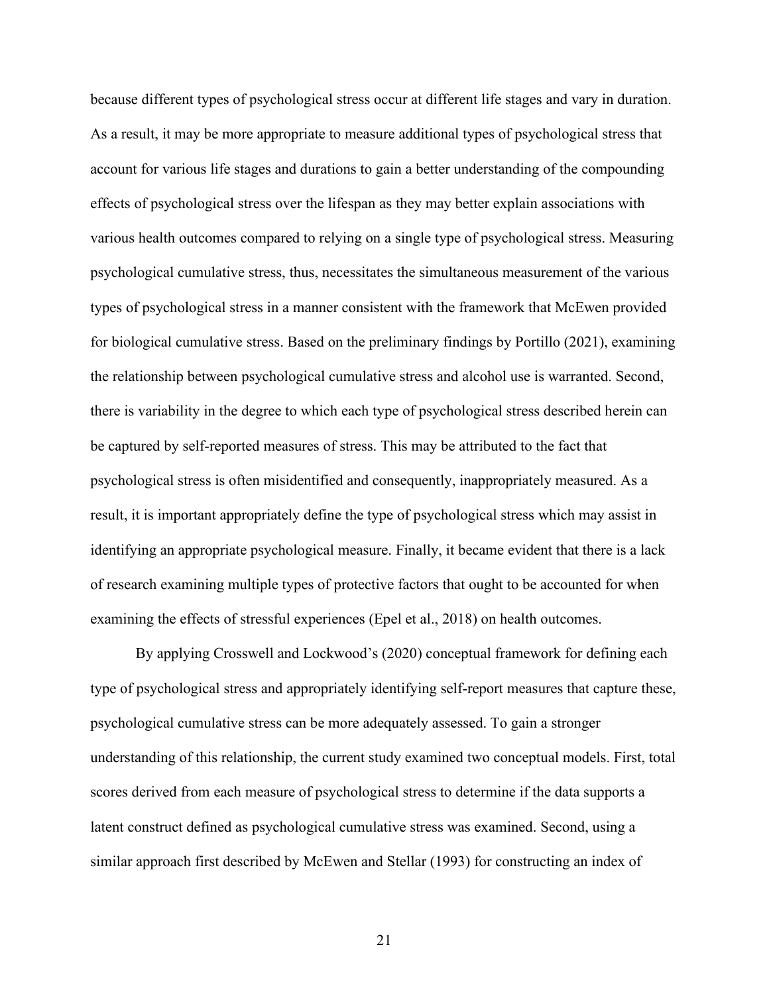because different types of psychological stress occur at different life stages and vary in duration. As a result, it may be more appropriate to measure additional types of psychological stress that account for various life stages and durations to gain a better understanding of the compounding effects of psychological stress over the lifespan as they may better explain associations with various health outcomes compared to relying on a single type of psychological stress. Measuring psychological cumulative stress, thus, necessitates the simultaneous measurement of the various types of psychological stress in a manner consistent with the framework that McEwen provided for biological cumulative stress. Based on the preliminary findings by Portillo (2021), examining the relationship between psychological cumulative stress and alcohol use is warranted. Second, there is variability in the degree to which each type of psychological stress described herein can be captured by self-reported measures of stress. This may be attributed to the fact that psychological stress is often misidentified and consequently, inappropriately measured. As a result, it is important appropriately define the type of psychological stress which may assist in identifying an appropriate psychological measure. Finally, it became evident that there is a lack of research examining multiple types of protective factors that ought to be accounted for when examining the effects of stressful experiences (Epel et al., 2018) on health outcomes.

By applying Crosswell and Lockwood's (2020) conceptual framework for defining each type of psychological stress and appropriately identifying self-report measures that capture these, psychological cumulative stress can be more adequately assessed. To gain a stronger understanding of this relationship, the current study examined two conceptual models. First, total scores derived from each measure of psychological stress to determine if the data supports a latent construct defined as psychological cumulative stress was examined. Second, using a similar approach first described by McEwen and Stellar (1993) for constructing an index of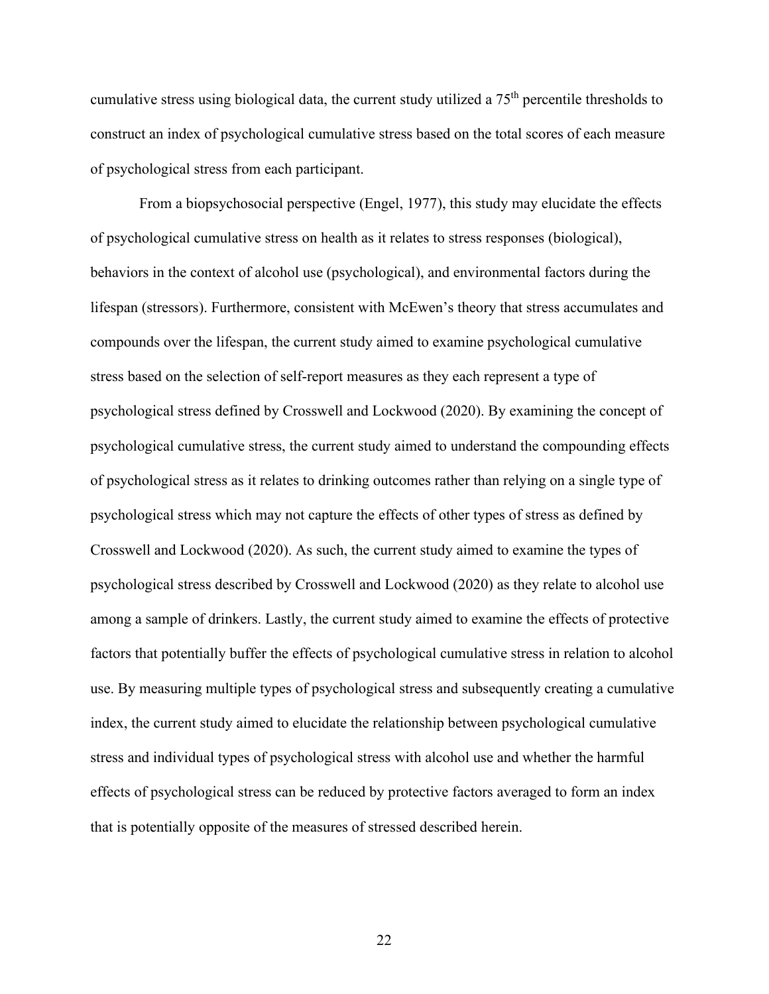cumulative stress using biological data, the current study utilized a 75th percentile thresholds to construct an index of psychological cumulative stress based on the total scores of each measure of psychological stress from each participant.

From a biopsychosocial perspective (Engel, 1977), this study may elucidate the effects of psychological cumulative stress on health as it relates to stress responses (biological), behaviors in the context of alcohol use (psychological), and environmental factors during the lifespan (stressors). Furthermore, consistent with McEwen's theory that stress accumulates and compounds over the lifespan, the current study aimed to examine psychological cumulative stress based on the selection of self-report measures as they each represent a type of psychological stress defined by Crosswell and Lockwood (2020). By examining the concept of psychological cumulative stress, the current study aimed to understand the compounding effects of psychological stress as it relates to drinking outcomes rather than relying on a single type of psychological stress which may not capture the effects of other types of stress as defined by Crosswell and Lockwood (2020). As such, the current study aimed to examine the types of psychological stress described by Crosswell and Lockwood (2020) as they relate to alcohol use among a sample of drinkers. Lastly, the current study aimed to examine the effects of protective factors that potentially buffer the effects of psychological cumulative stress in relation to alcohol use. By measuring multiple types of psychological stress and subsequently creating a cumulative index, the current study aimed to elucidate the relationship between psychological cumulative stress and individual types of psychological stress with alcohol use and whether the harmful effects of psychological stress can be reduced by protective factors averaged to form an index that is potentially opposite of the measures of stressed described herein.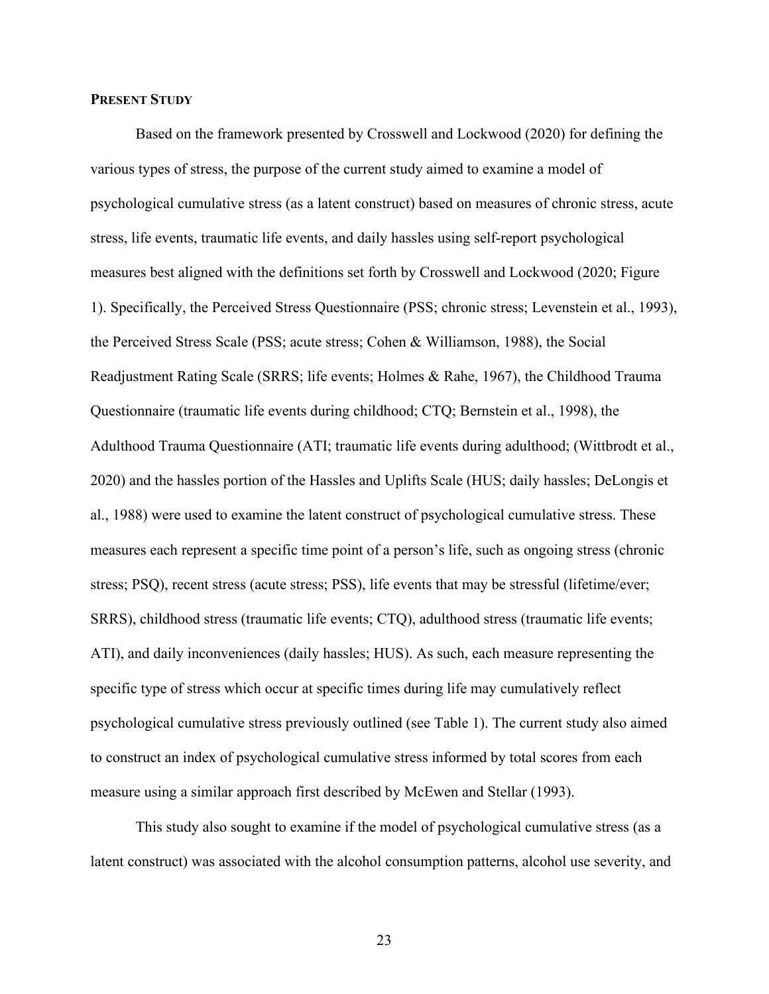#### <span id="page-35-0"></span>**PRESENT STUDY**

Based on the framework presented by Crosswell and Lockwood (2020) for defining the various types of stress, the purpose of the current study aimed to examine a model of psychological cumulative stress (as a latent construct) based on measures of chronic stress, acute stress, life events, traumatic life events, and daily hassles using self-report psychological measures best aligned with the definitions set forth by Crosswell and Lockwood (2020; Figure 1). Specifically, the Perceived Stress Questionnaire (PSS; chronic stress; Levenstein et al., 1993), the Perceived Stress Scale (PSS; acute stress; Cohen & Williamson, 1988), the Social Readjustment Rating Scale (SRRS; life events; Holmes & Rahe, 1967), the Childhood Trauma Questionnaire (traumatic life events during childhood; CTQ; Bernstein et al., 1998), the Adulthood Trauma Questionnaire (ATI; traumatic life events during adulthood; (Wittbrodt et al., 2020) and the hassles portion of the Hassles and Uplifts Scale (HUS; daily hassles; DeLongis et al., 1988) were used to examine the latent construct of psychological cumulative stress. These measures each represent a specific time point of a person's life, such as ongoing stress (chronic stress; PSQ), recent stress (acute stress; PSS), life events that may be stressful (lifetime/ever; SRRS), childhood stress (traumatic life events; CTQ), adulthood stress (traumatic life events; ATI), and daily inconveniences (daily hassles; HUS). As such, each measure representing the specific type of stress which occur at specific times during life may cumulatively reflect psychological cumulative stress previously outlined (see Table 1). The current study also aimed to construct an index of psychological cumulative stress informed by total scores from each measure using a similar approach first described by McEwen and Stellar (1993).

This study also sought to examine if the model of psychological cumulative stress (as a latent construct) was associated with the alcohol consumption patterns, alcohol use severity, and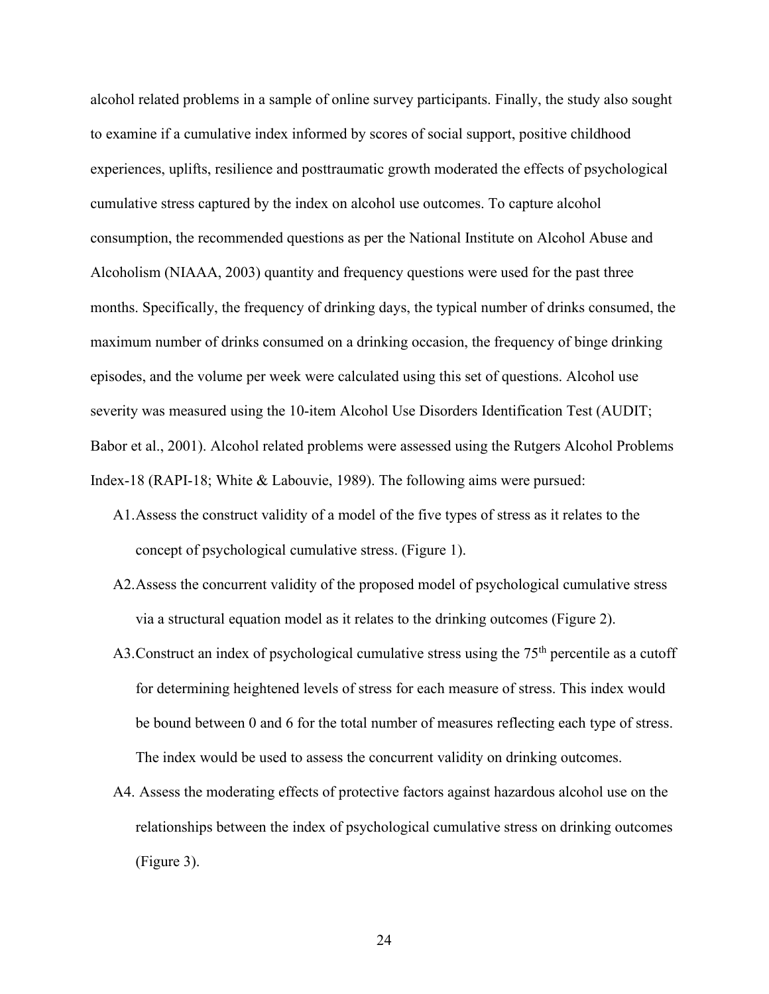alcohol related problems in a sample of online survey participants. Finally, the study also sought to examine if a cumulative index informed by scores of social support, positive childhood experiences, uplifts, resilience and posttraumatic growth moderated the effects of psychological cumulative stress captured by the index on alcohol use outcomes. To capture alcohol consumption, the recommended questions as per the National Institute on Alcohol Abuse and Alcoholism (NIAAA, 2003) quantity and frequency questions were used for the past three months. Specifically, the frequency of drinking days, the typical number of drinks consumed, the maximum number of drinks consumed on a drinking occasion, the frequency of binge drinking episodes, and the volume per week were calculated using this set of questions. Alcohol use severity was measured using the 10-item Alcohol Use Disorders Identification Test (AUDIT; Babor et al., 2001). Alcohol related problems were assessed using the Rutgers Alcohol Problems Index-18 (RAPI-18; White & Labouvie, 1989). The following aims were pursued:

- A1.Assess the construct validity of a model of the five types of stress as it relates to the concept of psychological cumulative stress. (Figure 1).
- A2.Assess the concurrent validity of the proposed model of psychological cumulative stress via a structural equation model as it relates to the drinking outcomes (Figure 2).
- A3. Construct an index of psychological cumulative stress using the  $75<sup>th</sup>$  percentile as a cutoff for determining heightened levels of stress for each measure of stress. This index would be bound between 0 and 6 for the total number of measures reflecting each type of stress. The index would be used to assess the concurrent validity on drinking outcomes.
- A4. Assess the moderating effects of protective factors against hazardous alcohol use on the relationships between the index of psychological cumulative stress on drinking outcomes (Figure 3).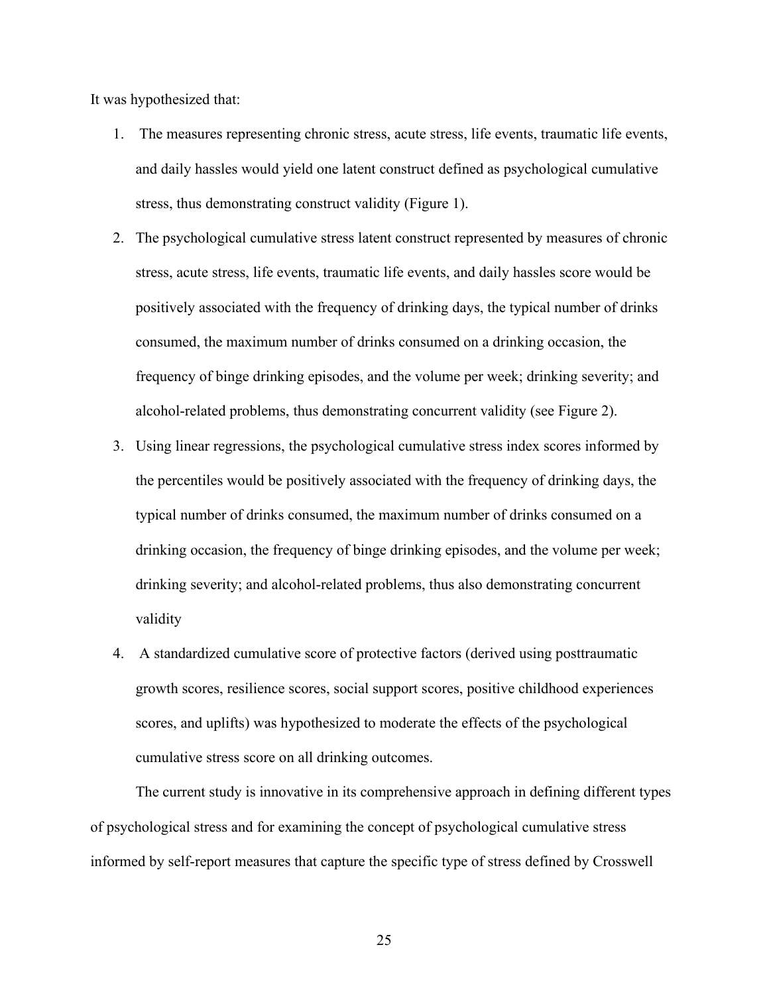It was hypothesized that:

- 1. The measures representing chronic stress, acute stress, life events, traumatic life events, and daily hassles would yield one latent construct defined as psychological cumulative stress, thus demonstrating construct validity (Figure 1).
- 2. The psychological cumulative stress latent construct represented by measures of chronic stress, acute stress, life events, traumatic life events, and daily hassles score would be positively associated with the frequency of drinking days, the typical number of drinks consumed, the maximum number of drinks consumed on a drinking occasion, the frequency of binge drinking episodes, and the volume per week; drinking severity; and alcohol-related problems, thus demonstrating concurrent validity (see Figure 2).
- 3. Using linear regressions, the psychological cumulative stress index scores informed by the percentiles would be positively associated with the frequency of drinking days, the typical number of drinks consumed, the maximum number of drinks consumed on a drinking occasion, the frequency of binge drinking episodes, and the volume per week; drinking severity; and alcohol-related problems, thus also demonstrating concurrent validity
- 4. A standardized cumulative score of protective factors (derived using posttraumatic growth scores, resilience scores, social support scores, positive childhood experiences scores, and uplifts) was hypothesized to moderate the effects of the psychological cumulative stress score on all drinking outcomes.

The current study is innovative in its comprehensive approach in defining different types of psychological stress and for examining the concept of psychological cumulative stress informed by self-report measures that capture the specific type of stress defined by Crosswell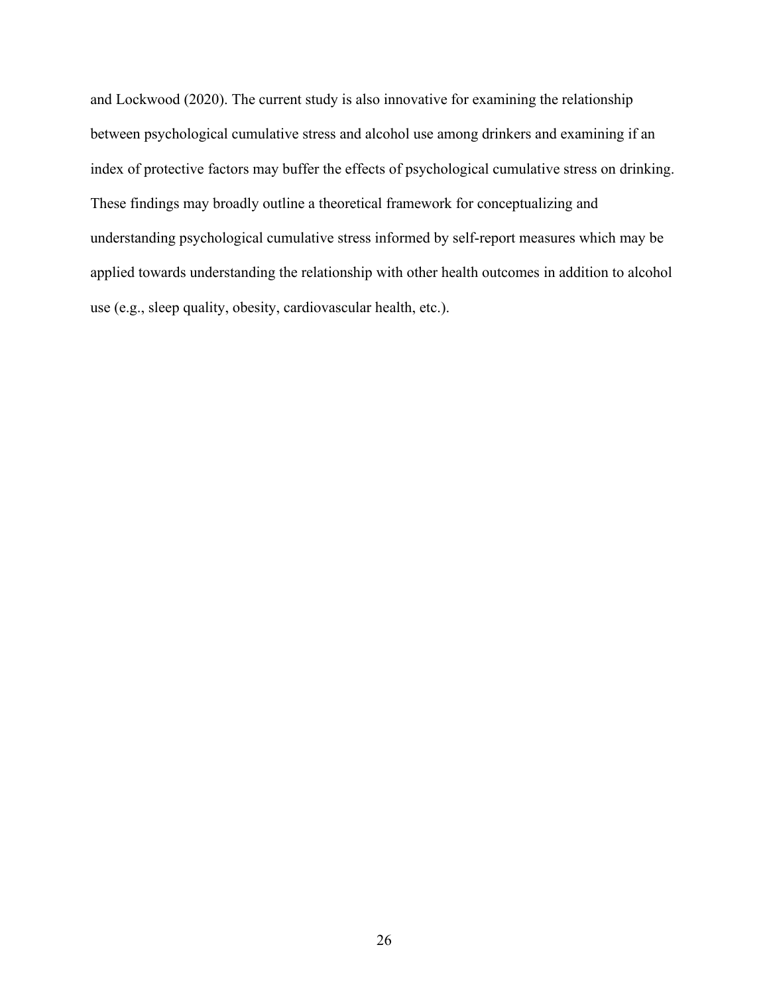and Lockwood (2020). The current study is also innovative for examining the relationship between psychological cumulative stress and alcohol use among drinkers and examining if an index of protective factors may buffer the effects of psychological cumulative stress on drinking. These findings may broadly outline a theoretical framework for conceptualizing and understanding psychological cumulative stress informed by self-report measures which may be applied towards understanding the relationship with other health outcomes in addition to alcohol use (e.g., sleep quality, obesity, cardiovascular health, etc.).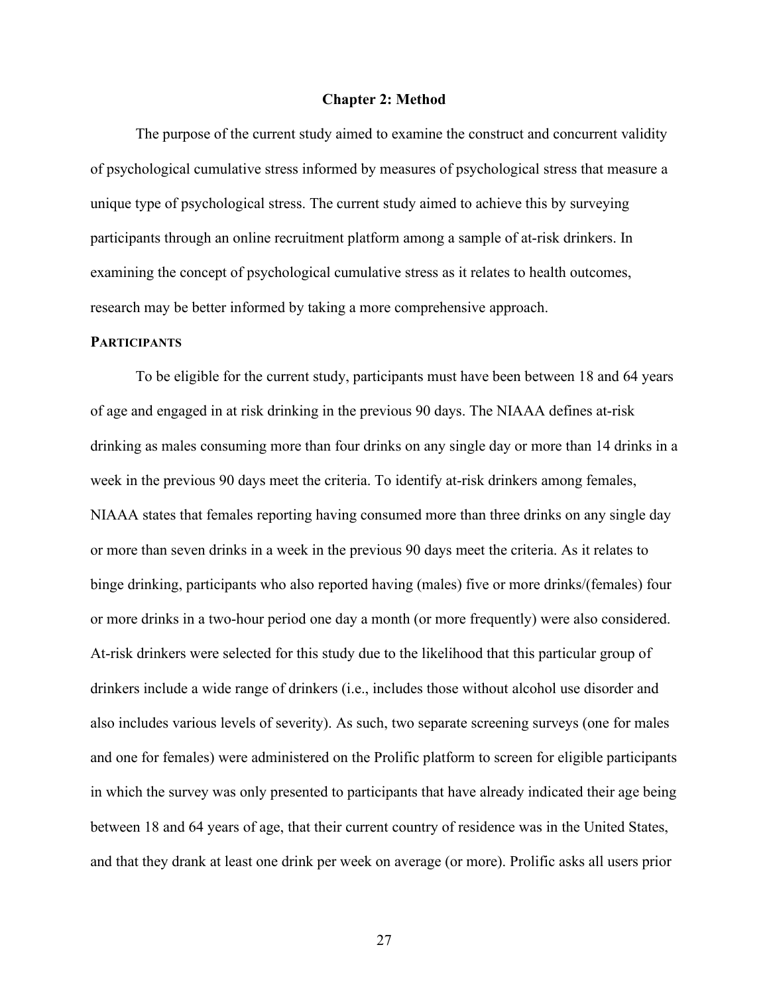## **Chapter 2: Method**

The purpose of the current study aimed to examine the construct and concurrent validity of psychological cumulative stress informed by measures of psychological stress that measure a unique type of psychological stress. The current study aimed to achieve this by surveying participants through an online recruitment platform among a sample of at-risk drinkers. In examining the concept of psychological cumulative stress as it relates to health outcomes, research may be better informed by taking a more comprehensive approach.

# **PARTICIPANTS**

To be eligible for the current study, participants must have been between 18 and 64 years of age and engaged in at risk drinking in the previous 90 days. The NIAAA defines at-risk drinking as males consuming more than four drinks on any single day or more than 14 drinks in a week in the previous 90 days meet the criteria. To identify at-risk drinkers among females, NIAAA states that females reporting having consumed more than three drinks on any single day or more than seven drinks in a week in the previous 90 days meet the criteria. As it relates to binge drinking, participants who also reported having (males) five or more drinks/(females) four or more drinks in a two-hour period one day a month (or more frequently) were also considered. At-risk drinkers were selected for this study due to the likelihood that this particular group of drinkers include a wide range of drinkers (i.e., includes those without alcohol use disorder and also includes various levels of severity). As such, two separate screening surveys (one for males and one for females) were administered on the Prolific platform to screen for eligible participants in which the survey was only presented to participants that have already indicated their age being between 18 and 64 years of age, that their current country of residence was in the United States, and that they drank at least one drink per week on average (or more). Prolific asks all users prior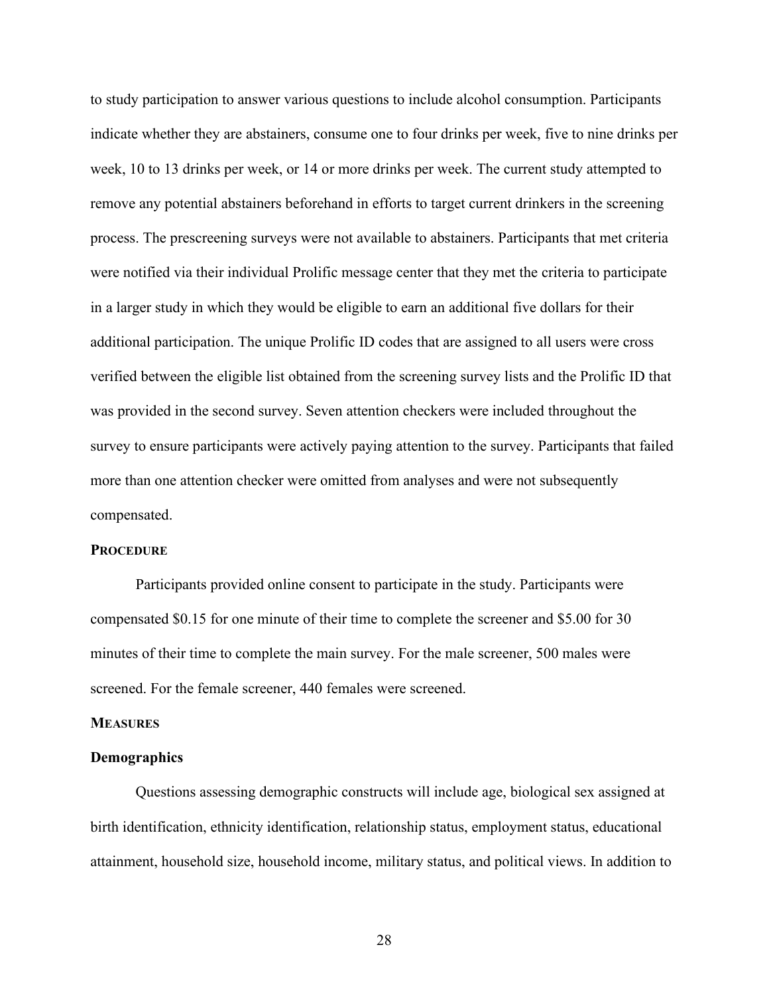to study participation to answer various questions to include alcohol consumption. Participants indicate whether they are abstainers, consume one to four drinks per week, five to nine drinks per week, 10 to 13 drinks per week, or 14 or more drinks per week. The current study attempted to remove any potential abstainers beforehand in efforts to target current drinkers in the screening process. The prescreening surveys were not available to abstainers. Participants that met criteria were notified via their individual Prolific message center that they met the criteria to participate in a larger study in which they would be eligible to earn an additional five dollars for their additional participation. The unique Prolific ID codes that are assigned to all users were cross verified between the eligible list obtained from the screening survey lists and the Prolific ID that was provided in the second survey. Seven attention checkers were included throughout the survey to ensure participants were actively paying attention to the survey. Participants that failed more than one attention checker were omitted from analyses and were not subsequently compensated.

## **PROCEDURE**

Participants provided online consent to participate in the study. Participants were compensated \$0.15 for one minute of their time to complete the screener and \$5.00 for 30 minutes of their time to complete the main survey. For the male screener, 500 males were screened. For the female screener, 440 females were screened.

## **MEASURES**

## **Demographics**

Questions assessing demographic constructs will include age, biological sex assigned at birth identification, ethnicity identification, relationship status, employment status, educational attainment, household size, household income, military status, and political views. In addition to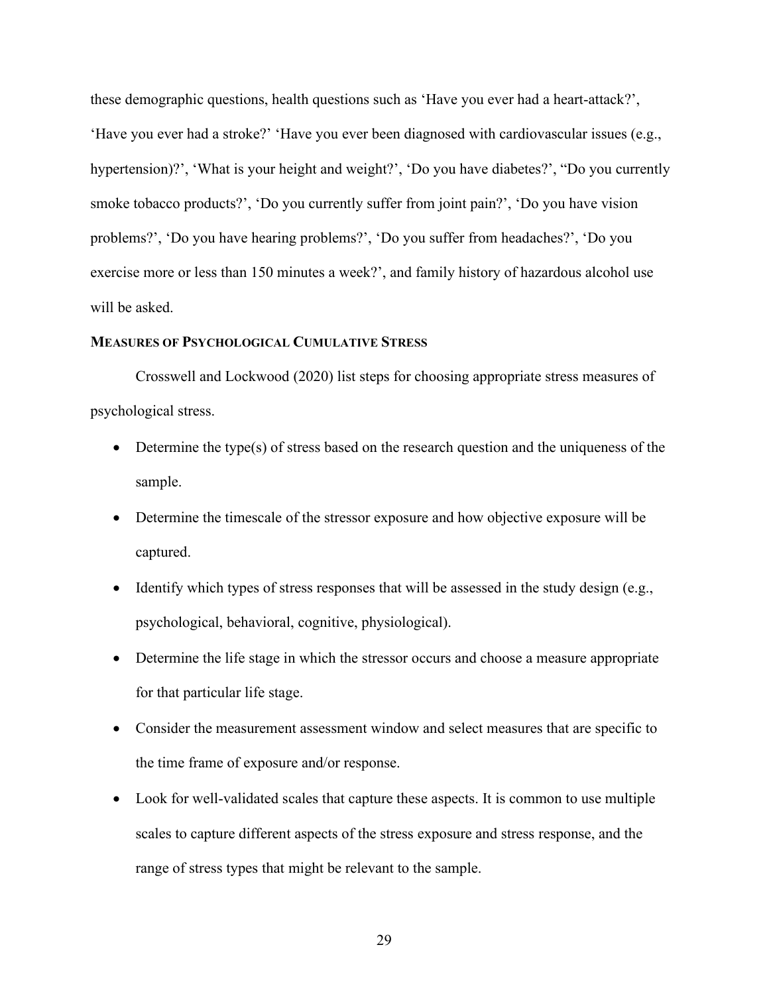these demographic questions, health questions such as 'Have you ever had a heart-attack?', 'Have you ever had a stroke?' 'Have you ever been diagnosed with cardiovascular issues (e.g., hypertension)?', 'What is your height and weight?', 'Do you have diabetes?', "Do you currently smoke tobacco products?', 'Do you currently suffer from joint pain?', 'Do you have vision problems?', 'Do you have hearing problems?', 'Do you suffer from headaches?', 'Do you exercise more or less than 150 minutes a week?', and family history of hazardous alcohol use will be asked.

# **MEASURES OF PSYCHOLOGICAL CUMULATIVE STRESS**

Crosswell and Lockwood (2020) list steps for choosing appropriate stress measures of psychological stress.

- Determine the type(s) of stress based on the research question and the uniqueness of the sample.
- Determine the timescale of the stressor exposure and how objective exposure will be captured.
- Identify which types of stress responses that will be assessed in the study design (e.g., psychological, behavioral, cognitive, physiological).
- Determine the life stage in which the stressor occurs and choose a measure appropriate for that particular life stage.
- Consider the measurement assessment window and select measures that are specific to the time frame of exposure and/or response.
- Look for well-validated scales that capture these aspects. It is common to use multiple scales to capture different aspects of the stress exposure and stress response, and the range of stress types that might be relevant to the sample.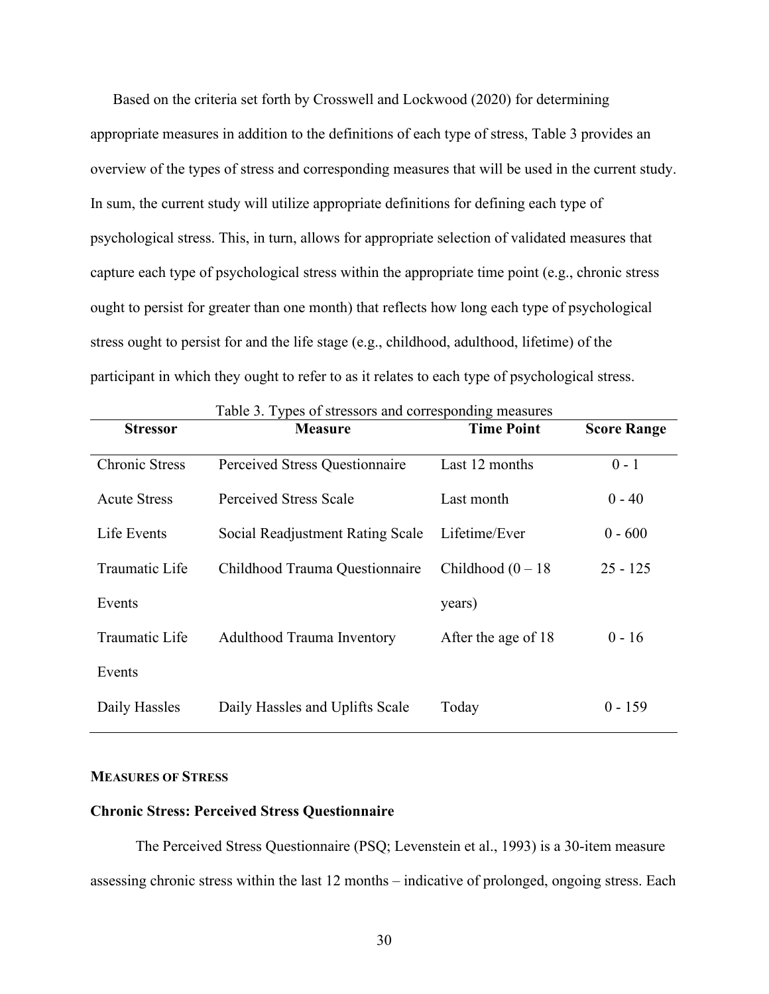Based on the criteria set forth by Crosswell and Lockwood (2020) for determining appropriate measures in addition to the definitions of each type of stress, Table 3 provides an overview of the types of stress and corresponding measures that will be used in the current study. In sum, the current study will utilize appropriate definitions for defining each type of psychological stress. This, in turn, allows for appropriate selection of validated measures that capture each type of psychological stress within the appropriate time point (e.g., chronic stress ought to persist for greater than one month) that reflects how long each type of psychological stress ought to persist for and the life stage (e.g., childhood, adulthood, lifetime) of the participant in which they ought to refer to as it relates to each type of psychological stress.

| <b>Stressor</b>       | <b>Measure</b>                    | <b>Time Point</b>    | <b>Score Range</b> |  |  |
|-----------------------|-----------------------------------|----------------------|--------------------|--|--|
| <b>Chronic Stress</b> | Perceived Stress Questionnaire    | Last 12 months       | $0 - 1$            |  |  |
| <b>Acute Stress</b>   | Perceived Stress Scale            | Last month           | $0 - 40$           |  |  |
| Life Events           | Social Readjustment Rating Scale  | Lifetime/Ever        | $0 - 600$          |  |  |
| Traumatic Life        | Childhood Trauma Questionnaire    | Childhood $(0 - 18)$ | $25 - 125$         |  |  |
| Events                |                                   | years)               |                    |  |  |
| Traumatic Life        | <b>Adulthood Trauma Inventory</b> | After the age of 18  | $0 - 16$           |  |  |
| Events                |                                   |                      |                    |  |  |
| Daily Hassles         | Daily Hassles and Uplifts Scale   | Today                | $0 - 159$          |  |  |

## Table 3. Types of stressors and corresponding measures

## **MEASURES OF STRESS**

# **Chronic Stress: Perceived Stress Questionnaire**

The Perceived Stress Questionnaire (PSQ; Levenstein et al., 1993) is a 30-item measure assessing chronic stress within the last 12 months – indicative of prolonged, ongoing stress. Each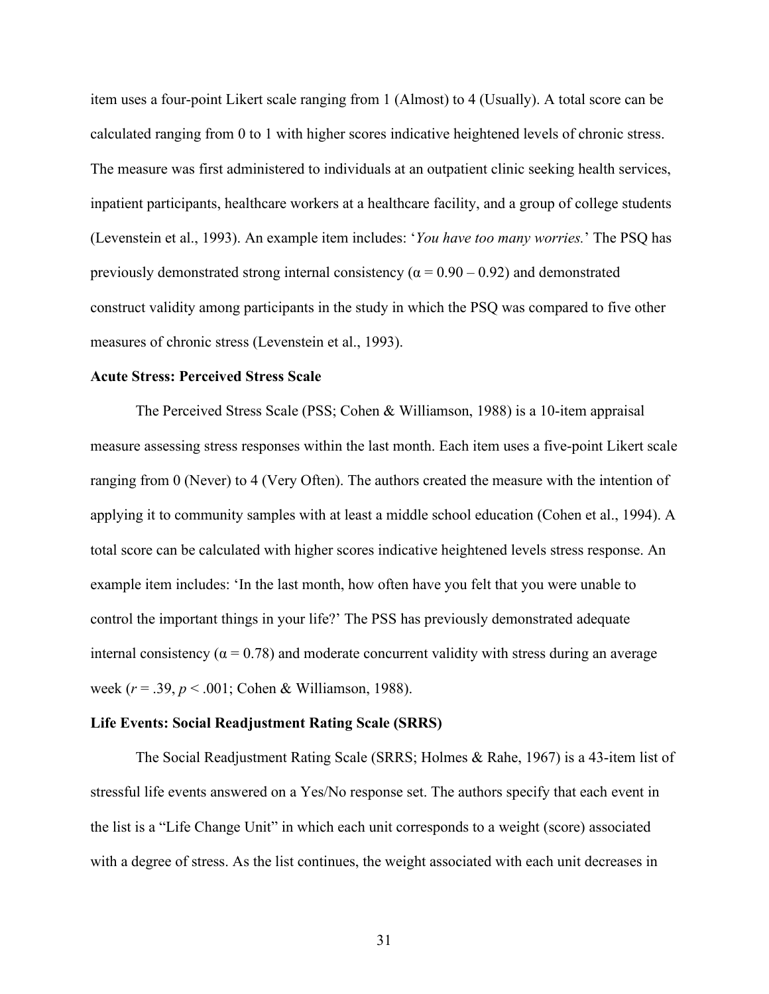item uses a four-point Likert scale ranging from 1 (Almost) to 4 (Usually). A total score can be calculated ranging from 0 to 1 with higher scores indicative heightened levels of chronic stress. The measure was first administered to individuals at an outpatient clinic seeking health services, inpatient participants, healthcare workers at a healthcare facility, and a group of college students (Levenstein et al., 1993). An example item includes: '*You have too many worries.*' The PSQ has previously demonstrated strong internal consistency ( $\alpha = 0.90 - 0.92$ ) and demonstrated construct validity among participants in the study in which the PSQ was compared to five other measures of chronic stress (Levenstein et al., 1993).

## **Acute Stress: Perceived Stress Scale**

The Perceived Stress Scale (PSS; Cohen & Williamson, 1988) is a 10-item appraisal measure assessing stress responses within the last month. Each item uses a five-point Likert scale ranging from 0 (Never) to 4 (Very Often). The authors created the measure with the intention of applying it to community samples with at least a middle school education (Cohen et al., 1994). A total score can be calculated with higher scores indicative heightened levels stress response. An example item includes: 'In the last month, how often have you felt that you were unable to control the important things in your life?' The PSS has previously demonstrated adequate internal consistency ( $\alpha$  = 0.78) and moderate concurrent validity with stress during an average week (*r* = .39, *p* < .001; Cohen & Williamson, 1988).

## **Life Events: Social Readjustment Rating Scale (SRRS)**

The Social Readjustment Rating Scale (SRRS; Holmes & Rahe, 1967) is a 43-item list of stressful life events answered on a Yes/No response set. The authors specify that each event in the list is a "Life Change Unit" in which each unit corresponds to a weight (score) associated with a degree of stress. As the list continues, the weight associated with each unit decreases in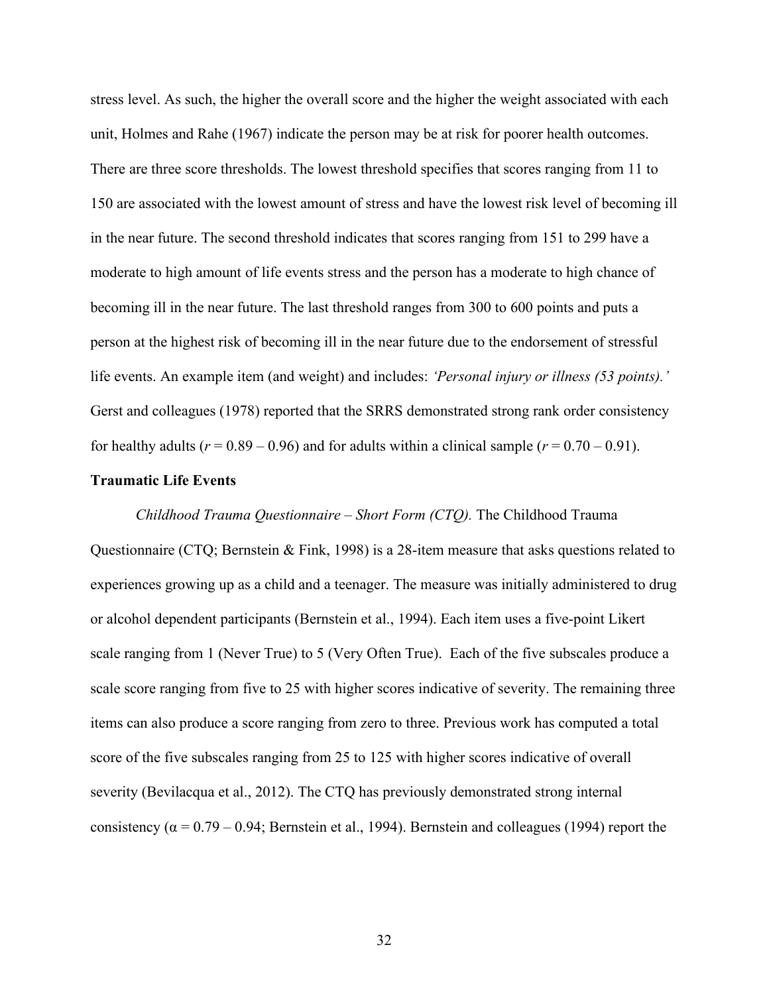stress level. As such, the higher the overall score and the higher the weight associated with each unit, Holmes and Rahe (1967) indicate the person may be at risk for poorer health outcomes. There are three score thresholds. The lowest threshold specifies that scores ranging from 11 to 150 are associated with the lowest amount of stress and have the lowest risk level of becoming ill in the near future. The second threshold indicates that scores ranging from 151 to 299 have a moderate to high amount of life events stress and the person has a moderate to high chance of becoming ill in the near future. The last threshold ranges from 300 to 600 points and puts a person at the highest risk of becoming ill in the near future due to the endorsement of stressful life events. An example item (and weight) and includes: *'Personal injury or illness (53 points).'* Gerst and colleagues (1978) reported that the SRRS demonstrated strong rank order consistency for healthy adults ( $r = 0.89 - 0.96$ ) and for adults within a clinical sample ( $r = 0.70 - 0.91$ ).

# **Traumatic Life Events**

*Childhood Trauma Questionnaire – Short Form (CTQ).* The Childhood Trauma Questionnaire (CTQ; Bernstein & Fink, 1998) is a 28-item measure that asks questions related to experiences growing up as a child and a teenager. The measure was initially administered to drug or alcohol dependent participants (Bernstein et al., 1994). Each item uses a five-point Likert scale ranging from 1 (Never True) to 5 (Very Often True). Each of the five subscales produce a scale score ranging from five to 25 with higher scores indicative of severity. The remaining three items can also produce a score ranging from zero to three. Previous work has computed a total score of the five subscales ranging from 25 to 125 with higher scores indicative of overall severity (Bevilacqua et al., 2012). The CTQ has previously demonstrated strong internal consistency ( $\alpha$  = 0.79 – 0.94; Bernstein et al., 1994). Bernstein and colleagues (1994) report the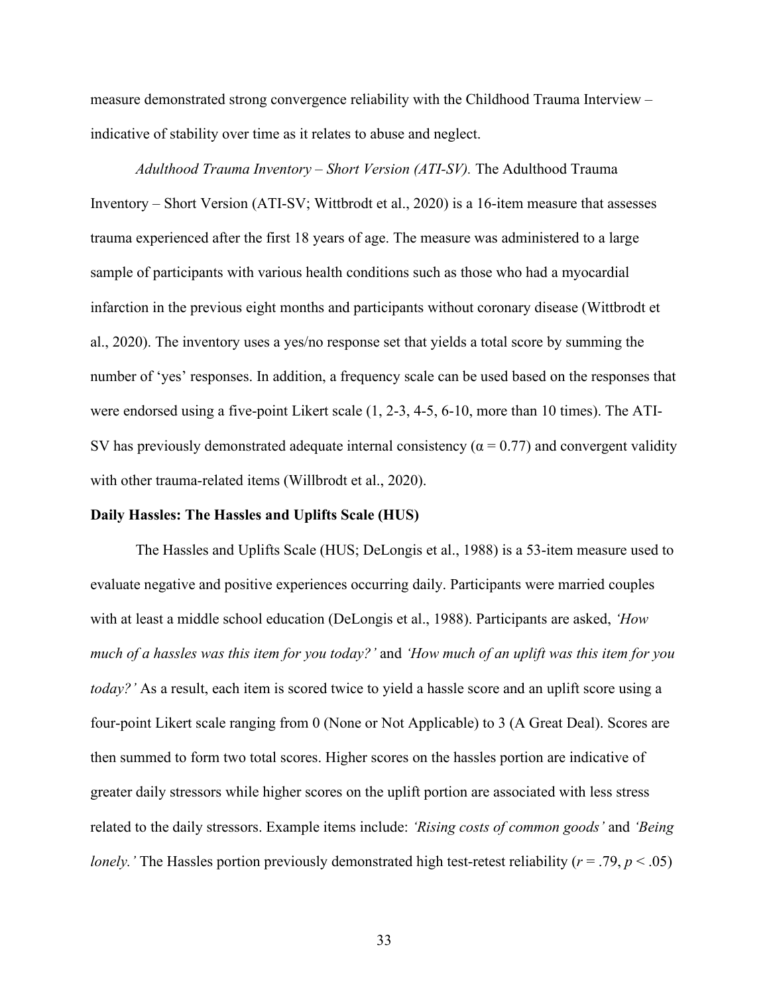measure demonstrated strong convergence reliability with the Childhood Trauma Interview – indicative of stability over time as it relates to abuse and neglect.

*Adulthood Trauma Inventory – Short Version (ATI-SV).* The Adulthood Trauma Inventory – Short Version (ATI-SV; Wittbrodt et al., 2020) is a 16-item measure that assesses trauma experienced after the first 18 years of age. The measure was administered to a large sample of participants with various health conditions such as those who had a myocardial infarction in the previous eight months and participants without coronary disease (Wittbrodt et al., 2020). The inventory uses a yes/no response set that yields a total score by summing the number of 'yes' responses. In addition, a frequency scale can be used based on the responses that were endorsed using a five-point Likert scale (1, 2-3, 4-5, 6-10, more than 10 times). The ATI-SV has previously demonstrated adequate internal consistency ( $\alpha$  = 0.77) and convergent validity with other trauma-related items (Willbrodt et al., 2020).

# **Daily Hassles: The Hassles and Uplifts Scale (HUS)**

The Hassles and Uplifts Scale (HUS; DeLongis et al., 1988) is a 53-item measure used to evaluate negative and positive experiences occurring daily. Participants were married couples with at least a middle school education (DeLongis et al., 1988). Participants are asked, *'How much of a hassles was this item for you today?'* and *'How much of an uplift was this item for you today?'* As a result, each item is scored twice to yield a hassle score and an uplift score using a four-point Likert scale ranging from 0 (None or Not Applicable) to 3 (A Great Deal). Scores are then summed to form two total scores. Higher scores on the hassles portion are indicative of greater daily stressors while higher scores on the uplift portion are associated with less stress related to the daily stressors. Example items include: *'Rising costs of common goods'* and *'Being lonely.'* The Hassles portion previously demonstrated high test-retest reliability ( $r = .79$ ,  $p < .05$ )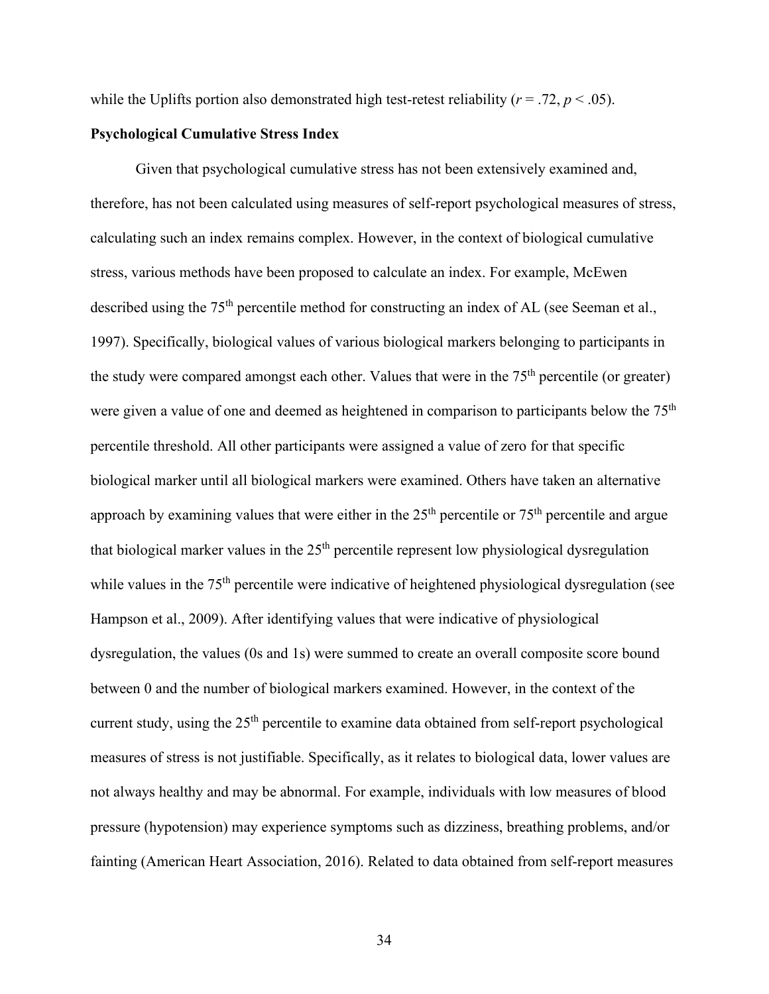while the Uplifts portion also demonstrated high test-retest reliability ( $r = .72$ ,  $p < .05$ ).

# **Psychological Cumulative Stress Index**

Given that psychological cumulative stress has not been extensively examined and, therefore, has not been calculated using measures of self-report psychological measures of stress, calculating such an index remains complex. However, in the context of biological cumulative stress, various methods have been proposed to calculate an index. For example, McEwen described using the 75<sup>th</sup> percentile method for constructing an index of AL (see Seeman et al., 1997). Specifically, biological values of various biological markers belonging to participants in the study were compared amongst each other. Values that were in the  $75<sup>th</sup>$  percentile (or greater) were given a value of one and deemed as heightened in comparison to participants below the 75<sup>th</sup> percentile threshold. All other participants were assigned a value of zero for that specific biological marker until all biological markers were examined. Others have taken an alternative approach by examining values that were either in the  $25<sup>th</sup>$  percentile or  $75<sup>th</sup>$  percentile and argue that biological marker values in the  $25<sup>th</sup>$  percentile represent low physiological dysregulation while values in the 75<sup>th</sup> percentile were indicative of heightened physiological dysregulation (see Hampson et al., 2009). After identifying values that were indicative of physiological dysregulation, the values (0s and 1s) were summed to create an overall composite score bound between 0 and the number of biological markers examined. However, in the context of the current study, using the 25<sup>th</sup> percentile to examine data obtained from self-report psychological measures of stress is not justifiable. Specifically, as it relates to biological data, lower values are not always healthy and may be abnormal. For example, individuals with low measures of blood pressure (hypotension) may experience symptoms such as dizziness, breathing problems, and/or fainting (American Heart Association, 2016). Related to data obtained from self-report measures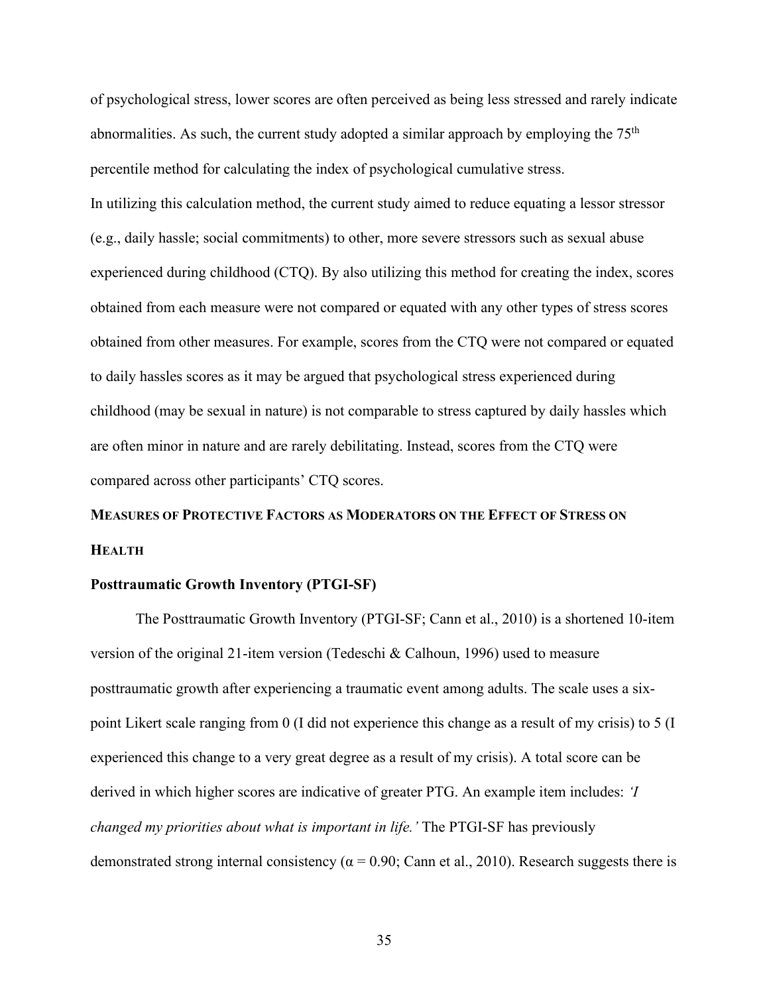of psychological stress, lower scores are often perceived as being less stressed and rarely indicate abnormalities. As such, the current study adopted a similar approach by employing the  $75<sup>th</sup>$ percentile method for calculating the index of psychological cumulative stress. In utilizing this calculation method, the current study aimed to reduce equating a lessor stressor (e.g., daily hassle; social commitments) to other, more severe stressors such as sexual abuse experienced during childhood (CTQ). By also utilizing this method for creating the index, scores obtained from each measure were not compared or equated with any other types of stress scores obtained from other measures. For example, scores from the CTQ were not compared or equated to daily hassles scores as it may be argued that psychological stress experienced during childhood (may be sexual in nature) is not comparable to stress captured by daily hassles which are often minor in nature and are rarely debilitating. Instead, scores from the CTQ were compared across other participants' CTQ scores.

# **MEASURES OF PROTECTIVE FACTORS AS MODERATORS ON THE EFFECT OF STRESS ON HEALTH**

## **Posttraumatic Growth Inventory (PTGI-SF)**

The Posttraumatic Growth Inventory (PTGI-SF; Cann et al., 2010) is a shortened 10-item version of the original 21-item version (Tedeschi & Calhoun, 1996) used to measure posttraumatic growth after experiencing a traumatic event among adults. The scale uses a sixpoint Likert scale ranging from 0 (I did not experience this change as a result of my crisis) to 5 (I experienced this change to a very great degree as a result of my crisis). A total score can be derived in which higher scores are indicative of greater PTG. An example item includes: *'I changed my priorities about what is important in life.'* The PTGI-SF has previously demonstrated strong internal consistency ( $α = 0.90$ ; Cann et al., 2010). Research suggests there is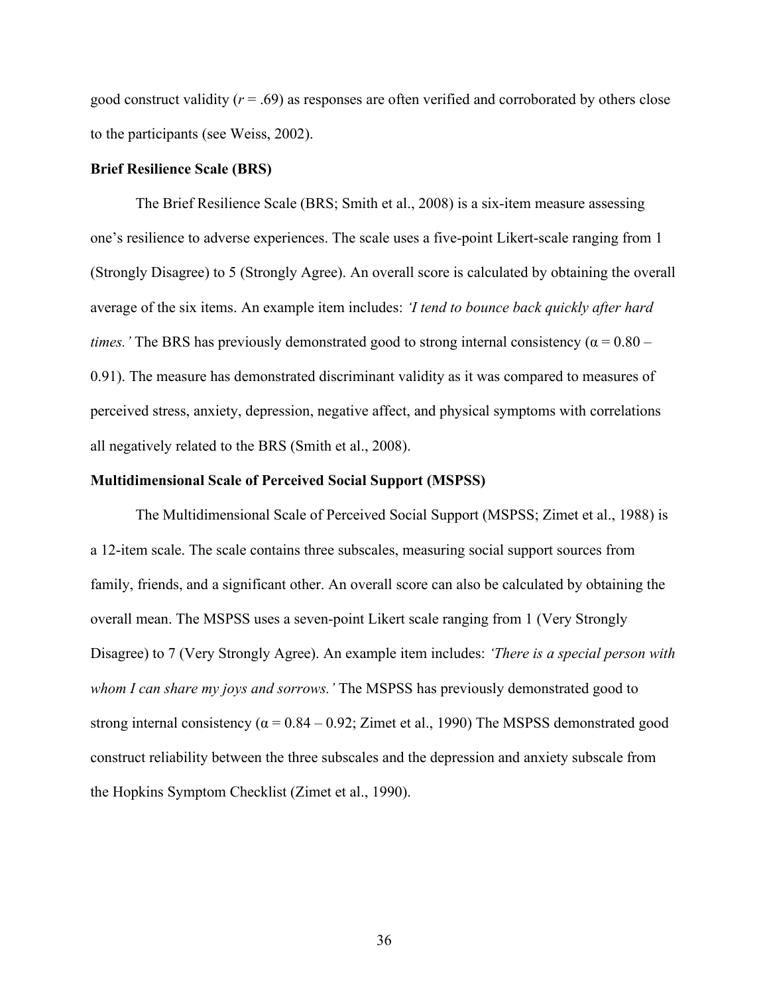good construct validity (*r* = .69) as responses are often verified and corroborated by others close to the participants (see Weiss, 2002).

## **Brief Resilience Scale (BRS)**

The Brief Resilience Scale (BRS; Smith et al., 2008) is a six-item measure assessing one's resilience to adverse experiences. The scale uses a five-point Likert-scale ranging from 1 (Strongly Disagree) to 5 (Strongly Agree). An overall score is calculated by obtaining the overall average of the six items. An example item includes: *'I tend to bounce back quickly after hard times.'* The BRS has previously demonstrated good to strong internal consistency ( $\alpha = 0.80 -$ 0.91). The measure has demonstrated discriminant validity as it was compared to measures of perceived stress, anxiety, depression, negative affect, and physical symptoms with correlations all negatively related to the BRS (Smith et al., 2008).

## **Multidimensional Scale of Perceived Social Support (MSPSS)**

The Multidimensional Scale of Perceived Social Support (MSPSS; Zimet et al., 1988) is a 12-item scale. The scale contains three subscales, measuring social support sources from family, friends, and a significant other. An overall score can also be calculated by obtaining the overall mean. The MSPSS uses a seven-point Likert scale ranging from 1 (Very Strongly Disagree) to 7 (Very Strongly Agree). An example item includes: *'There is a special person with whom I can share my joys and sorrows.'* The MSPSS has previously demonstrated good to strong internal consistency ( $\alpha$  = 0.84 – 0.92; Zimet et al., 1990) The MSPSS demonstrated good construct reliability between the three subscales and the depression and anxiety subscale from the Hopkins Symptom Checklist (Zimet et al., 1990).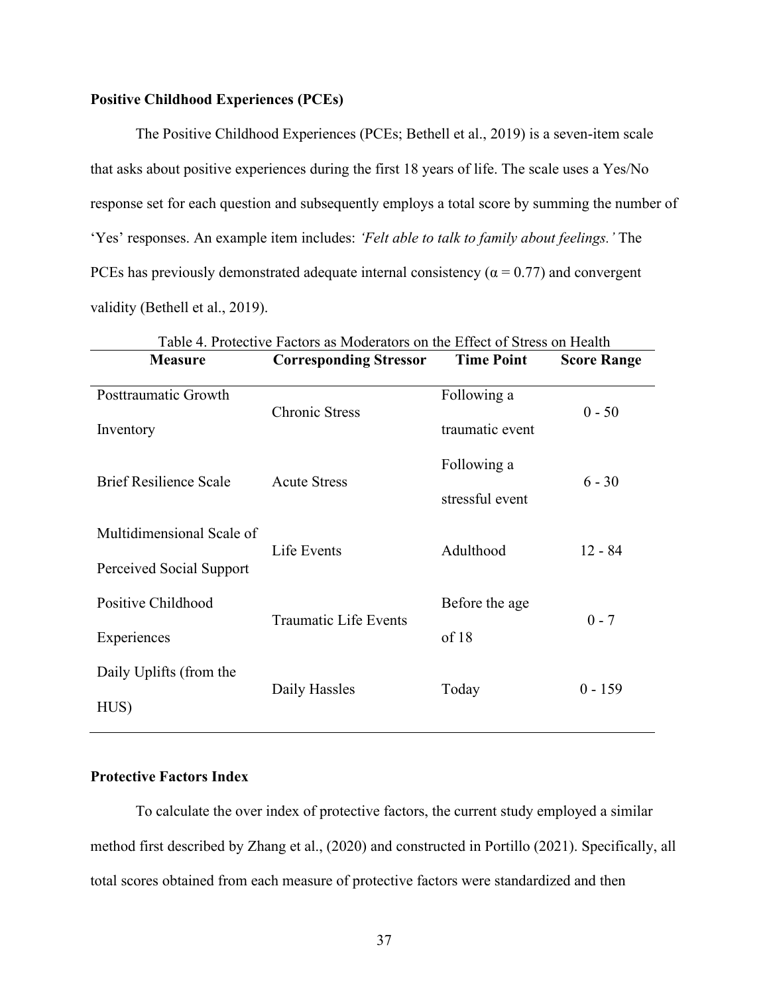# **Positive Childhood Experiences (PCEs)**

The Positive Childhood Experiences (PCEs; Bethell et al., 2019) is a seven-item scale that asks about positive experiences during the first 18 years of life. The scale uses a Yes/No response set for each question and subsequently employs a total score by summing the number of 'Yes' responses. An example item includes: *'Felt able to talk to family about feelings.'* The PCEs has previously demonstrated adequate internal consistency ( $\alpha$  = 0.77) and convergent validity (Bethell et al., 2019).

| Table 4. Protective Factors as Moderators on the Effect of Stress on Health |                               |                                |                    |  |  |  |  |  |
|-----------------------------------------------------------------------------|-------------------------------|--------------------------------|--------------------|--|--|--|--|--|
| <b>Measure</b>                                                              | <b>Corresponding Stressor</b> | <b>Time Point</b>              | <b>Score Range</b> |  |  |  |  |  |
| Posttraumatic Growth<br>Inventory                                           | <b>Chronic Stress</b>         | Following a<br>traumatic event | $0 - 50$           |  |  |  |  |  |
| <b>Brief Resilience Scale</b>                                               | <b>Acute Stress</b>           | Following a<br>stressful event | $6 - 30$           |  |  |  |  |  |
| Multidimensional Scale of<br>Perceived Social Support                       | Life Events                   | Adulthood                      | $12 - 84$          |  |  |  |  |  |
| Positive Childhood<br>Experiences                                           | <b>Traumatic Life Events</b>  | Before the age<br>of 18        | $0 - 7$            |  |  |  |  |  |
| Daily Uplifts (from the<br>HUS)                                             | Daily Hassles                 | Today                          | $0 - 159$          |  |  |  |  |  |

# **Protective Factors Index**

To calculate the over index of protective factors, the current study employed a similar method first described by Zhang et al., (2020) and constructed in Portillo (2021). Specifically, all total scores obtained from each measure of protective factors were standardized and then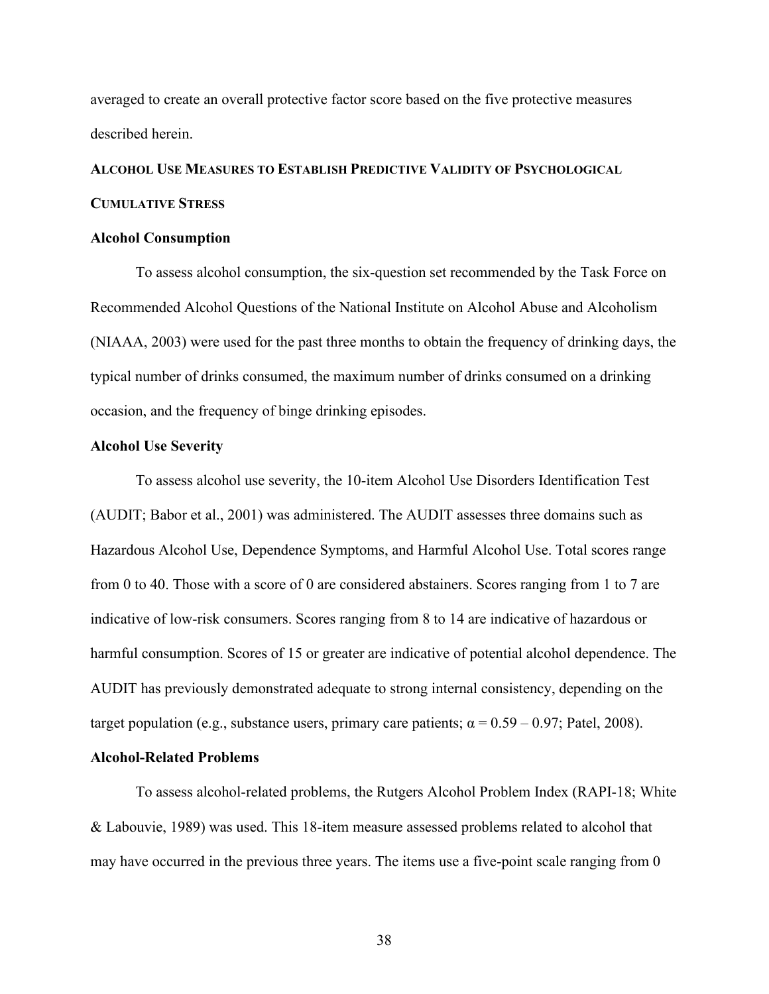averaged to create an overall protective factor score based on the five protective measures described herein.

# **ALCOHOL USE MEASURES TO ESTABLISH PREDICTIVE VALIDITY OF PSYCHOLOGICAL CUMULATIVE STRESS**

## **Alcohol Consumption**

To assess alcohol consumption, the six-question set recommended by the Task Force on Recommended Alcohol Questions of the National Institute on Alcohol Abuse and Alcoholism (NIAAA, 2003) were used for the past three months to obtain the frequency of drinking days, the typical number of drinks consumed, the maximum number of drinks consumed on a drinking occasion, and the frequency of binge drinking episodes.

## **Alcohol Use Severity**

To assess alcohol use severity, the 10-item Alcohol Use Disorders Identification Test (AUDIT; Babor et al., 2001) was administered. The AUDIT assesses three domains such as Hazardous Alcohol Use, Dependence Symptoms, and Harmful Alcohol Use. Total scores range from 0 to 40. Those with a score of 0 are considered abstainers. Scores ranging from 1 to 7 are indicative of low-risk consumers. Scores ranging from 8 to 14 are indicative of hazardous or harmful consumption. Scores of 15 or greater are indicative of potential alcohol dependence. The AUDIT has previously demonstrated adequate to strong internal consistency, depending on the target population (e.g., substance users, primary care patients;  $\alpha = 0.59 - 0.97$ ; Patel, 2008).

## **Alcohol-Related Problems**

To assess alcohol-related problems, the Rutgers Alcohol Problem Index (RAPI-18; White & Labouvie, 1989) was used. This 18-item measure assessed problems related to alcohol that may have occurred in the previous three years. The items use a five-point scale ranging from 0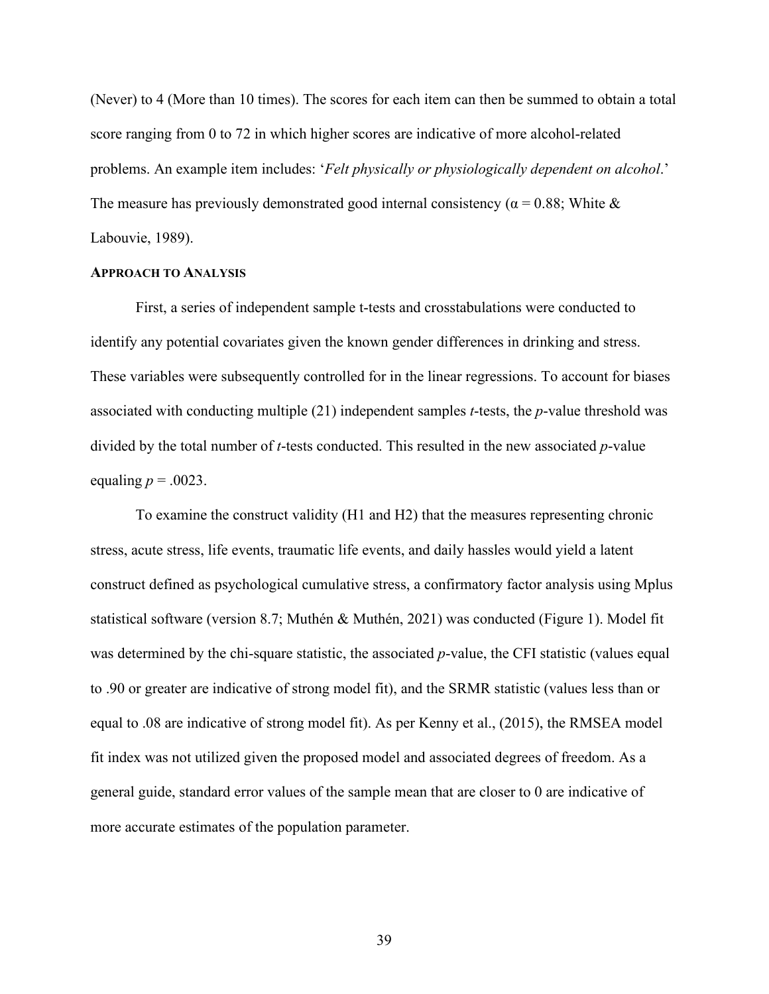(Never) to 4 (More than 10 times). The scores for each item can then be summed to obtain a total score ranging from 0 to 72 in which higher scores are indicative of more alcohol-related problems. An example item includes: '*Felt physically or physiologically dependent on alcohol*.' The measure has previously demonstrated good internal consistency ( $\alpha$  = 0.88; White & Labouvie, 1989).

# **APPROACH TO ANALYSIS**

First, a series of independent sample t-tests and crosstabulations were conducted to identify any potential covariates given the known gender differences in drinking and stress. These variables were subsequently controlled for in the linear regressions. To account for biases associated with conducting multiple (21) independent samples *t*-tests, the *p*-value threshold was divided by the total number of *t*-tests conducted. This resulted in the new associated *p*-value equaling  $p = .0023$ .

To examine the construct validity (H1 and H2) that the measures representing chronic stress, acute stress, life events, traumatic life events, and daily hassles would yield a latent construct defined as psychological cumulative stress, a confirmatory factor analysis using Mplus statistical software (version 8.7; Muthén & Muthén, 2021) was conducted (Figure 1). Model fit was determined by the chi-square statistic, the associated *p*-value, the CFI statistic (values equal to .90 or greater are indicative of strong model fit), and the SRMR statistic (values less than or equal to .08 are indicative of strong model fit). As per Kenny et al., (2015), the RMSEA model fit index was not utilized given the proposed model and associated degrees of freedom. As a general guide, standard error values of the sample mean that are closer to 0 are indicative of more accurate estimates of the population parameter.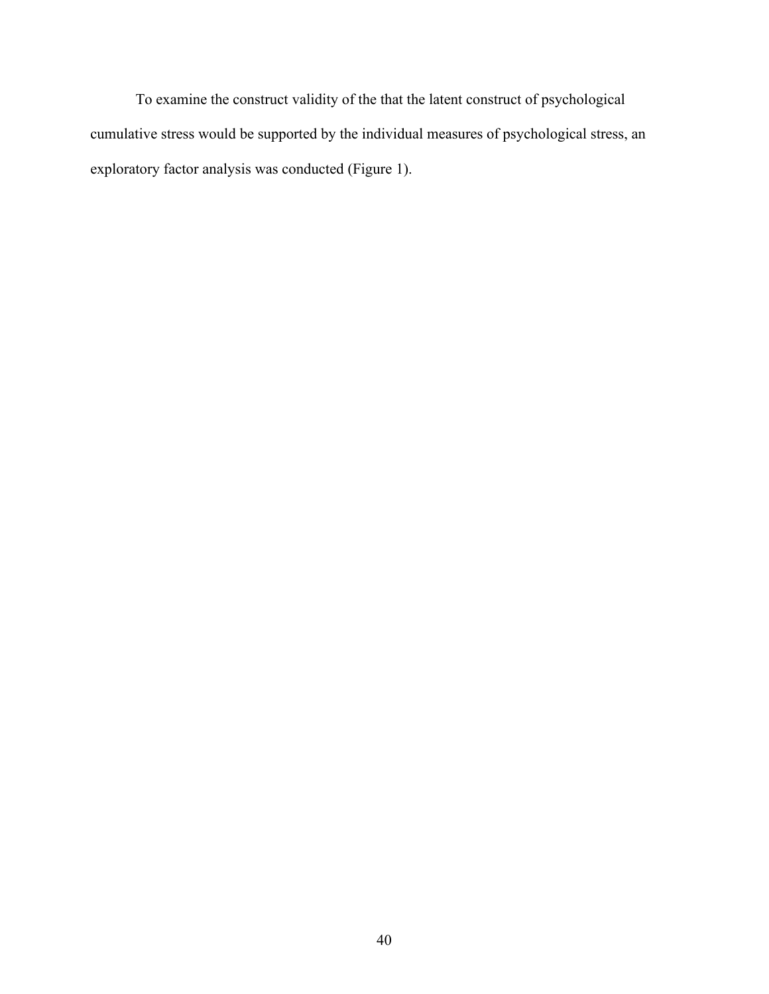To examine the construct validity of the that the latent construct of psychological cumulative stress would be supported by the individual measures of psychological stress, an exploratory factor analysis was conducted (Figure 1).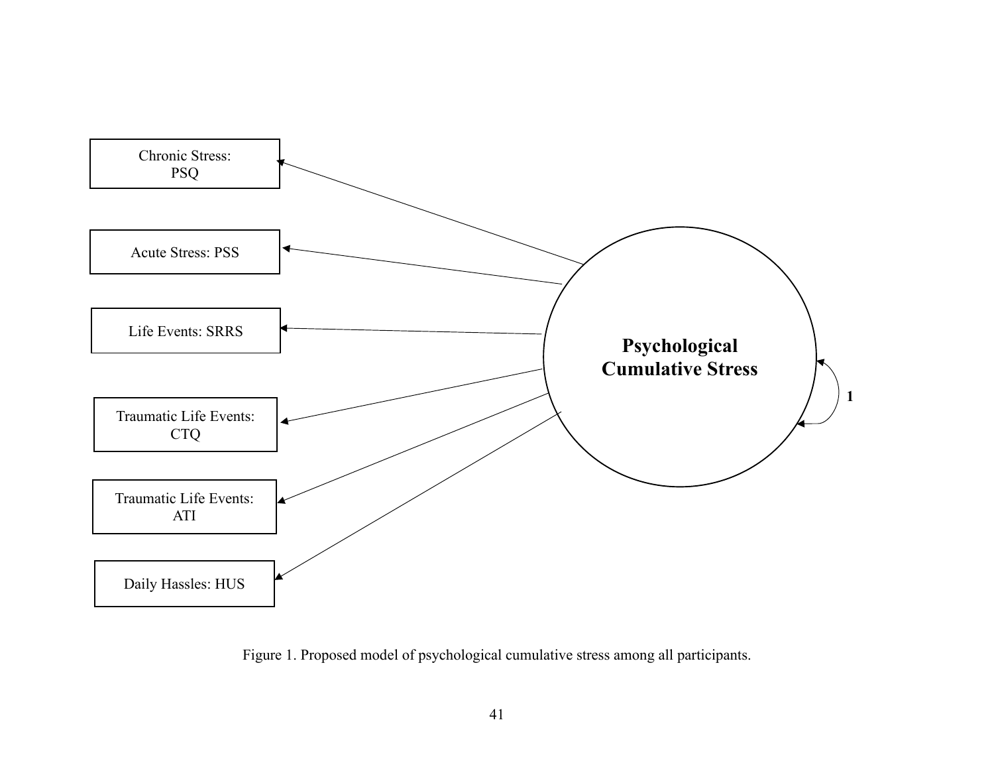

Figure 1. Proposed model of psychological cumulative stress among all participants.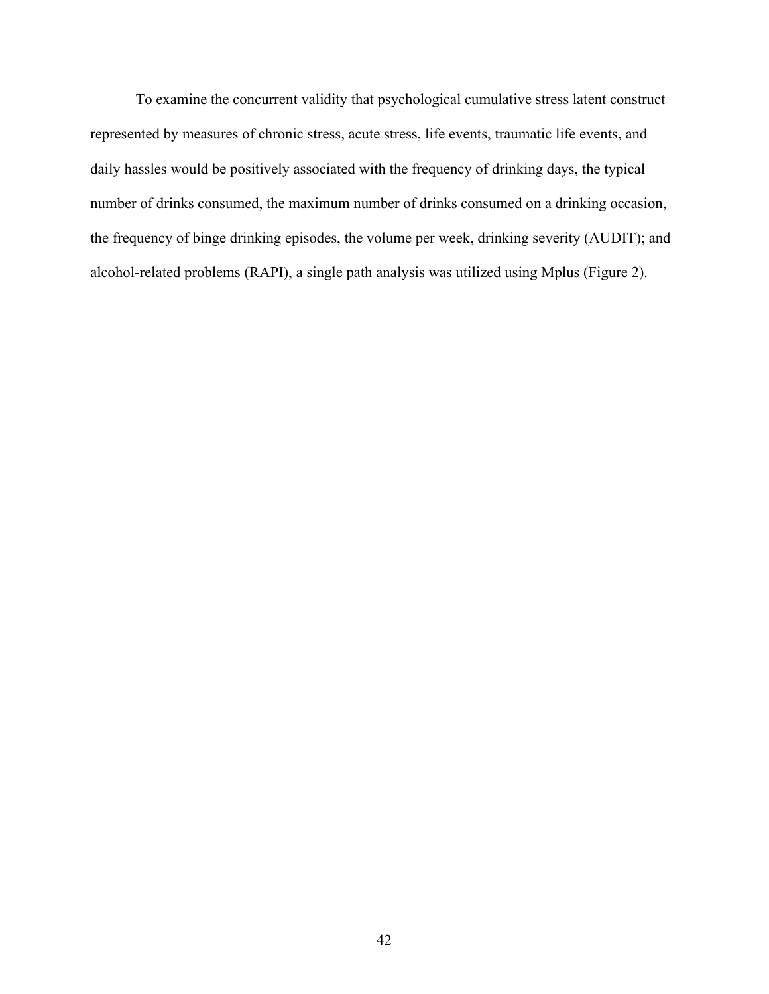To examine the concurrent validity that psychological cumulative stress latent construct represented by measures of chronic stress, acute stress, life events, traumatic life events, and daily hassles would be positively associated with the frequency of drinking days, the typical number of drinks consumed, the maximum number of drinks consumed on a drinking occasion, the frequency of binge drinking episodes, the volume per week, drinking severity (AUDIT); and alcohol-related problems (RAPI), a single path analysis was utilized using Mplus (Figure 2).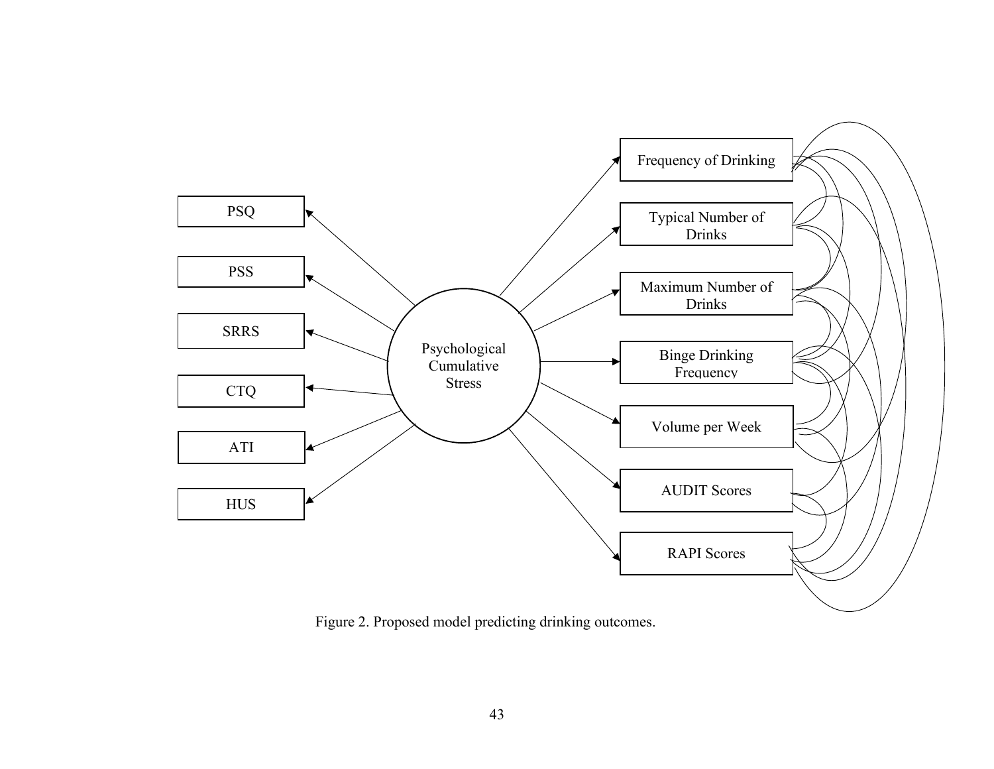

Figure 2. Proposed model predicting drinking outcomes.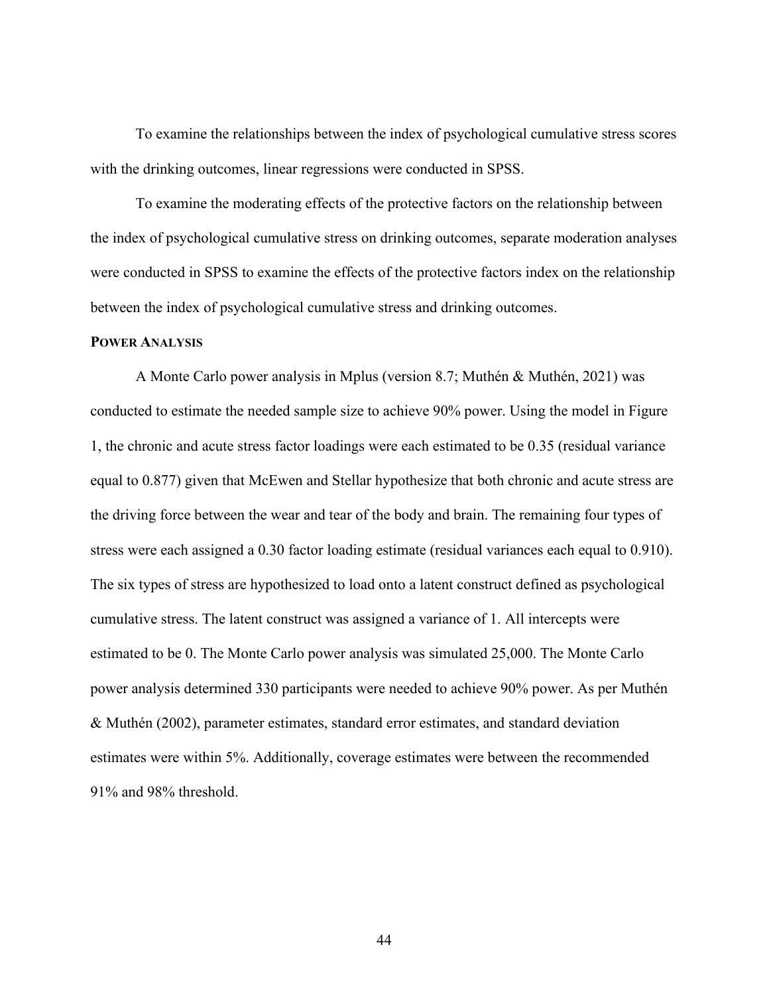To examine the relationships between the index of psychological cumulative stress scores with the drinking outcomes, linear regressions were conducted in SPSS.

To examine the moderating effects of the protective factors on the relationship between the index of psychological cumulative stress on drinking outcomes, separate moderation analyses were conducted in SPSS to examine the effects of the protective factors index on the relationship between the index of psychological cumulative stress and drinking outcomes.

## **POWER ANALYSIS**

A Monte Carlo power analysis in Mplus (version 8.7; Muthén & Muthén, 2021) was conducted to estimate the needed sample size to achieve 90% power. Using the model in Figure 1, the chronic and acute stress factor loadings were each estimated to be 0.35 (residual variance equal to 0.877) given that McEwen and Stellar hypothesize that both chronic and acute stress are the driving force between the wear and tear of the body and brain. The remaining four types of stress were each assigned a 0.30 factor loading estimate (residual variances each equal to 0.910). The six types of stress are hypothesized to load onto a latent construct defined as psychological cumulative stress. The latent construct was assigned a variance of 1. All intercepts were estimated to be 0. The Monte Carlo power analysis was simulated 25,000. The Monte Carlo power analysis determined 330 participants were needed to achieve 90% power. As per Muthén & Muthén (2002), parameter estimates, standard error estimates, and standard deviation estimates were within 5%. Additionally, coverage estimates were between the recommended 91% and 98% threshold.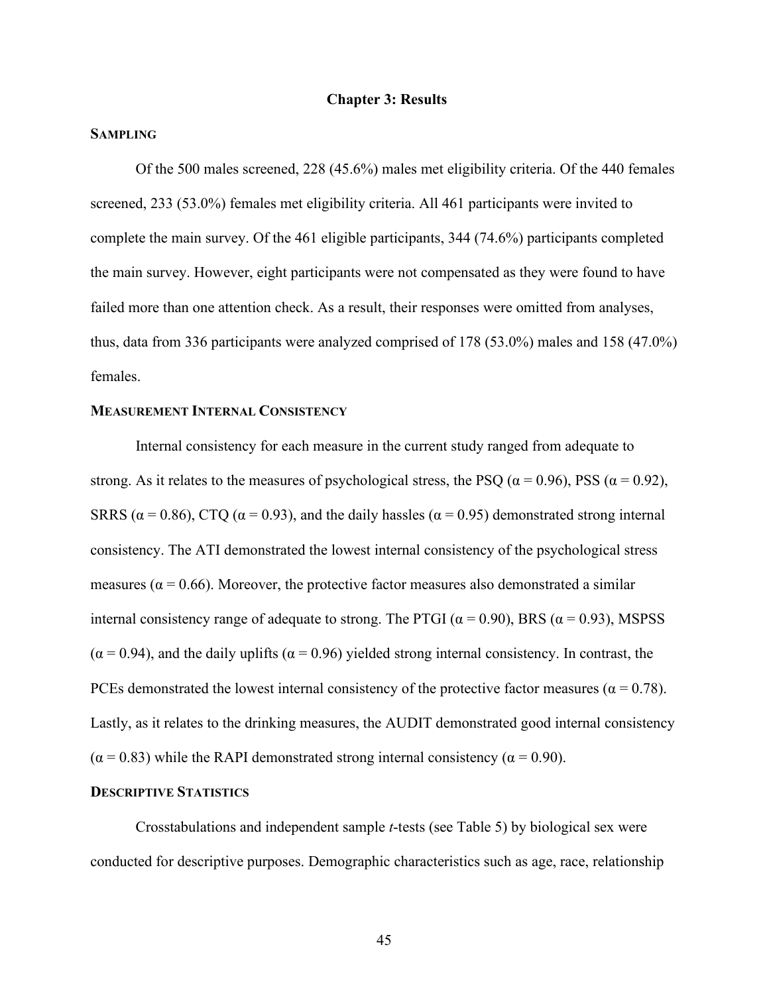## **Chapter 3: Results**

# **SAMPLING**

Of the 500 males screened, 228 (45.6%) males met eligibility criteria. Of the 440 females screened, 233 (53.0%) females met eligibility criteria. All 461 participants were invited to complete the main survey. Of the 461 eligible participants, 344 (74.6%) participants completed the main survey. However, eight participants were not compensated as they were found to have failed more than one attention check. As a result, their responses were omitted from analyses, thus, data from 336 participants were analyzed comprised of 178 (53.0%) males and 158 (47.0%) females.

## **MEASUREMENT INTERNAL CONSISTENCY**

Internal consistency for each measure in the current study ranged from adequate to strong. As it relates to the measures of psychological stress, the PSQ ( $\alpha = 0.96$ ), PSS ( $\alpha = 0.92$ ), SRRS ( $\alpha$  = 0.86), CTQ ( $\alpha$  = 0.93), and the daily hassles ( $\alpha$  = 0.95) demonstrated strong internal consistency. The ATI demonstrated the lowest internal consistency of the psychological stress measures ( $\alpha$  = 0.66). Moreover, the protective factor measures also demonstrated a similar internal consistency range of adequate to strong. The PTGI ( $\alpha$  = 0.90), BRS ( $\alpha$  = 0.93), MSPSS  $(\alpha = 0.94)$ , and the daily uplifts  $(\alpha = 0.96)$  yielded strong internal consistency. In contrast, the PCEs demonstrated the lowest internal consistency of the protective factor measures ( $\alpha = 0.78$ ). Lastly, as it relates to the drinking measures, the AUDIT demonstrated good internal consistency  $(\alpha = 0.83)$  while the RAPI demonstrated strong internal consistency ( $\alpha = 0.90$ ).

# **DESCRIPTIVE STATISTICS**

Crosstabulations and independent sample *t*-tests (see Table 5) by biological sex were conducted for descriptive purposes. Demographic characteristics such as age, race, relationship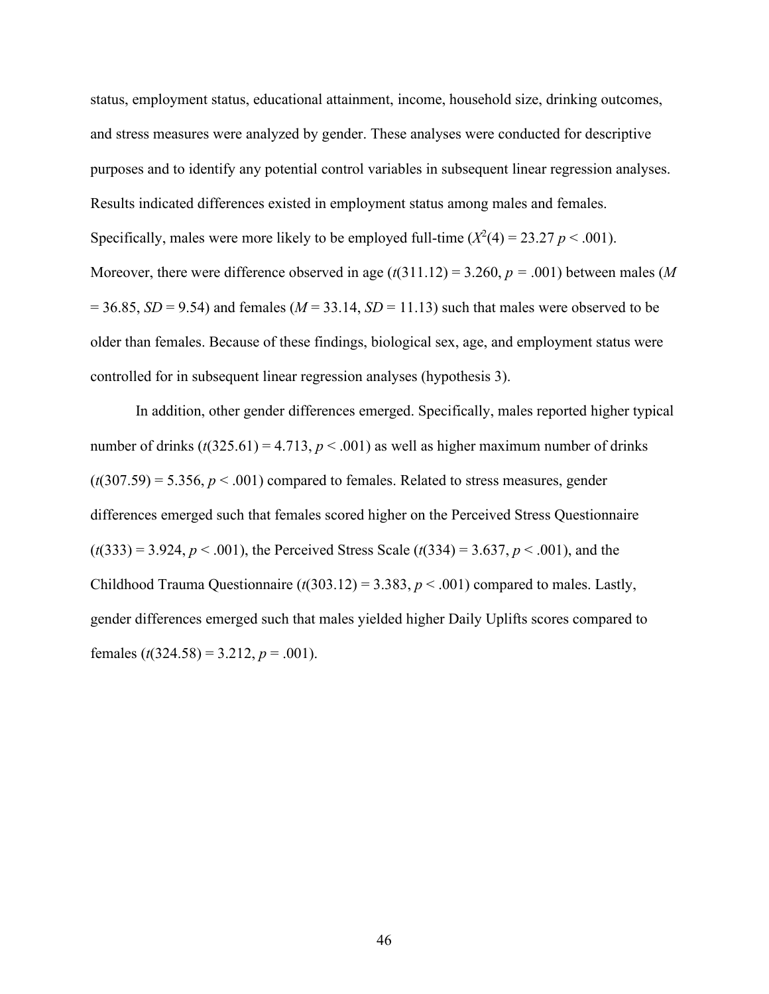status, employment status, educational attainment, income, household size, drinking outcomes, and stress measures were analyzed by gender. These analyses were conducted for descriptive purposes and to identify any potential control variables in subsequent linear regression analyses. Results indicated differences existed in employment status among males and females. Specifically, males were more likely to be employed full-time  $(X^2(4) = 23.27 \ p < .001)$ . Moreover, there were difference observed in age (*t*(311.12) = 3.260, *p =* .001) between males (*M*  $= 36.85$ , *SD* = 9.54) and females (*M* = 33.14, *SD* = 11.13) such that males were observed to be older than females. Because of these findings, biological sex, age, and employment status were controlled for in subsequent linear regression analyses (hypothesis 3).

In addition, other gender differences emerged. Specifically, males reported higher typical number of drinks  $(t(325.61) = 4.713, p < .001)$  as well as higher maximum number of drinks  $(t(307.59) = 5.356, p < .001)$  compared to females. Related to stress measures, gender differences emerged such that females scored higher on the Perceived Stress Questionnaire  $(t(333) = 3.924, p < .001)$ , the Perceived Stress Scale  $(t(334) = 3.637, p < .001)$ , and the Childhood Trauma Questionnaire  $(t(303.12) = 3.383, p < .001)$  compared to males. Lastly, gender differences emerged such that males yielded higher Daily Uplifts scores compared to females  $(t(324.58) = 3.212, p = .001)$ .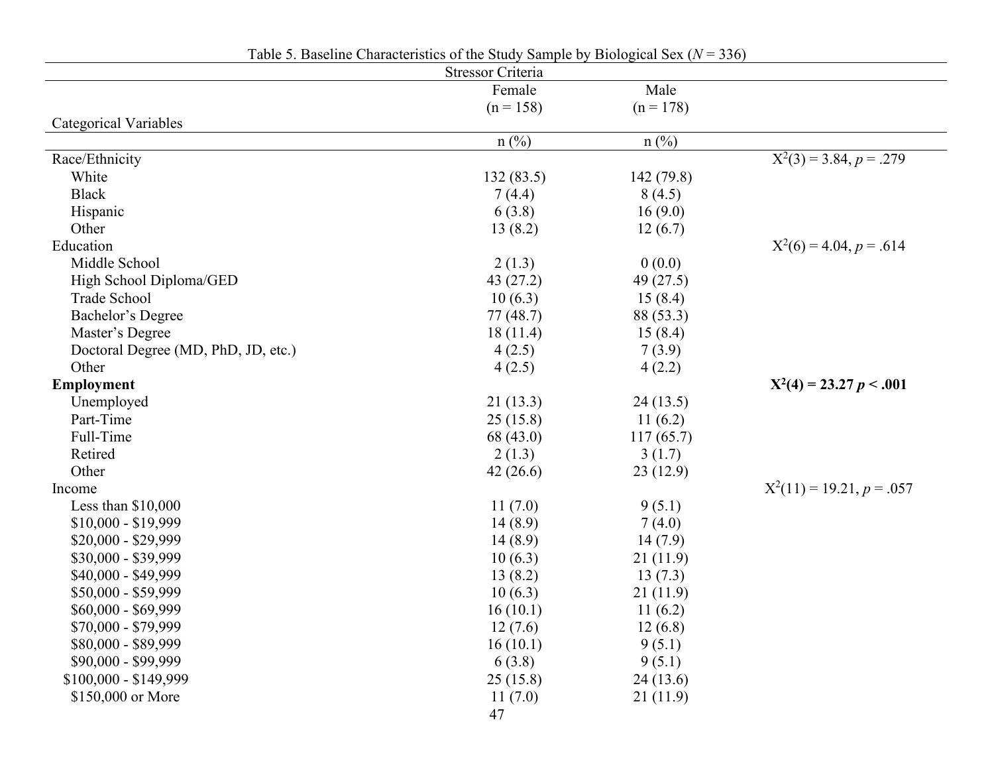|                                     | Table 5. Baseline Characteristics of the Study Sample by Biological Sex ( $N = 336$ ) |                |                                      |
|-------------------------------------|---------------------------------------------------------------------------------------|----------------|--------------------------------------|
|                                     | Stressor Criteria                                                                     |                |                                      |
|                                     | Female                                                                                | Male           |                                      |
|                                     | $(n = 158)$                                                                           | $(n = 178)$    |                                      |
| <b>Categorical Variables</b>        |                                                                                       |                |                                      |
|                                     | $n$ (%)                                                                               | $n(^{0}/_{0})$ |                                      |
| Race/Ethnicity                      |                                                                                       |                | $\overline{X^2(3)} = 3.84, p = .279$ |
| White                               | 132(83.5)                                                                             | 142(79.8)      |                                      |
| <b>Black</b>                        | 7(4.4)                                                                                | 8(4.5)         |                                      |
| Hispanic                            | 6(3.8)                                                                                | 16(9.0)        |                                      |
| Other                               | 13(8.2)                                                                               | 12(6.7)        |                                      |
| Education                           |                                                                                       |                | $X^2(6) = 4.04, p = .614$            |
| Middle School                       | 2(1.3)                                                                                | 0(0.0)         |                                      |
| High School Diploma/GED             | 43(27.2)                                                                              | 49 $(27.5)$    |                                      |
| Trade School                        | 10(6.3)                                                                               | 15(8.4)        |                                      |
| Bachelor's Degree                   | 77(48.7)                                                                              | 88 (53.3)      |                                      |
| Master's Degree                     | 18(11.4)                                                                              | 15(8.4)        |                                      |
| Doctoral Degree (MD, PhD, JD, etc.) | 4(2.5)                                                                                | 7(3.9)         |                                      |
| Other                               | 4(2.5)                                                                                | 4(2.2)         |                                      |
| <b>Employment</b>                   |                                                                                       |                | $X^2(4) = 23.27 p < .001$            |
| Unemployed                          | 21(13.3)                                                                              | 24(13.5)       |                                      |
| Part-Time                           | 25(15.8)                                                                              | 11 $(6.2)$     |                                      |
| Full-Time                           | 68 (43.0)                                                                             | 117(65.7)      |                                      |
| Retired                             | 2(1.3)                                                                                | 3(1.7)         |                                      |
| Other                               | 42(26.6)                                                                              | 23(12.9)       |                                      |
| Income                              |                                                                                       |                | $X^2(11) = 19.21, p = .057$          |
| Less than $$10,000$                 | 11(7.0)                                                                               | 9(5.1)         |                                      |
| $$10,000 - $19,999$                 | 14(8.9)                                                                               | 7(4.0)         |                                      |
| \$20,000 - \$29,999                 | 14(8.9)                                                                               | 14(7.9)        |                                      |
| \$30,000 - \$39,999                 | 10(6.3)                                                                               | 21(11.9)       |                                      |
| \$40,000 - \$49,999                 | 13(8.2)                                                                               | 13(7.3)        |                                      |
| \$50,000 - \$59,999                 | 10(6.3)                                                                               | 21(11.9)       |                                      |
| \$60,000 - \$69,999                 | 16(10.1)                                                                              | 11(6.2)        |                                      |
| \$70,000 - \$79,999                 | 12(7.6)                                                                               | 12(6.8)        |                                      |
| \$80,000 - \$89,999                 | 16(10.1)                                                                              | 9(5.1)         |                                      |
| \$90,000 - \$99,999                 | 6(3.8)                                                                                | 9(5.1)         |                                      |
| $$100,000 - $149,999$               | 25(15.8)                                                                              | 24(13.6)       |                                      |
| \$150,000 or More                   | 11(7.0)                                                                               | 21(11.9)       |                                      |
|                                     | 47                                                                                    |                |                                      |
|                                     |                                                                                       |                |                                      |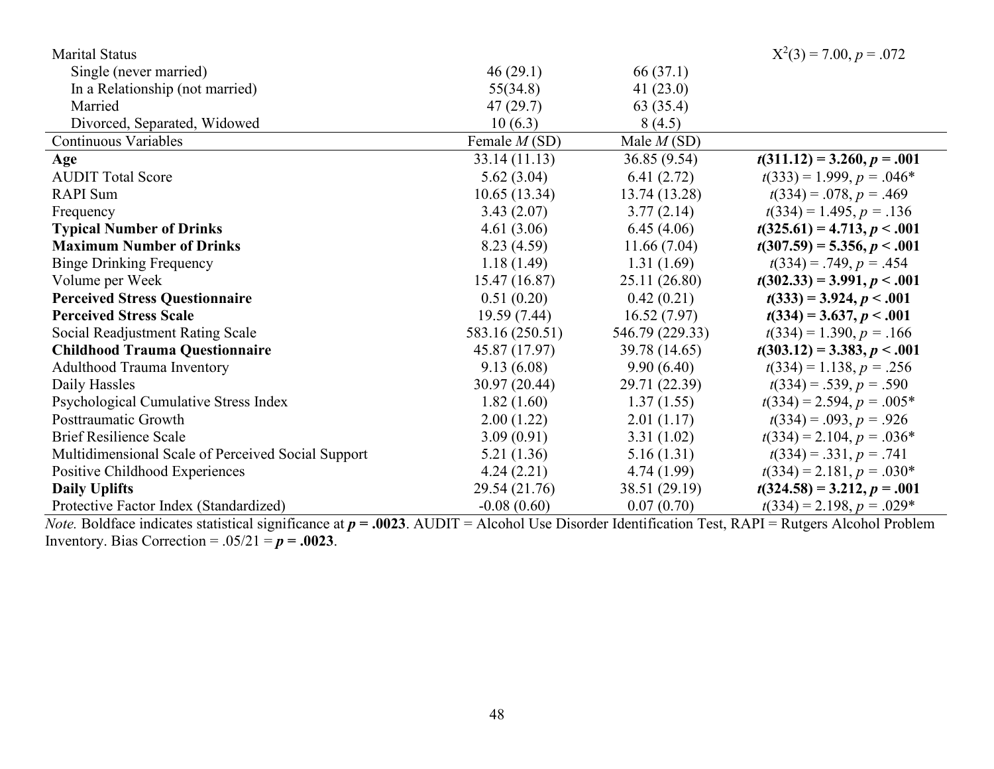| <b>Marital Status</b>                              |                 |                 | $X^2(3) = 7.00, p = .072$     |
|----------------------------------------------------|-----------------|-----------------|-------------------------------|
| Single (never married)                             | 46(29.1)        | 66 (37.1)       |                               |
| In a Relationship (not married)                    | 55(34.8)        | 41 $(23.0)$     |                               |
| Married                                            | 47(29.7)        | 63 (35.4)       |                               |
| Divorced, Separated, Widowed                       | 10(6.3)         | 8(4.5)          |                               |
| <b>Continuous Variables</b>                        | Female $M(SD)$  | Male $M(SD)$    |                               |
| Age                                                | 33.14(11.13)    | 36.85(9.54)     | $t(311.12) = 3.260, p = .001$ |
| <b>AUDIT Total Score</b>                           | 5.62(3.04)      | 6.41(2.72)      | $t(333) = 1.999, p = .046*$   |
| <b>RAPI</b> Sum                                    | 10.65(13.34)    | 13.74(13.28)    | $t(334) = .078, p = .469$     |
| Frequency                                          | 3.43(2.07)      | 3.77(2.14)      | $t(334) = 1.495, p = .136$    |
| <b>Typical Number of Drinks</b>                    | 4.61(3.06)      | 6.45(4.06)      | $t(325.61) = 4.713, p < .001$ |
| <b>Maximum Number of Drinks</b>                    | 8.23(4.59)      | 11.66(7.04)     | $t(307.59) = 5.356, p < .001$ |
| <b>Binge Drinking Frequency</b>                    | 1.18(1.49)      | 1.31(1.69)      | $t(334) = .749, p = .454$     |
| Volume per Week                                    | 15.47 (16.87)   | 25.11 (26.80)   | $t(302.33) = 3.991, p < .001$ |
| <b>Perceived Stress Questionnaire</b>              | 0.51(0.20)      | 0.42(0.21)      | $t(333) = 3.924, p < .001$    |
| <b>Perceived Stress Scale</b>                      | 19.59(7.44)     | 16.52(7.97)     | $t(334) = 3.637, p < .001$    |
| Social Readjustment Rating Scale                   | 583.16 (250.51) | 546.79 (229.33) | $t(334) = 1.390, p = .166$    |
| <b>Childhood Trauma Questionnaire</b>              | 45.87 (17.97)   | 39.78 (14.65)   | $t(303.12) = 3.383, p < .001$ |
| Adulthood Trauma Inventory                         | 9.13(6.08)      | 9.90(6.40)      | $t(334) = 1.138, p = .256$    |
| Daily Hassles                                      | 30.97(20.44)    | 29.71 (22.39)   | $t(334) = .539, p = .590$     |
| Psychological Cumulative Stress Index              | 1.82(1.60)      | 1.37(1.55)      | $t(334) = 2.594, p = .005*$   |
| Posttraumatic Growth                               | 2.00(1.22)      | 2.01(1.17)      | $t(334) = .093, p = .926$     |
| <b>Brief Resilience Scale</b>                      | 3.09(0.91)      | 3.31(1.02)      | $t(334) = 2.104, p = .036*$   |
| Multidimensional Scale of Perceived Social Support | 5.21(1.36)      | 5.16(1.31)      | $t(334) = .331, p = .741$     |
| Positive Childhood Experiences                     | 4.24(2.21)      | 4.74(1.99)      | $t(334) = 2.181, p = .030*$   |
| <b>Daily Uplifts</b>                               | 29.54 (21.76)   | 38.51 (29.19)   | $t(324.58) = 3.212, p = .001$ |
| Protective Factor Index (Standardized)             | $-0.08(0.60)$   | 0.07(0.70)      | $t(334) = 2.198, p = .029*$   |

*Note.* Boldface indicates statistical significance at *p* **= .0023**. AUDIT = Alcohol Use Disorder Identification Test, RAPI = Rutgers Alcohol Problem Inventory. Bias Correction =  $.05/21 = p = .0023$ .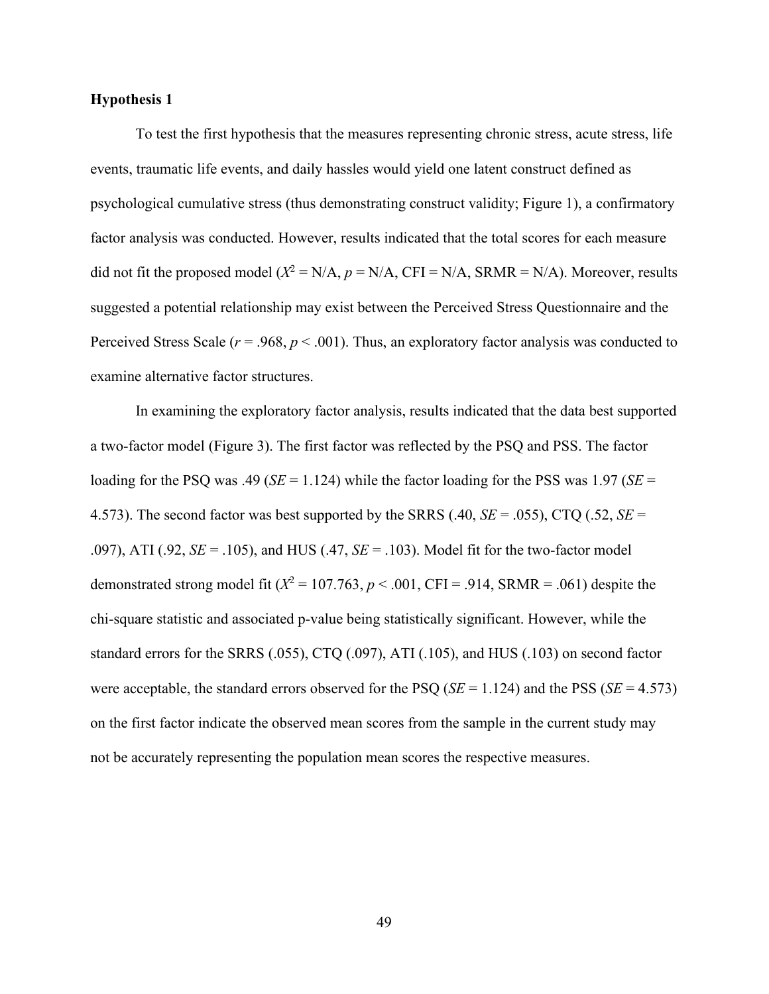To test the first hypothesis that the measures representing chronic stress, acute stress, life events, traumatic life events, and daily hassles would yield one latent construct defined as psychological cumulative stress (thus demonstrating construct validity; Figure 1), a confirmatory factor analysis was conducted. However, results indicated that the total scores for each measure did not fit the proposed model  $(X^2 = N/A, p = N/A, CFI = N/A, SRMR = N/A)$ . Moreover, results suggested a potential relationship may exist between the Perceived Stress Questionnaire and the Perceived Stress Scale (*r* = .968, *p* < .001). Thus, an exploratory factor analysis was conducted to examine alternative factor structures.

In examining the exploratory factor analysis, results indicated that the data best supported a two-factor model (Figure 3). The first factor was reflected by the PSQ and PSS. The factor loading for the PSQ was .49 ( $SE = 1.124$ ) while the factor loading for the PSS was 1.97 ( $SE =$ 4.573). The second factor was best supported by the SRRS (.40, *SE* = .055), CTQ (.52, *SE* = .097), ATI (.92, *SE* = .105), and HUS (.47, *SE* = .103). Model fit for the two-factor model demonstrated strong model fit  $(X^2 = 107.763, p < .001, CFI = .914, SRMR = .061)$  despite the chi-square statistic and associated p-value being statistically significant. However, while the standard errors for the SRRS (.055), CTQ (.097), ATI (.105), and HUS (.103) on second factor were acceptable, the standard errors observed for the PSQ (*SE* = 1.124) and the PSS (*SE* = 4.573) on the first factor indicate the observed mean scores from the sample in the current study may not be accurately representing the population mean scores the respective measures.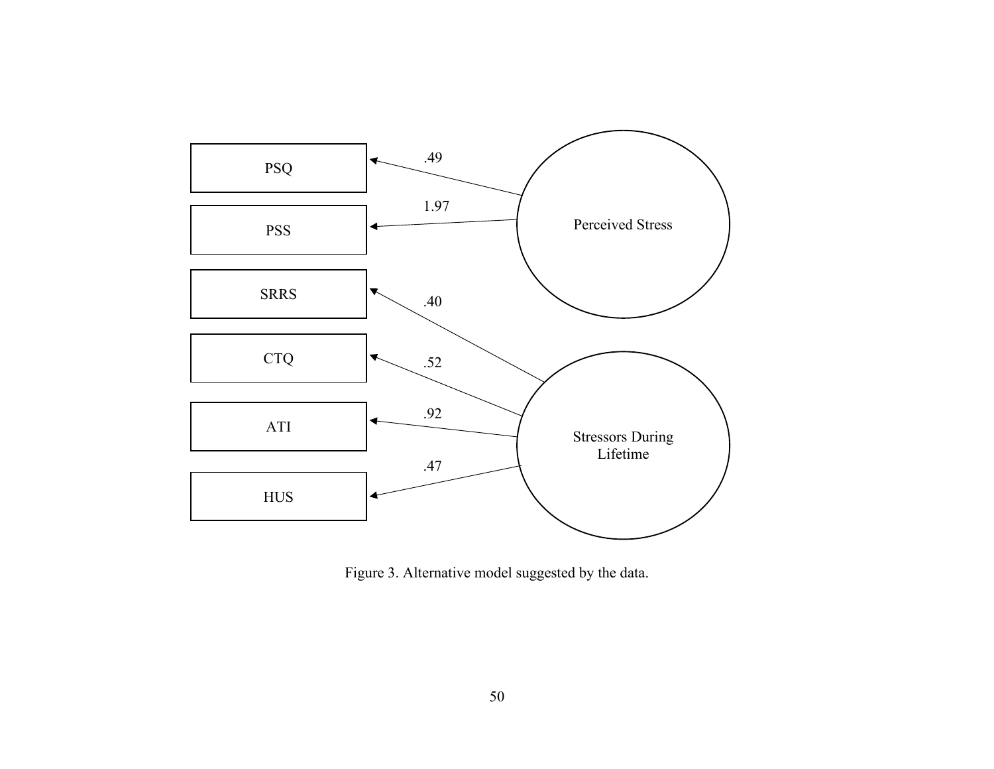

Figure 3. Alternative model suggested by the data.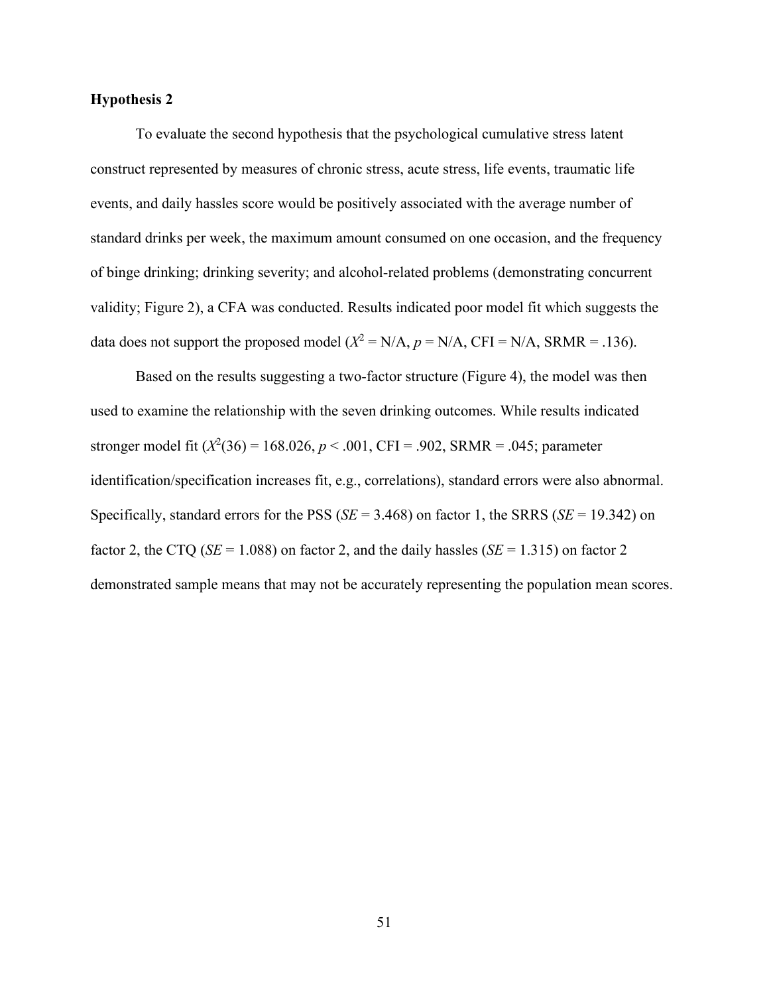To evaluate the second hypothesis that the psychological cumulative stress latent construct represented by measures of chronic stress, acute stress, life events, traumatic life events, and daily hassles score would be positively associated with the average number of standard drinks per week, the maximum amount consumed on one occasion, and the frequency of binge drinking; drinking severity; and alcohol-related problems (demonstrating concurrent validity; Figure 2), a CFA was conducted. Results indicated poor model fit which suggests the data does not support the proposed model  $(X^2 = N/A, p = N/A, CFI = N/A, SRMR = .136)$ .

Based on the results suggesting a two-factor structure (Figure 4), the model was then used to examine the relationship with the seven drinking outcomes. While results indicated stronger model fit  $(X^2(36) = 168.026, p < .001, CFI = .902, SRMR = .045; parameter$ identification/specification increases fit, e.g., correlations), standard errors were also abnormal. Specifically, standard errors for the PSS (*SE* = 3.468) on factor 1, the SRRS (*SE* = 19.342) on factor 2, the CTQ ( $SE = 1.088$ ) on factor 2, and the daily hassles ( $SE = 1.315$ ) on factor 2 demonstrated sample means that may not be accurately representing the population mean scores.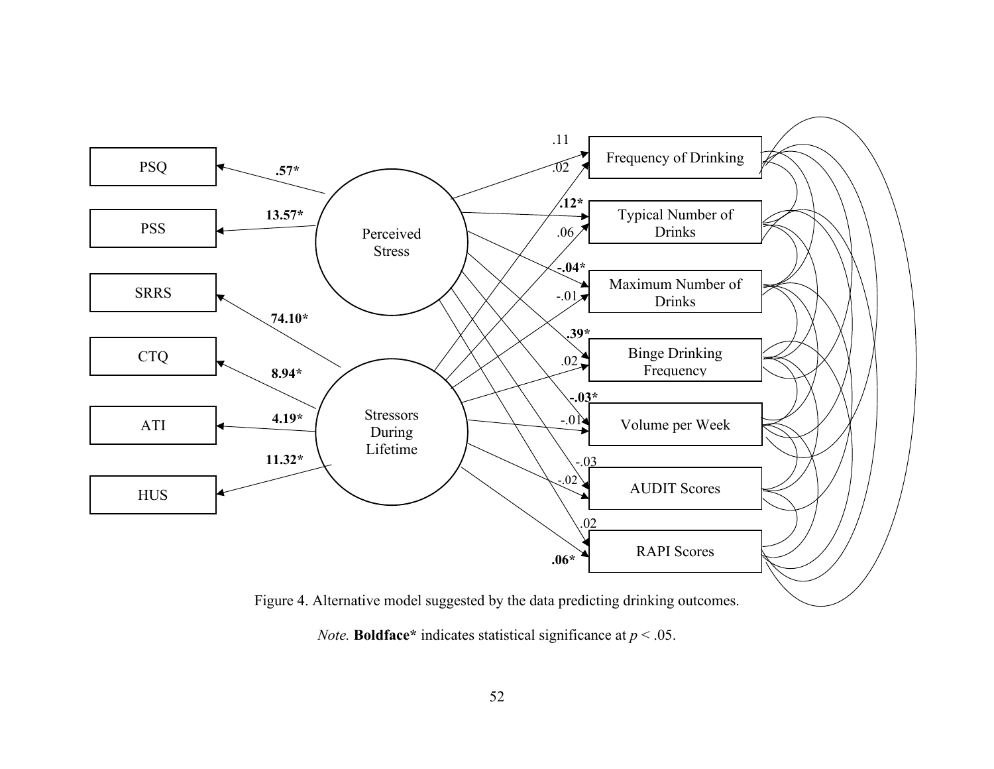

*Note.* **Boldface**\* indicates statistical significance at  $p < .05$ .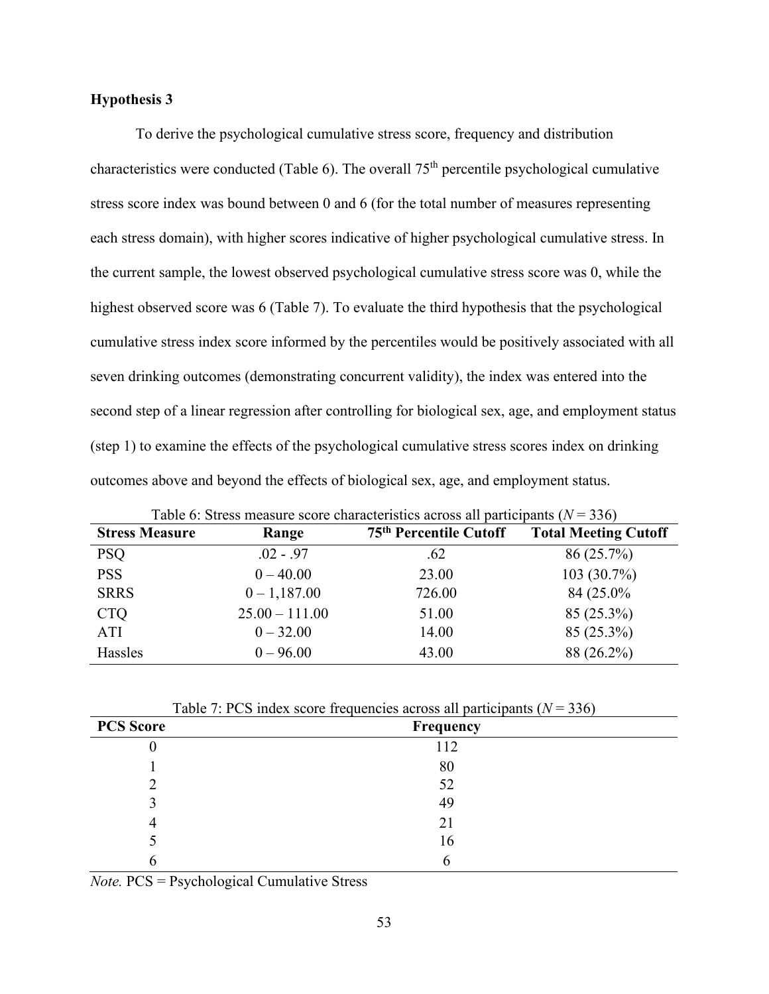To derive the psychological cumulative stress score, frequency and distribution characteristics were conducted (Table 6). The overall 75th percentile psychological cumulative stress score index was bound between 0 and 6 (for the total number of measures representing each stress domain), with higher scores indicative of higher psychological cumulative stress. In the current sample, the lowest observed psychological cumulative stress score was 0, while the highest observed score was 6 (Table 7). To evaluate the third hypothesis that the psychological cumulative stress index score informed by the percentiles would be positively associated with all seven drinking outcomes (demonstrating concurrent validity), the index was entered into the second step of a linear regression after controlling for biological sex, age, and employment status (step 1) to examine the effects of the psychological cumulative stress scores index on drinking outcomes above and beyond the effects of biological sex, age, and employment status.

| <b>Stress Measure</b> | Range            | 75 <sup>th</sup> Percentile Cutoff | <b>Total Meeting Cutoff</b> |
|-----------------------|------------------|------------------------------------|-----------------------------|
| <b>PSQ</b>            | $.02 - .97$      | .62                                | 86(25.7%)                   |
| <b>PSS</b>            | $0 - 40.00$      | 23.00                              | 103(30.7%)                  |
| <b>SRRS</b>           | $0 - 1,187.00$   | 726.00                             | 84 (25.0%)                  |
| <b>CTQ</b>            | $25.00 - 111.00$ | 51.00                              | 85 (25.3%)                  |
| ATI                   | $0 - 32.00$      | 14.00                              | 85 (25.3%)                  |
| Hassles               | $0 - 96.00$      | 43.00                              | 88 (26.2%)                  |

Table 6: Stress measure score characteristics across all participants (*N* = 336)

| Table 7: PCS index score frequencies across all participants ( $N = 336$ ) |  |  |  |  |
|----------------------------------------------------------------------------|--|--|--|--|
|----------------------------------------------------------------------------|--|--|--|--|

| <b>PCS Score</b> | Frequency |
|------------------|-----------|
| U                | 112       |
|                  | 80        |
|                  | 52        |
|                  | 49        |
|                  | 21        |
|                  | 16        |
|                  |           |

*Note.* PCS = Psychological Cumulative Stress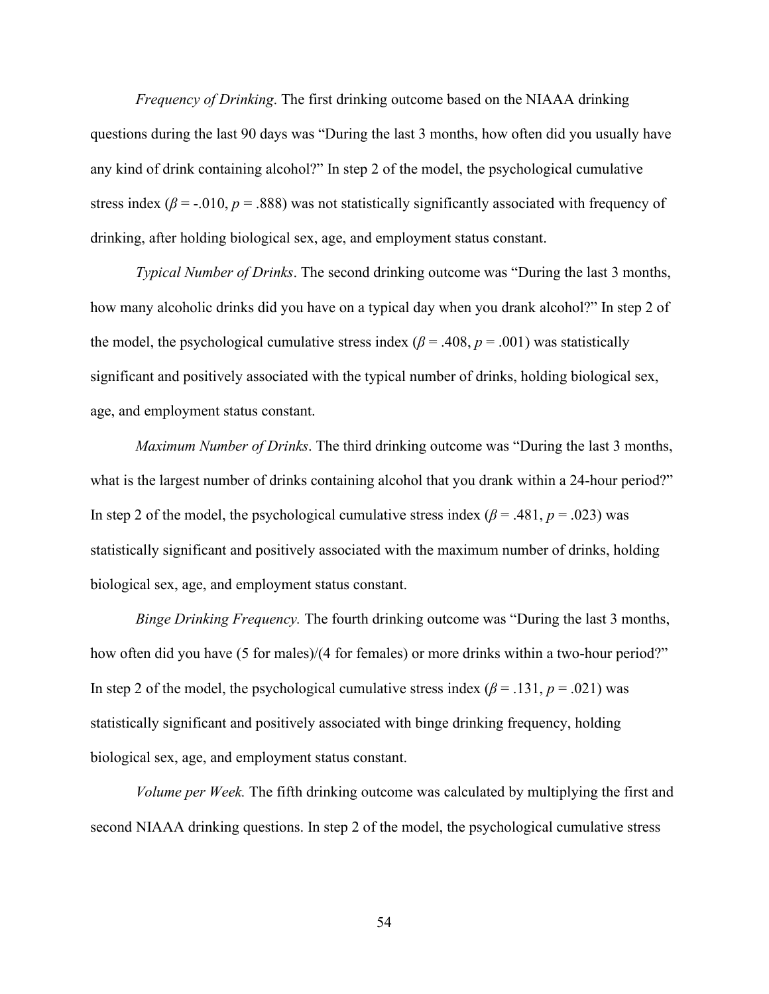*Frequency of Drinking*. The first drinking outcome based on the NIAAA drinking questions during the last 90 days was "During the last 3 months, how often did you usually have any kind of drink containing alcohol?" In step 2 of the model, the psychological cumulative stress index ( $\beta$  = -.010,  $p$  = .888) was not statistically significantly associated with frequency of drinking, after holding biological sex, age, and employment status constant.

*Typical Number of Drinks*. The second drinking outcome was "During the last 3 months, how many alcoholic drinks did you have on a typical day when you drank alcohol?" In step 2 of the model, the psychological cumulative stress index ( $\beta$  = .408,  $p$  = .001) was statistically significant and positively associated with the typical number of drinks, holding biological sex, age, and employment status constant.

*Maximum Number of Drinks*. The third drinking outcome was "During the last 3 months, what is the largest number of drinks containing alcohol that you drank within a 24-hour period?" In step 2 of the model, the psychological cumulative stress index  $(\beta = .481, p = .023)$  was statistically significant and positively associated with the maximum number of drinks, holding biological sex, age, and employment status constant.

*Binge Drinking Frequency.* The fourth drinking outcome was "During the last 3 months, how often did you have (5 for males)/(4 for females) or more drinks within a two-hour period?" In step 2 of the model, the psychological cumulative stress index  $(\beta = .131, p = .021)$  was statistically significant and positively associated with binge drinking frequency, holding biological sex, age, and employment status constant.

*Volume per Week.* The fifth drinking outcome was calculated by multiplying the first and second NIAAA drinking questions. In step 2 of the model, the psychological cumulative stress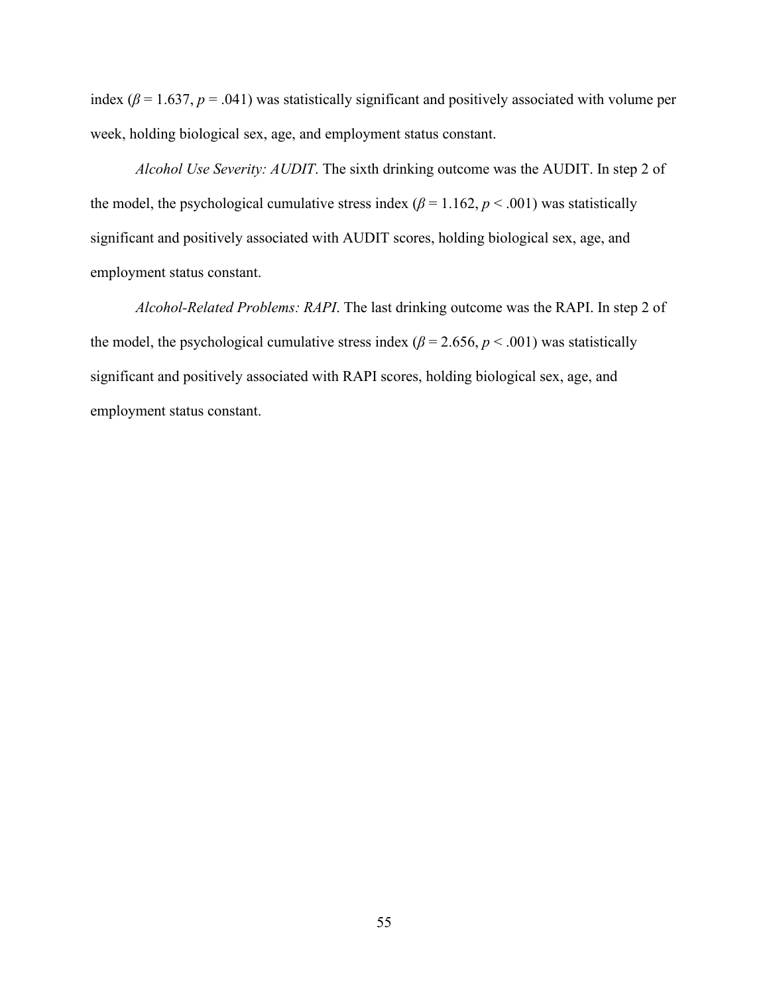index ( $\beta$  = 1.637,  $p$  = .041) was statistically significant and positively associated with volume per week, holding biological sex, age, and employment status constant.

*Alcohol Use Severity: AUDIT*. The sixth drinking outcome was the AUDIT. In step 2 of the model, the psychological cumulative stress index ( $\beta$  = 1.162,  $p$  < .001) was statistically significant and positively associated with AUDIT scores, holding biological sex, age, and employment status constant.

*Alcohol-Related Problems: RAPI*. The last drinking outcome was the RAPI. In step 2 of the model, the psychological cumulative stress index ( $\beta$  = 2.656,  $p$  < .001) was statistically significant and positively associated with RAPI scores, holding biological sex, age, and employment status constant.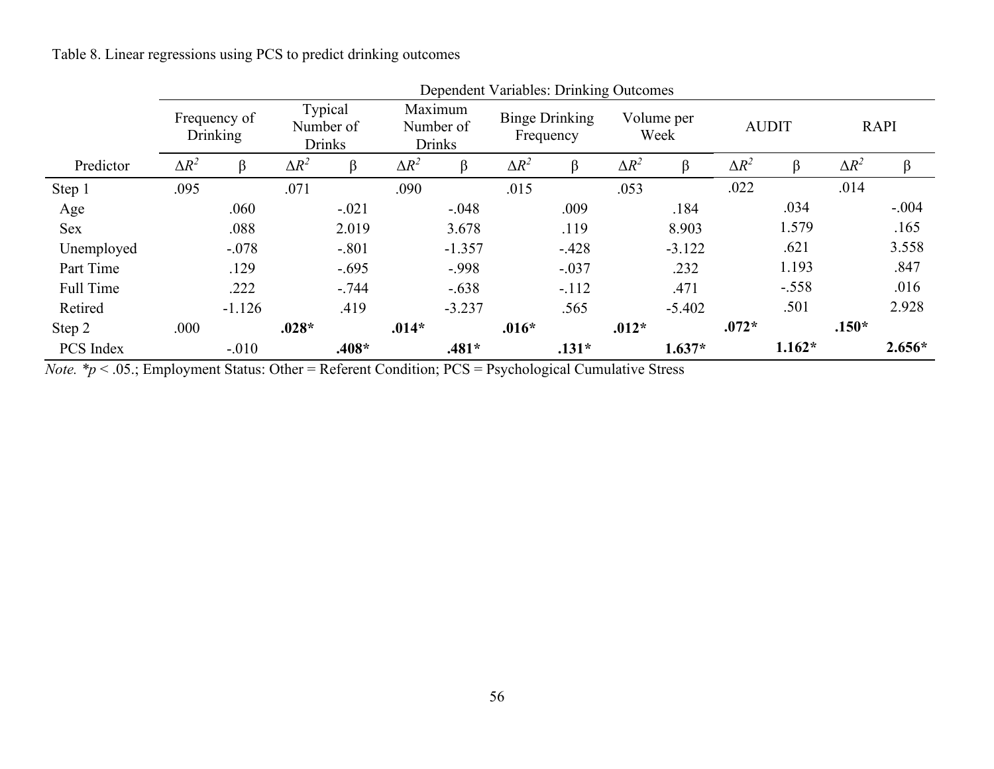Table 8. Linear regressions using PCS to predict drinking outcomes

|            |              | Dependent Variables: Drinking Outcomes |              |                                       |              |                                       |              |                                    |              |                    |              |              |              |             |
|------------|--------------|----------------------------------------|--------------|---------------------------------------|--------------|---------------------------------------|--------------|------------------------------------|--------------|--------------------|--------------|--------------|--------------|-------------|
|            |              | Frequency of<br>Drinking               |              | Typical<br>Number of<br><b>Drinks</b> |              | Maximum<br>Number of<br><b>Drinks</b> |              | <b>Binge Drinking</b><br>Frequency |              | Volume per<br>Week |              | <b>AUDIT</b> |              | <b>RAPI</b> |
| Predictor  | $\Delta R^2$ | $\beta$                                | $\Delta R^2$ | β                                     | $\Delta R^2$ | β                                     | $\Delta R^2$ | β                                  | $\Delta R^2$ | β                  | $\Delta R^2$ |              | $\Delta R^2$ | β           |
| Step 1     | .095         |                                        | .071         |                                       | .090         |                                       | .015         |                                    | .053         |                    | .022         |              | .014         |             |
| Age        |              | .060                                   |              | $-.021$                               |              | $-.048$                               |              | .009                               |              | .184               |              | .034         |              | $-.004$     |
| <b>Sex</b> |              | .088                                   |              | 2.019                                 |              | 3.678                                 |              | .119                               |              | 8.903              |              | 1.579        |              | .165        |
| Unemployed |              | $-.078$                                |              | $-.801$                               |              | $-1.357$                              |              | $-.428$                            |              | $-3.122$           |              | .621         |              | 3.558       |
| Part Time  |              | .129                                   |              | $-.695$                               |              | $-.998$                               |              | $-.037$                            |              | .232               |              | 1.193        |              | .847        |
| Full Time  |              | .222                                   |              | $-.744$                               |              | $-.638$                               |              | $-.112$                            |              | .471               |              | $-.558$      |              | .016        |
| Retired    |              | $-1.126$                               |              | .419                                  |              | $-3.237$                              |              | .565                               |              | $-5.402$           |              | .501         |              | 2.928       |
| Step 2     | .000         |                                        | $.028*$      |                                       | $.014*$      |                                       | $.016*$      |                                    | $.012*$      |                    | $.072*$      |              | $.150*$      |             |
| PCS Index  |              | $-.010$                                |              | $.408*$                               |              | $.481*$                               |              | $.131*$                            |              | $1.637*$           |              | $1.162*$     |              | $2.656*$    |

 $D$ enendent Variables: Drinking Out

*Note. \*p* < .05.; Employment Status: Other = Referent Condition; PCS = Psychological Cumulative Stress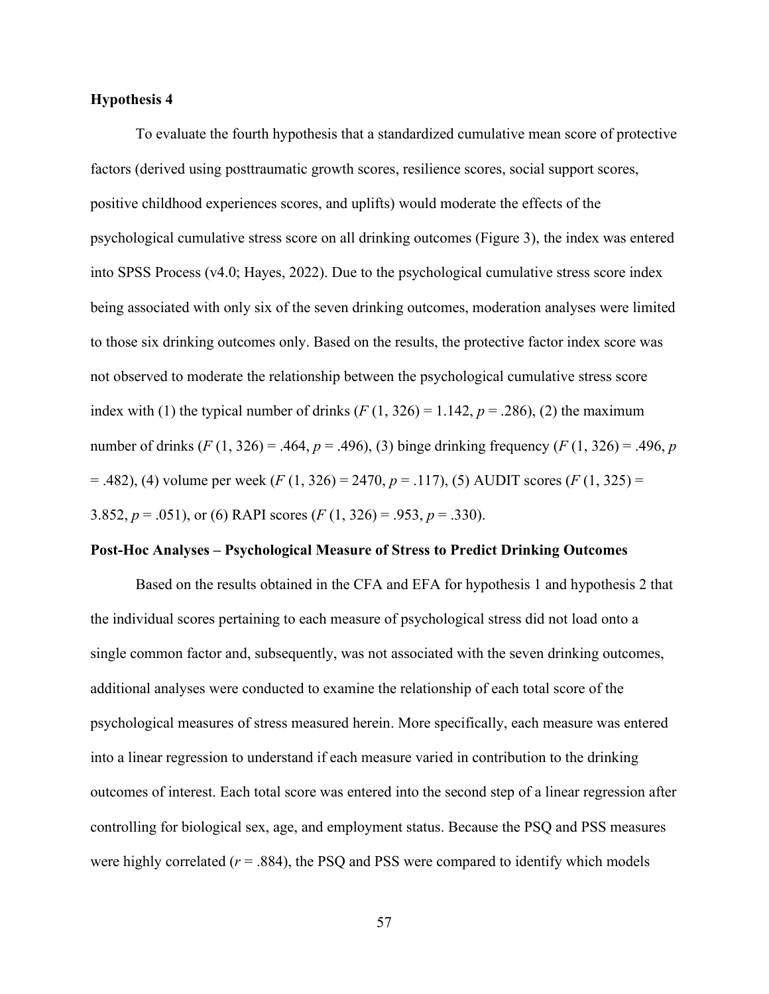To evaluate the fourth hypothesis that a standardized cumulative mean score of protective factors (derived using posttraumatic growth scores, resilience scores, social support scores, positive childhood experiences scores, and uplifts) would moderate the effects of the psychological cumulative stress score on all drinking outcomes (Figure 3), the index was entered into SPSS Process (v4.0; Hayes, 2022). Due to the psychological cumulative stress score index being associated with only six of the seven drinking outcomes, moderation analyses were limited to those six drinking outcomes only. Based on the results, the protective factor index score was not observed to moderate the relationship between the psychological cumulative stress score index with (1) the typical number of drinks  $(F(1, 326) = 1.142, p = .286)$ , (2) the maximum number of drinks  $(F (1, 326) = .464, p = .496)$ , (3) binge drinking frequency  $(F (1, 326) = .496, p$ = .482), (4) volume per week (*F* (1, 326) = 2470, *p* = .117), (5) AUDIT scores (*F* (1, 325) = 3.852,  $p = .051$ , or (6) RAPI scores ( $F(1, 326) = .953$ ,  $p = .330$ ).

#### **Post-Hoc Analyses – Psychological Measure of Stress to Predict Drinking Outcomes**

Based on the results obtained in the CFA and EFA for hypothesis 1 and hypothesis 2 that the individual scores pertaining to each measure of psychological stress did not load onto a single common factor and, subsequently, was not associated with the seven drinking outcomes, additional analyses were conducted to examine the relationship of each total score of the psychological measures of stress measured herein. More specifically, each measure was entered into a linear regression to understand if each measure varied in contribution to the drinking outcomes of interest. Each total score was entered into the second step of a linear regression after controlling for biological sex, age, and employment status. Because the PSQ and PSS measures were highly correlated  $(r = .884)$ , the PSQ and PSS were compared to identify which models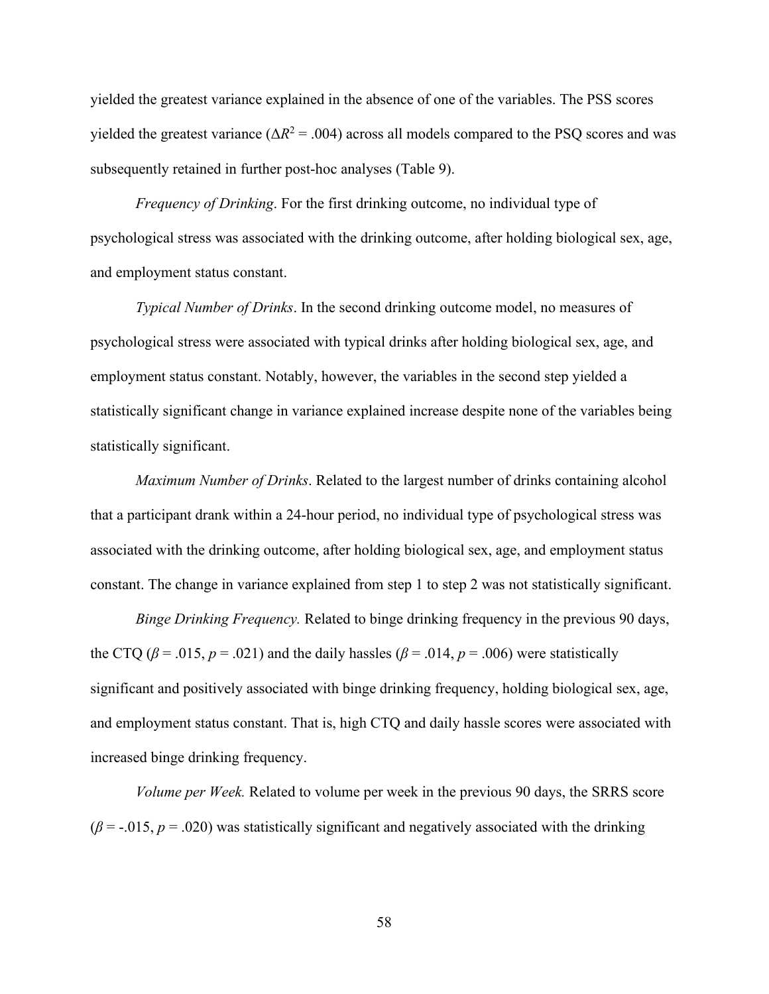yielded the greatest variance explained in the absence of one of the variables. The PSS scores yielded the greatest variance ( $\Delta R^2$  = .004) across all models compared to the PSQ scores and was subsequently retained in further post-hoc analyses (Table 9).

*Frequency of Drinking*. For the first drinking outcome, no individual type of psychological stress was associated with the drinking outcome, after holding biological sex, age, and employment status constant.

*Typical Number of Drinks*. In the second drinking outcome model, no measures of psychological stress were associated with typical drinks after holding biological sex, age, and employment status constant. Notably, however, the variables in the second step yielded a statistically significant change in variance explained increase despite none of the variables being statistically significant.

*Maximum Number of Drinks*. Related to the largest number of drinks containing alcohol that a participant drank within a 24-hour period, no individual type of psychological stress was associated with the drinking outcome, after holding biological sex, age, and employment status constant. The change in variance explained from step 1 to step 2 was not statistically significant.

*Binge Drinking Frequency.* Related to binge drinking frequency in the previous 90 days, the CTQ ( $\beta$  = .015,  $p$  = .021) and the daily hassles ( $\beta$  = .014,  $p$  = .006) were statistically significant and positively associated with binge drinking frequency, holding biological sex, age, and employment status constant. That is, high CTQ and daily hassle scores were associated with increased binge drinking frequency.

*Volume per Week.* Related to volume per week in the previous 90 days, the SRRS score  $(\beta = -0.015, p = 0.020)$  was statistically significant and negatively associated with the drinking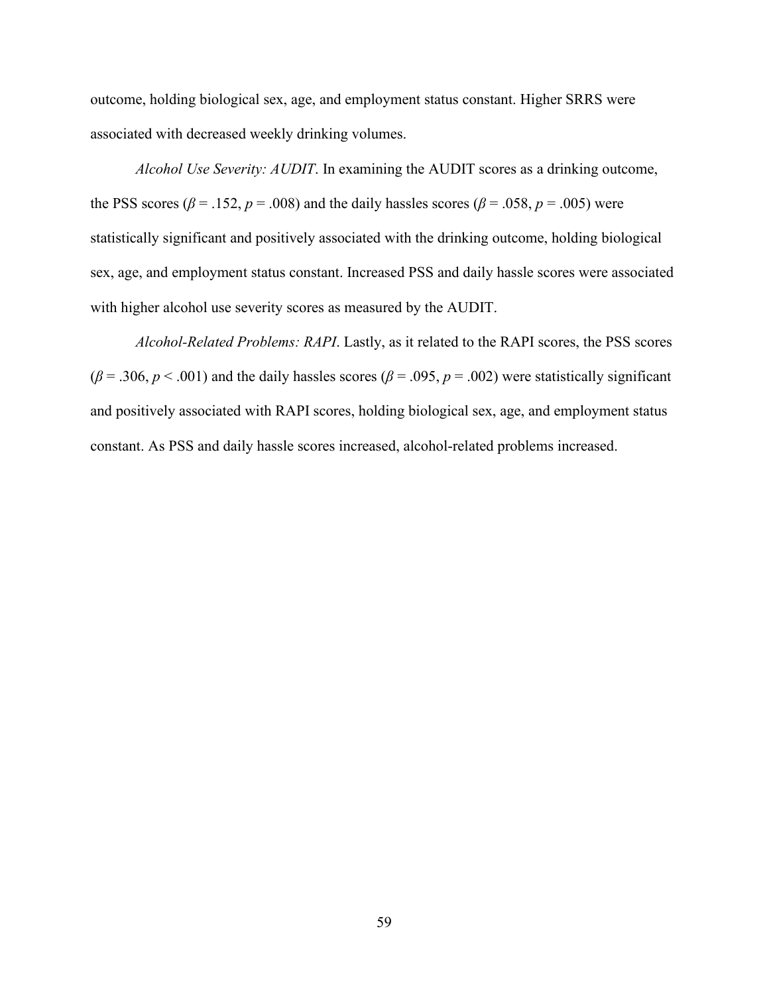outcome, holding biological sex, age, and employment status constant. Higher SRRS were associated with decreased weekly drinking volumes.

*Alcohol Use Severity: AUDIT*. In examining the AUDIT scores as a drinking outcome, the PSS scores ( $\beta$  = .152,  $p$  = .008) and the daily hassles scores ( $\beta$  = .058,  $p$  = .005) were statistically significant and positively associated with the drinking outcome, holding biological sex, age, and employment status constant. Increased PSS and daily hassle scores were associated with higher alcohol use severity scores as measured by the AUDIT.

*Alcohol-Related Problems: RAPI*. Lastly, as it related to the RAPI scores, the PSS scores  $(\beta = .306, p < .001)$  and the daily hassles scores ( $\beta = .095, p = .002$ ) were statistically significant and positively associated with RAPI scores, holding biological sex, age, and employment status constant. As PSS and daily hassle scores increased, alcohol-related problems increased.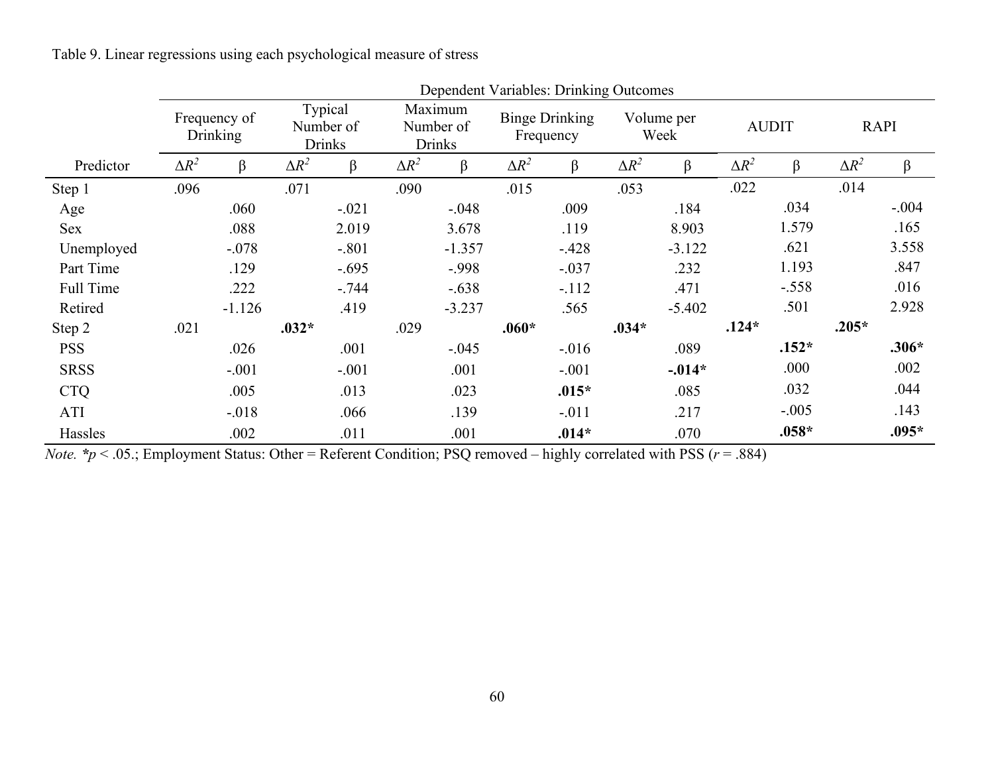Table 9. Linear regressions using each psychological measure of stress

|             |                                 | Dependent variables. Drinking Outcomes |                                       |         |                                       |          |                                    |          |                    |          |              |         |              |         |
|-------------|---------------------------------|----------------------------------------|---------------------------------------|---------|---------------------------------------|----------|------------------------------------|----------|--------------------|----------|--------------|---------|--------------|---------|
|             | Frequency of<br><b>Drinking</b> |                                        | Typical<br>Number of<br><b>Drinks</b> |         | Maximum<br>Number of<br><b>Drinks</b> |          | <b>Binge Drinking</b><br>Frequency |          | Volume per<br>Week |          | <b>AUDIT</b> |         | <b>RAPI</b>  |         |
| Predictor   | $\Delta R^2$                    | β                                      | $\Delta R^2$                          | β       | $\Delta R^2$                          | $\beta$  | $\Delta R^2$                       | $\beta$  | $\Delta R^2$       | β        | $\Delta R^2$ | β       | $\Delta R^2$ | $\beta$ |
| Step 1      | .096                            |                                        | .071                                  |         | .090                                  |          | .015                               |          | .053               |          | .022         |         | .014         |         |
| Age         |                                 | .060                                   |                                       | $-.021$ |                                       | $-.048$  |                                    | .009     |                    | .184     |              | .034    |              | $-.004$ |
| Sex         |                                 | .088                                   |                                       | 2.019   |                                       | 3.678    |                                    | .119     |                    | 8.903    |              | 1.579   |              | .165    |
| Unemployed  |                                 | $-.078$                                |                                       | $-.801$ |                                       | $-1.357$ |                                    | $-.428$  |                    | $-3.122$ |              | .621    |              | 3.558   |
| Part Time   |                                 | .129                                   |                                       | $-.695$ |                                       | $-.998$  |                                    | $-.037$  |                    | .232     |              | 1.193   |              | .847    |
| Full Time   |                                 | .222                                   |                                       | $-.744$ |                                       | $-.638$  |                                    | $-.112$  |                    | .471     |              | $-.558$ |              | .016    |
| Retired     |                                 | $-1.126$                               |                                       | .419    |                                       | $-3.237$ |                                    | .565     |                    | $-5.402$ |              | .501    |              | 2.928   |
| Step 2      | .021                            |                                        | $.032*$                               |         | .029                                  |          | $.060*$                            |          | $.034*$            |          | $.124*$      |         | $.205*$      |         |
| <b>PSS</b>  |                                 | .026                                   |                                       | .001    |                                       | $-.045$  |                                    | $-0.016$ |                    | .089     |              | $.152*$ |              | $.306*$ |
| <b>SRSS</b> |                                 | $-.001$                                |                                       | $-.001$ |                                       | .001     |                                    | $-.001$  |                    | $-.014*$ |              | .000    |              | .002    |
| <b>CTQ</b>  |                                 | .005                                   |                                       | .013    |                                       | .023     |                                    | $.015*$  |                    | .085     |              | .032    |              | .044    |
| ATI         |                                 | $-.018$                                |                                       | .066    |                                       | .139     |                                    | $-.011$  |                    | .217     |              | $-.005$ |              | .143    |
| Hassles     |                                 | .002                                   |                                       | .011    |                                       | .001     |                                    | $.014*$  |                    | .070     |              | $.058*$ |              | $.095*$ |

Dependent Variables: Drinking Outcomes

*Note. \*p* < .05.; Employment Status: Other = Referent Condition; PSQ removed – highly correlated with PSS (*r* = .884)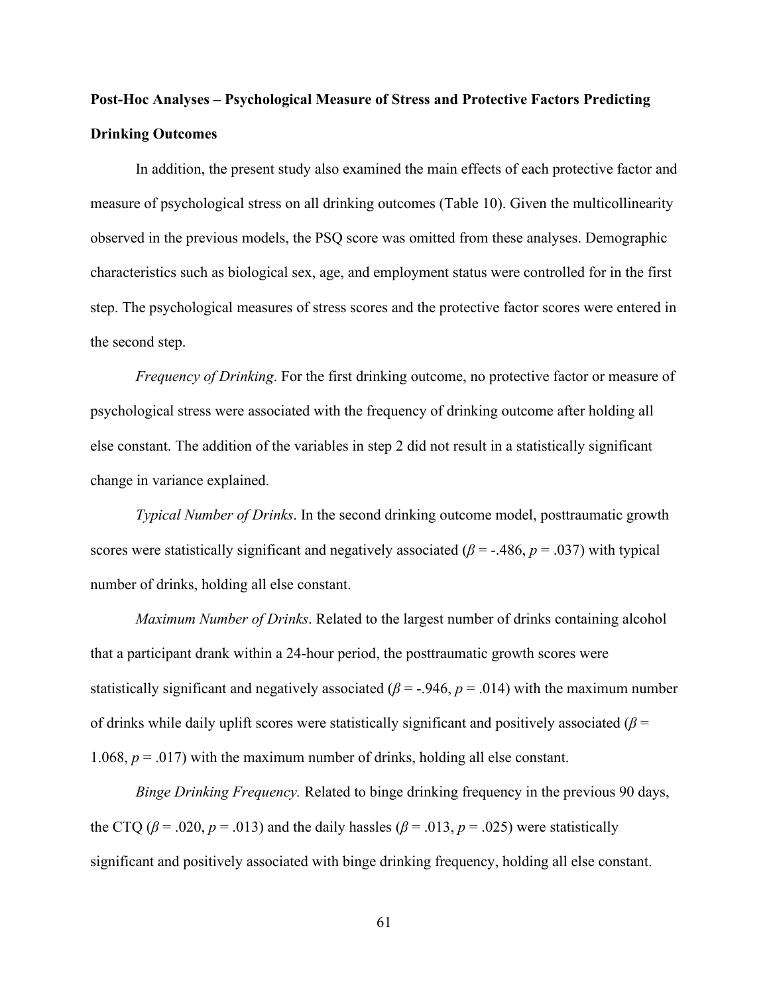# **Post-Hoc Analyses – Psychological Measure of Stress and Protective Factors Predicting Drinking Outcomes**

In addition, the present study also examined the main effects of each protective factor and measure of psychological stress on all drinking outcomes (Table 10). Given the multicollinearity observed in the previous models, the PSQ score was omitted from these analyses. Demographic characteristics such as biological sex, age, and employment status were controlled for in the first step. The psychological measures of stress scores and the protective factor scores were entered in the second step.

*Frequency of Drinking*. For the first drinking outcome, no protective factor or measure of psychological stress were associated with the frequency of drinking outcome after holding all else constant. The addition of the variables in step 2 did not result in a statistically significant change in variance explained.

*Typical Number of Drinks*. In the second drinking outcome model, posttraumatic growth scores were statistically significant and negatively associated ( $\beta$  = -.486,  $p$  = .037) with typical number of drinks, holding all else constant.

*Maximum Number of Drinks*. Related to the largest number of drinks containing alcohol that a participant drank within a 24-hour period, the posttraumatic growth scores were statistically significant and negatively associated ( $\beta$  = -.946,  $p$  = .014) with the maximum number of drinks while daily uplift scores were statistically significant and positively associated ( $\beta$  = 1.068,  $p = .017$ ) with the maximum number of drinks, holding all else constant.

*Binge Drinking Frequency.* Related to binge drinking frequency in the previous 90 days, the CTQ ( $\beta$  = .020,  $p$  = .013) and the daily hassles ( $\beta$  = .013,  $p$  = .025) were statistically significant and positively associated with binge drinking frequency, holding all else constant.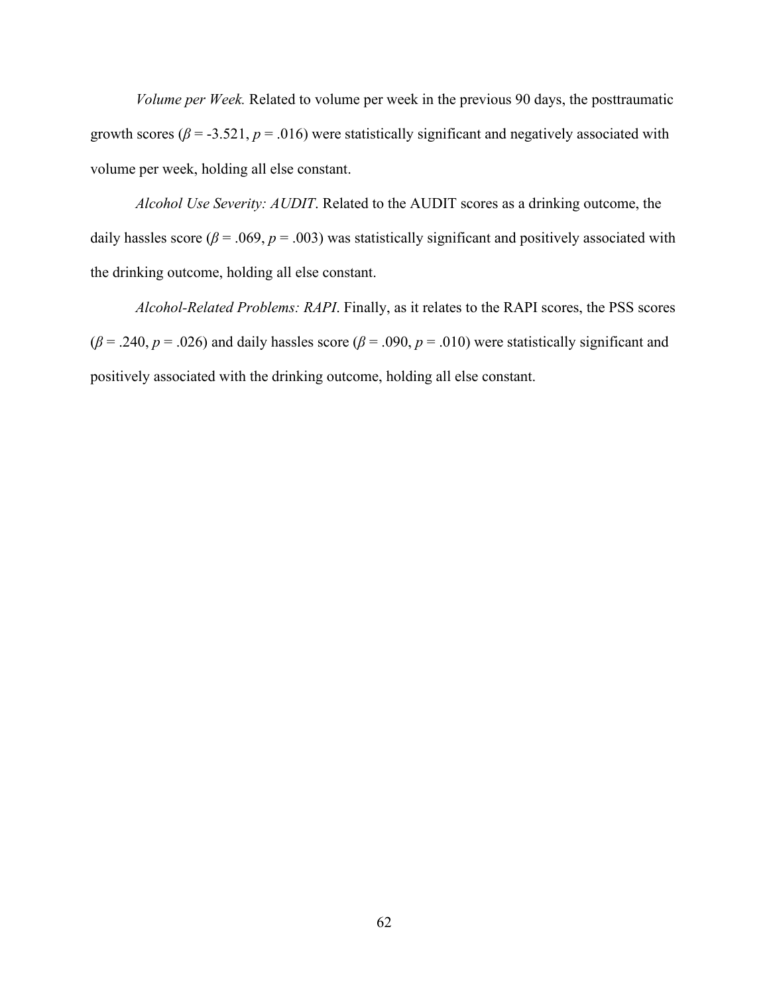*Volume per Week.* Related to volume per week in the previous 90 days, the posttraumatic growth scores ( $\beta$  = -3.521,  $p$  = .016) were statistically significant and negatively associated with volume per week, holding all else constant.

*Alcohol Use Severity: AUDIT*. Related to the AUDIT scores as a drinking outcome, the daily hassles score ( $\beta$  = .069,  $p$  = .003) was statistically significant and positively associated with the drinking outcome, holding all else constant.

*Alcohol-Related Problems: RAPI*. Finally, as it relates to the RAPI scores, the PSS scores  $(\beta = .240, p = .026)$  and daily hassles score  $(\beta = .090, p = .010)$  were statistically significant and positively associated with the drinking outcome, holding all else constant.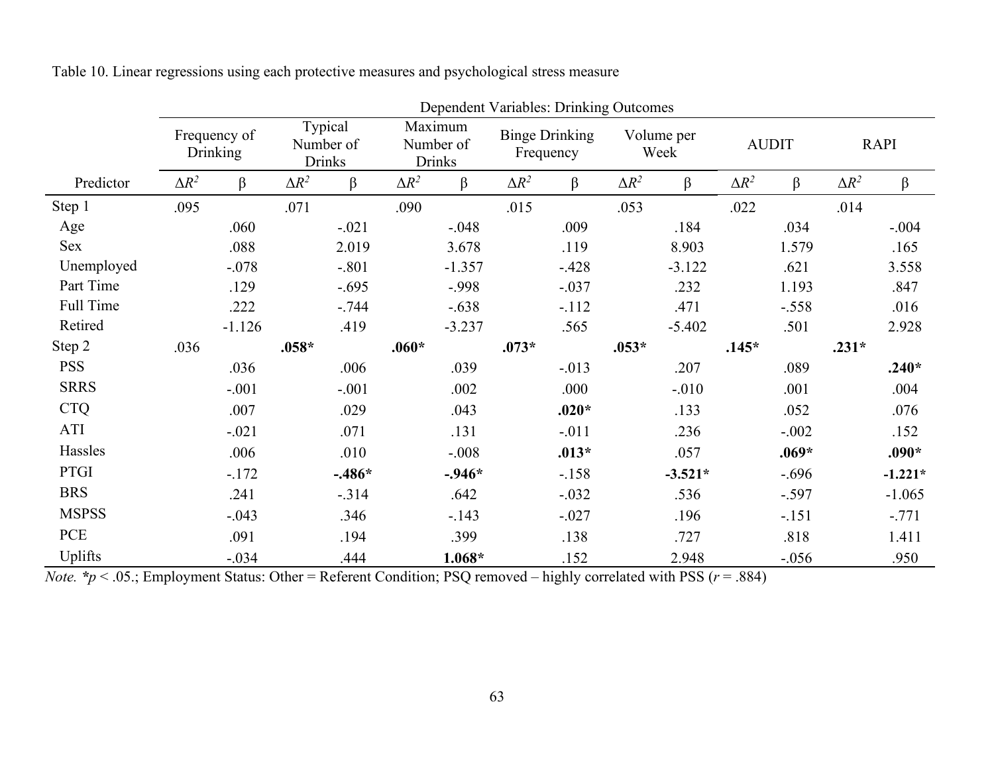|              | Dependent Variables: Drinking Outcomes |          |                                       |          |                                       |          |                                    |         |                    |           |              |         |              |           |
|--------------|----------------------------------------|----------|---------------------------------------|----------|---------------------------------------|----------|------------------------------------|---------|--------------------|-----------|--------------|---------|--------------|-----------|
|              | Frequency of<br><b>Drinking</b>        |          | Typical<br>Number of<br><b>Drinks</b> |          | Maximum<br>Number of<br><b>Drinks</b> |          | <b>Binge Drinking</b><br>Frequency |         | Volume per<br>Week |           | <b>AUDIT</b> |         | <b>RAPI</b>  |           |
| Predictor    | $\Delta R^2$                           | $\beta$  | $\Delta R^2$                          | $\beta$  | $\Delta R^2$                          | $\beta$  | $\Delta R^2$                       | $\beta$ | $\Delta R^2$       | β         | $\Delta R^2$ | β       | $\Delta R^2$ | β         |
| Step 1       | .095                                   |          | .071                                  |          | .090                                  |          | .015                               |         | .053               |           | .022         |         | .014         |           |
| Age          |                                        | .060     |                                       | $-.021$  |                                       | $-.048$  |                                    | .009    |                    | .184      |              | .034    |              | $-.004$   |
| Sex          |                                        | .088     |                                       | 2.019    |                                       | 3.678    |                                    | .119    |                    | 8.903     |              | 1.579   |              | .165      |
| Unemployed   |                                        | $-.078$  |                                       | $-.801$  |                                       | $-1.357$ |                                    | $-.428$ |                    | $-3.122$  |              | .621    |              | 3.558     |
| Part Time    |                                        | .129     |                                       | $-.695$  |                                       | $-.998$  |                                    | $-.037$ |                    | .232      |              | 1.193   |              | .847      |
| Full Time    |                                        | .222     |                                       | $-.744$  |                                       | $-.638$  |                                    | $-.112$ |                    | .471      |              | $-.558$ |              | .016      |
| Retired      |                                        | $-1.126$ |                                       | .419     |                                       | $-3.237$ |                                    | .565    |                    | $-5.402$  |              | .501    |              | 2.928     |
| Step 2       | .036                                   |          | $.058*$                               |          | $.060*$                               |          | $.073*$                            |         | $.053*$            |           | $.145*$      |         | $.231*$      |           |
| <b>PSS</b>   |                                        | .036     |                                       | .006     |                                       | .039     |                                    | $-.013$ |                    | .207      |              | .089    |              | $.240*$   |
| <b>SRRS</b>  |                                        | $-.001$  |                                       | $-.001$  |                                       | .002     |                                    | .000    |                    | $-.010$   |              | .001    |              | .004      |
| <b>CTQ</b>   |                                        | .007     |                                       | .029     |                                       | .043     |                                    | $.020*$ |                    | .133      |              | .052    |              | .076      |
| ATI          |                                        | $-.021$  |                                       | .071     |                                       | .131     |                                    | $-.011$ |                    | .236      |              | $-.002$ |              | .152      |
| Hassles      |                                        | .006     |                                       | .010     |                                       | $-.008$  |                                    | $.013*$ |                    | .057      |              | $.069*$ |              | $.090*$   |
| <b>PTGI</b>  |                                        | $-.172$  |                                       | $-.486*$ |                                       | $-.946*$ |                                    | $-.158$ |                    | $-3.521*$ |              | $-.696$ |              | $-1.221*$ |
| <b>BRS</b>   |                                        | .241     |                                       | $-.314$  |                                       | .642     |                                    | $-.032$ |                    | .536      |              | $-.597$ |              | $-1.065$  |
| <b>MSPSS</b> |                                        | $-.043$  |                                       | .346     |                                       | $-.143$  |                                    | $-.027$ |                    | .196      |              | $-.151$ |              | $-.771$   |
| PCE          |                                        | .091     |                                       | .194     |                                       | .399     |                                    | .138    |                    | .727      |              | .818    |              | 1.411     |
| Uplifts      |                                        | $-.034$  |                                       | .444     |                                       | $1.068*$ |                                    | .152    |                    | 2.948     |              | $-.056$ |              | .950      |

Table 10. Linear regressions using each protective measures and psychological stress measure

*Note.* \**p* < .05.; Employment Status: Other = Referent Condition; PSQ removed – highly correlated with PSS (*r* = .884)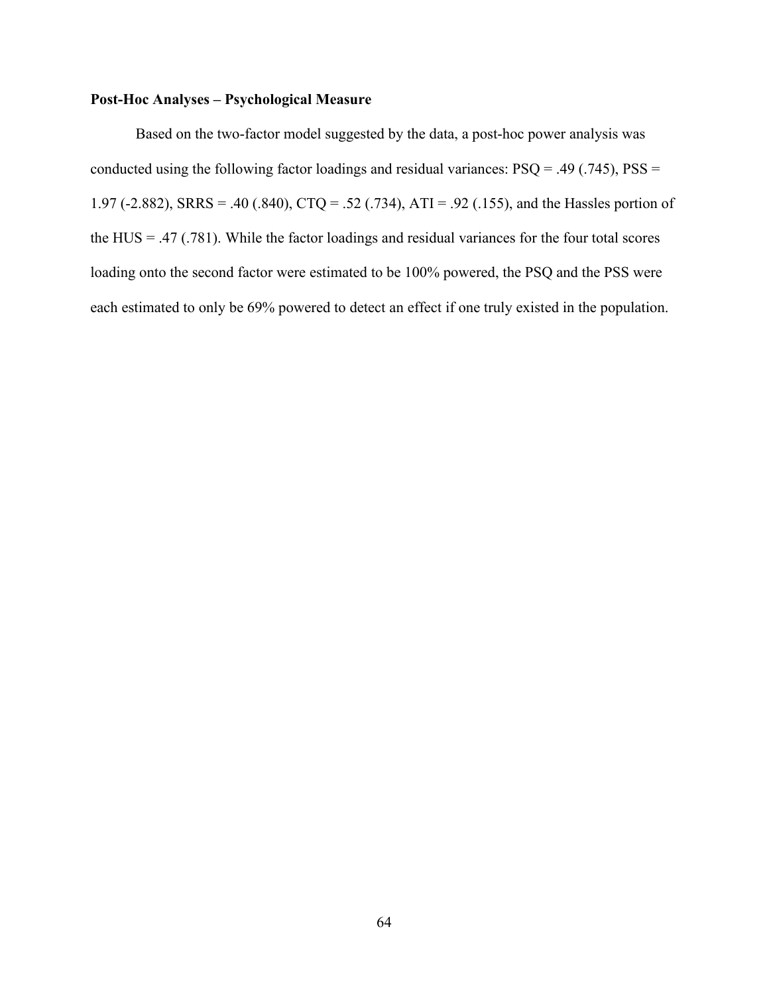# **Post-Hoc Analyses – Psychological Measure**

Based on the two-factor model suggested by the data, a post-hoc power analysis was conducted using the following factor loadings and residual variances:  $PSQ = .49$  (.745),  $PSS =$ 1.97 (-2.882), SRRS = .40 (.840), CTQ = .52 (.734), ATI = .92 (.155), and the Hassles portion of the HUS = .47 (.781). While the factor loadings and residual variances for the four total scores loading onto the second factor were estimated to be 100% powered, the PSQ and the PSS were each estimated to only be 69% powered to detect an effect if one truly existed in the population.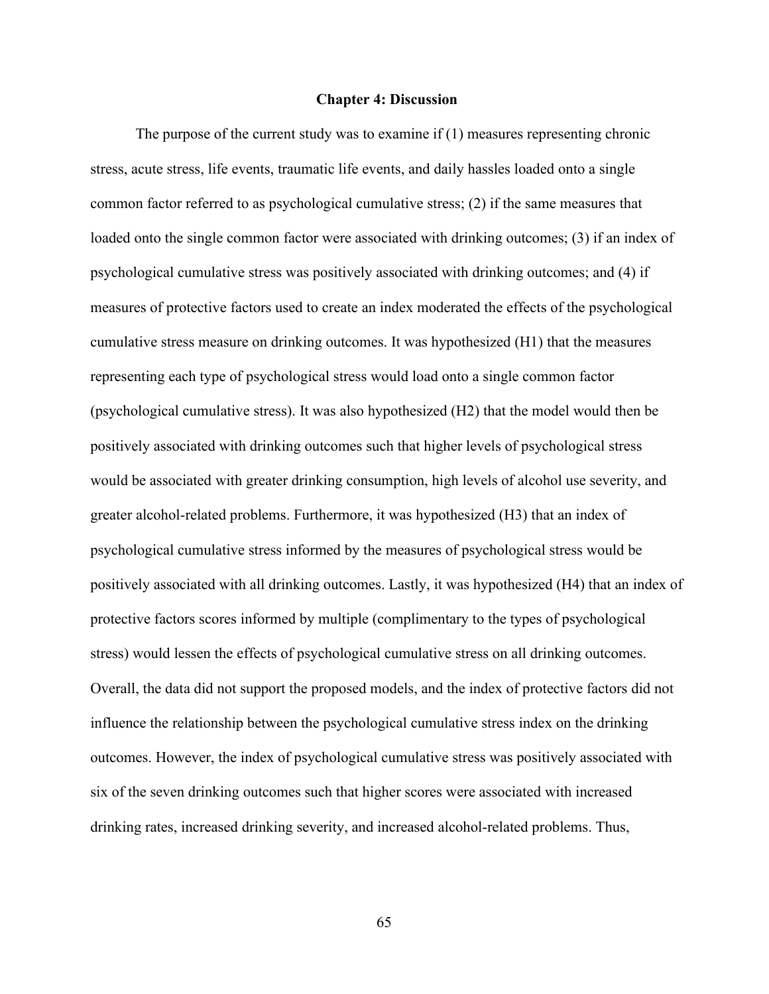#### **Chapter 4: Discussion**

 The purpose of the current study was to examine if (1) measures representing chronic stress, acute stress, life events, traumatic life events, and daily hassles loaded onto a single common factor referred to as psychological cumulative stress; (2) if the same measures that loaded onto the single common factor were associated with drinking outcomes; (3) if an index of psychological cumulative stress was positively associated with drinking outcomes; and (4) if measures of protective factors used to create an index moderated the effects of the psychological cumulative stress measure on drinking outcomes. It was hypothesized (H1) that the measures representing each type of psychological stress would load onto a single common factor (psychological cumulative stress). It was also hypothesized (H2) that the model would then be positively associated with drinking outcomes such that higher levels of psychological stress would be associated with greater drinking consumption, high levels of alcohol use severity, and greater alcohol-related problems. Furthermore, it was hypothesized (H3) that an index of psychological cumulative stress informed by the measures of psychological stress would be positively associated with all drinking outcomes. Lastly, it was hypothesized (H4) that an index of protective factors scores informed by multiple (complimentary to the types of psychological stress) would lessen the effects of psychological cumulative stress on all drinking outcomes. Overall, the data did not support the proposed models, and the index of protective factors did not influence the relationship between the psychological cumulative stress index on the drinking outcomes. However, the index of psychological cumulative stress was positively associated with six of the seven drinking outcomes such that higher scores were associated with increased drinking rates, increased drinking severity, and increased alcohol-related problems. Thus,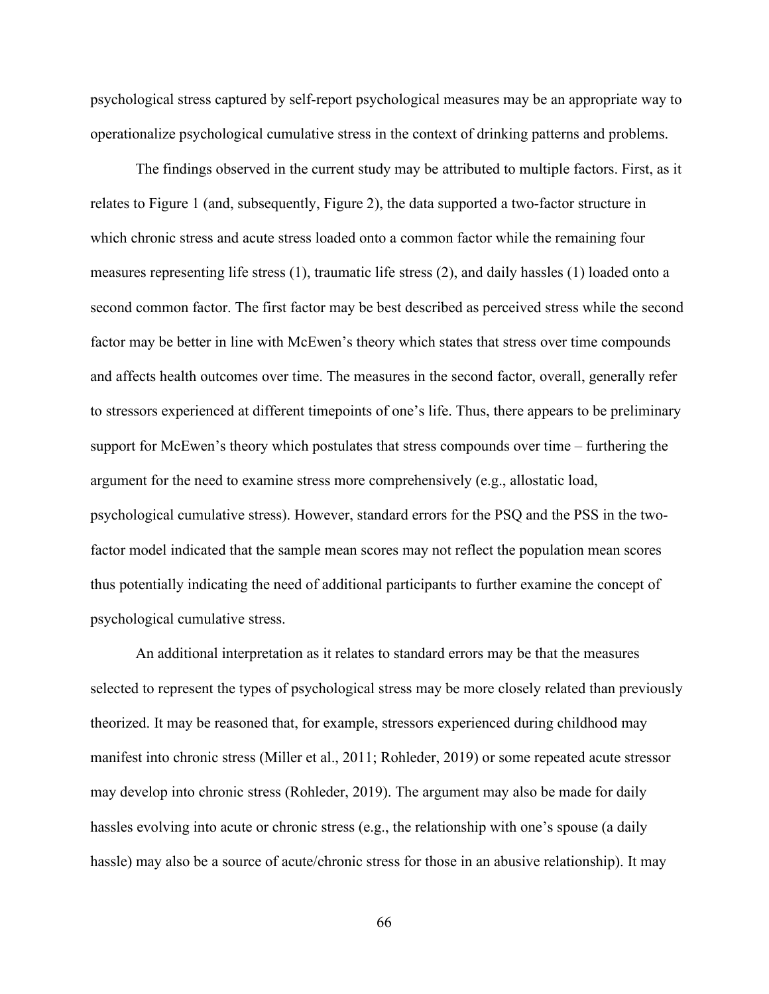psychological stress captured by self-report psychological measures may be an appropriate way to operationalize psychological cumulative stress in the context of drinking patterns and problems.

The findings observed in the current study may be attributed to multiple factors. First, as it relates to Figure 1 (and, subsequently, Figure 2), the data supported a two-factor structure in which chronic stress and acute stress loaded onto a common factor while the remaining four measures representing life stress (1), traumatic life stress (2), and daily hassles (1) loaded onto a second common factor. The first factor may be best described as perceived stress while the second factor may be better in line with McEwen's theory which states that stress over time compounds and affects health outcomes over time. The measures in the second factor, overall, generally refer to stressors experienced at different timepoints of one's life. Thus, there appears to be preliminary support for McEwen's theory which postulates that stress compounds over time – furthering the argument for the need to examine stress more comprehensively (e.g., allostatic load, psychological cumulative stress). However, standard errors for the PSQ and the PSS in the twofactor model indicated that the sample mean scores may not reflect the population mean scores thus potentially indicating the need of additional participants to further examine the concept of psychological cumulative stress.

An additional interpretation as it relates to standard errors may be that the measures selected to represent the types of psychological stress may be more closely related than previously theorized. It may be reasoned that, for example, stressors experienced during childhood may manifest into chronic stress (Miller et al., 2011; Rohleder, 2019) or some repeated acute stressor may develop into chronic stress (Rohleder, 2019). The argument may also be made for daily hassles evolving into acute or chronic stress (e.g., the relationship with one's spouse (a daily hassle) may also be a source of acute/chronic stress for those in an abusive relationship). It may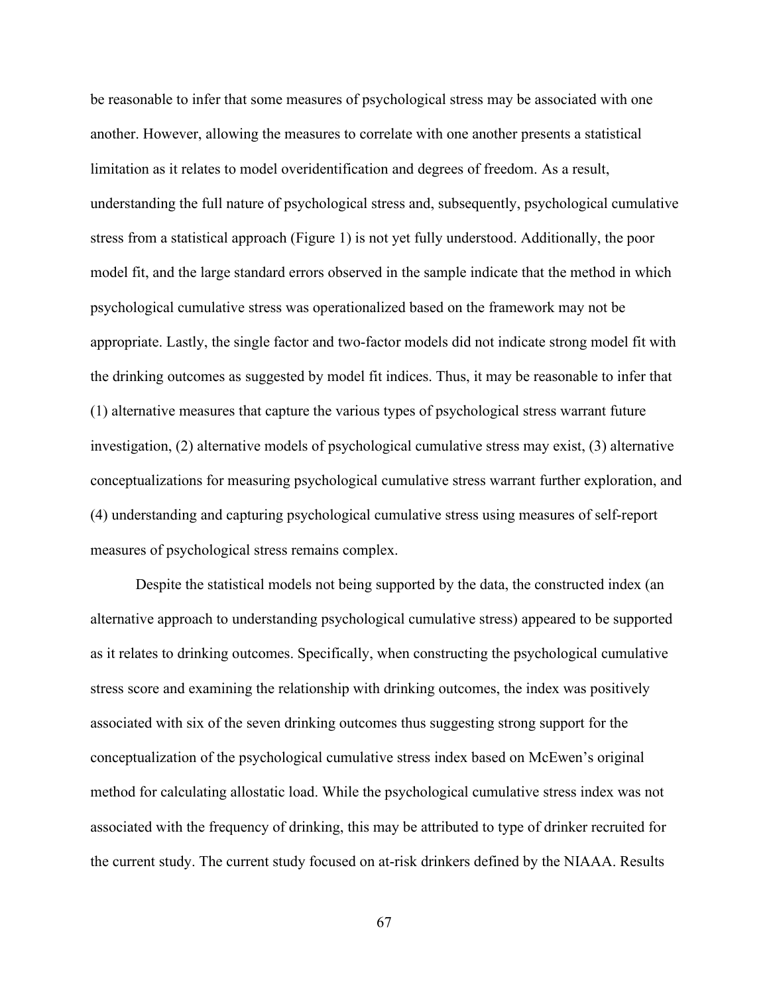be reasonable to infer that some measures of psychological stress may be associated with one another. However, allowing the measures to correlate with one another presents a statistical limitation as it relates to model overidentification and degrees of freedom. As a result, understanding the full nature of psychological stress and, subsequently, psychological cumulative stress from a statistical approach (Figure 1) is not yet fully understood. Additionally, the poor model fit, and the large standard errors observed in the sample indicate that the method in which psychological cumulative stress was operationalized based on the framework may not be appropriate. Lastly, the single factor and two-factor models did not indicate strong model fit with the drinking outcomes as suggested by model fit indices. Thus, it may be reasonable to infer that (1) alternative measures that capture the various types of psychological stress warrant future investigation, (2) alternative models of psychological cumulative stress may exist, (3) alternative conceptualizations for measuring psychological cumulative stress warrant further exploration, and (4) understanding and capturing psychological cumulative stress using measures of self-report measures of psychological stress remains complex.

Despite the statistical models not being supported by the data, the constructed index (an alternative approach to understanding psychological cumulative stress) appeared to be supported as it relates to drinking outcomes. Specifically, when constructing the psychological cumulative stress score and examining the relationship with drinking outcomes, the index was positively associated with six of the seven drinking outcomes thus suggesting strong support for the conceptualization of the psychological cumulative stress index based on McEwen's original method for calculating allostatic load. While the psychological cumulative stress index was not associated with the frequency of drinking, this may be attributed to type of drinker recruited for the current study. The current study focused on at-risk drinkers defined by the NIAAA. Results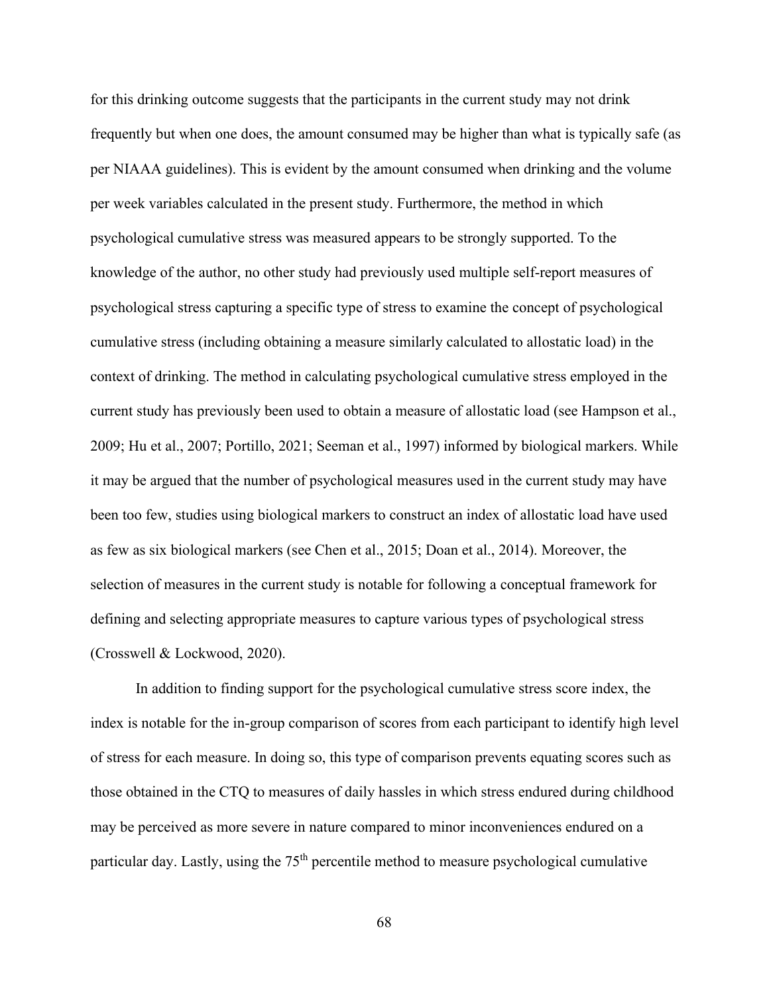for this drinking outcome suggests that the participants in the current study may not drink frequently but when one does, the amount consumed may be higher than what is typically safe (as per NIAAA guidelines). This is evident by the amount consumed when drinking and the volume per week variables calculated in the present study. Furthermore, the method in which psychological cumulative stress was measured appears to be strongly supported. To the knowledge of the author, no other study had previously used multiple self-report measures of psychological stress capturing a specific type of stress to examine the concept of psychological cumulative stress (including obtaining a measure similarly calculated to allostatic load) in the context of drinking. The method in calculating psychological cumulative stress employed in the current study has previously been used to obtain a measure of allostatic load (see Hampson et al., 2009; Hu et al., 2007; Portillo, 2021; Seeman et al., 1997) informed by biological markers. While it may be argued that the number of psychological measures used in the current study may have been too few, studies using biological markers to construct an index of allostatic load have used as few as six biological markers (see Chen et al., 2015; Doan et al., 2014). Moreover, the selection of measures in the current study is notable for following a conceptual framework for defining and selecting appropriate measures to capture various types of psychological stress (Crosswell & Lockwood, 2020).

In addition to finding support for the psychological cumulative stress score index, the index is notable for the in-group comparison of scores from each participant to identify high level of stress for each measure. In doing so, this type of comparison prevents equating scores such as those obtained in the CTQ to measures of daily hassles in which stress endured during childhood may be perceived as more severe in nature compared to minor inconveniences endured on a particular day. Lastly, using the  $75<sup>th</sup>$  percentile method to measure psychological cumulative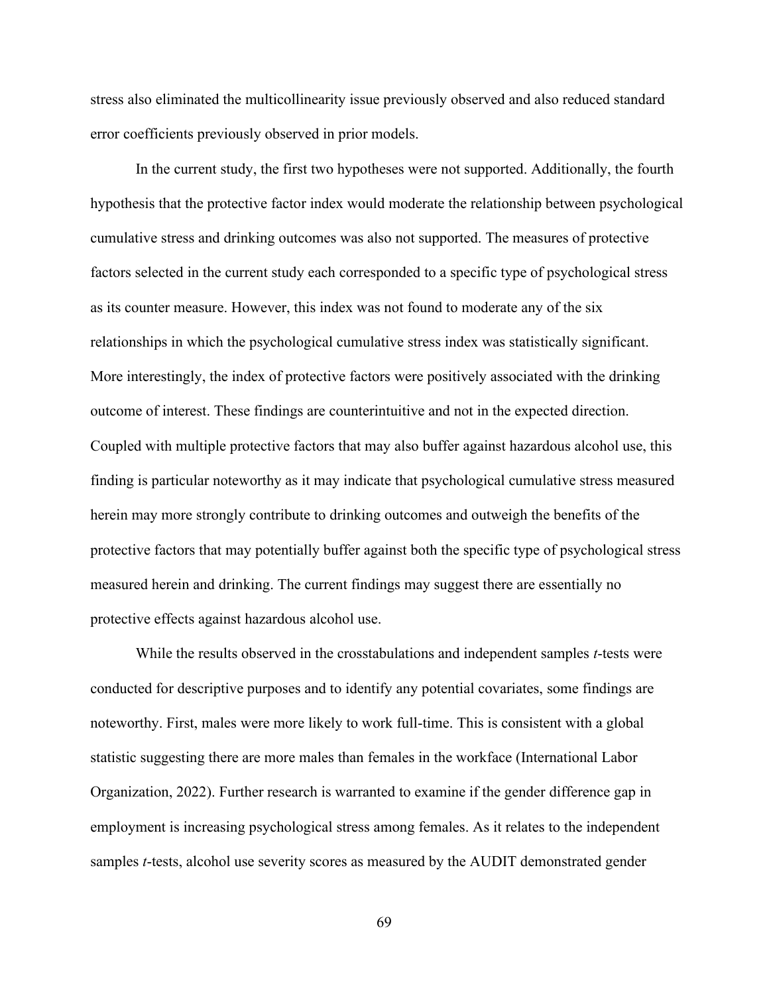stress also eliminated the multicollinearity issue previously observed and also reduced standard error coefficients previously observed in prior models.

In the current study, the first two hypotheses were not supported. Additionally, the fourth hypothesis that the protective factor index would moderate the relationship between psychological cumulative stress and drinking outcomes was also not supported. The measures of protective factors selected in the current study each corresponded to a specific type of psychological stress as its counter measure. However, this index was not found to moderate any of the six relationships in which the psychological cumulative stress index was statistically significant. More interestingly, the index of protective factors were positively associated with the drinking outcome of interest. These findings are counterintuitive and not in the expected direction. Coupled with multiple protective factors that may also buffer against hazardous alcohol use, this finding is particular noteworthy as it may indicate that psychological cumulative stress measured herein may more strongly contribute to drinking outcomes and outweigh the benefits of the protective factors that may potentially buffer against both the specific type of psychological stress measured herein and drinking. The current findings may suggest there are essentially no protective effects against hazardous alcohol use.

While the results observed in the crosstabulations and independent samples *t*-tests were conducted for descriptive purposes and to identify any potential covariates, some findings are noteworthy. First, males were more likely to work full-time. This is consistent with a global statistic suggesting there are more males than females in the workface (International Labor Organization, 2022). Further research is warranted to examine if the gender difference gap in employment is increasing psychological stress among females. As it relates to the independent samples *t*-tests, alcohol use severity scores as measured by the AUDIT demonstrated gender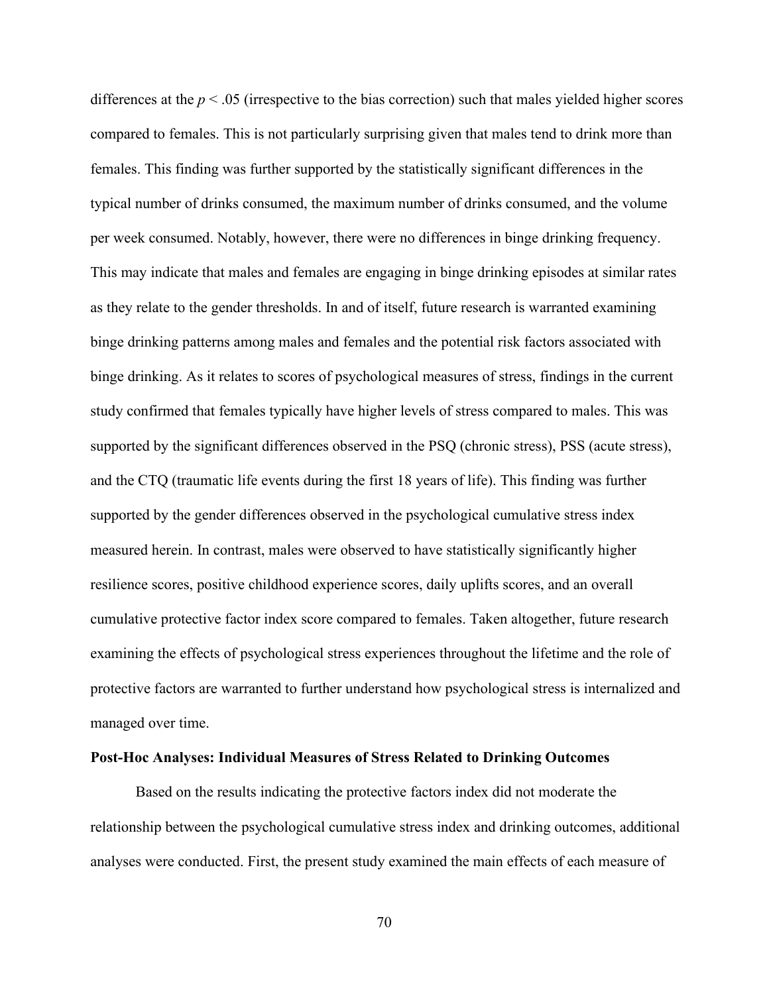differences at the *p* < .05 (irrespective to the bias correction) such that males yielded higher scores compared to females. This is not particularly surprising given that males tend to drink more than females. This finding was further supported by the statistically significant differences in the typical number of drinks consumed, the maximum number of drinks consumed, and the volume per week consumed. Notably, however, there were no differences in binge drinking frequency. This may indicate that males and females are engaging in binge drinking episodes at similar rates as they relate to the gender thresholds. In and of itself, future research is warranted examining binge drinking patterns among males and females and the potential risk factors associated with binge drinking. As it relates to scores of psychological measures of stress, findings in the current study confirmed that females typically have higher levels of stress compared to males. This was supported by the significant differences observed in the PSQ (chronic stress), PSS (acute stress), and the CTQ (traumatic life events during the first 18 years of life). This finding was further supported by the gender differences observed in the psychological cumulative stress index measured herein. In contrast, males were observed to have statistically significantly higher resilience scores, positive childhood experience scores, daily uplifts scores, and an overall cumulative protective factor index score compared to females. Taken altogether, future research examining the effects of psychological stress experiences throughout the lifetime and the role of protective factors are warranted to further understand how psychological stress is internalized and managed over time.

### **Post-Hoc Analyses: Individual Measures of Stress Related to Drinking Outcomes**

Based on the results indicating the protective factors index did not moderate the relationship between the psychological cumulative stress index and drinking outcomes, additional analyses were conducted. First, the present study examined the main effects of each measure of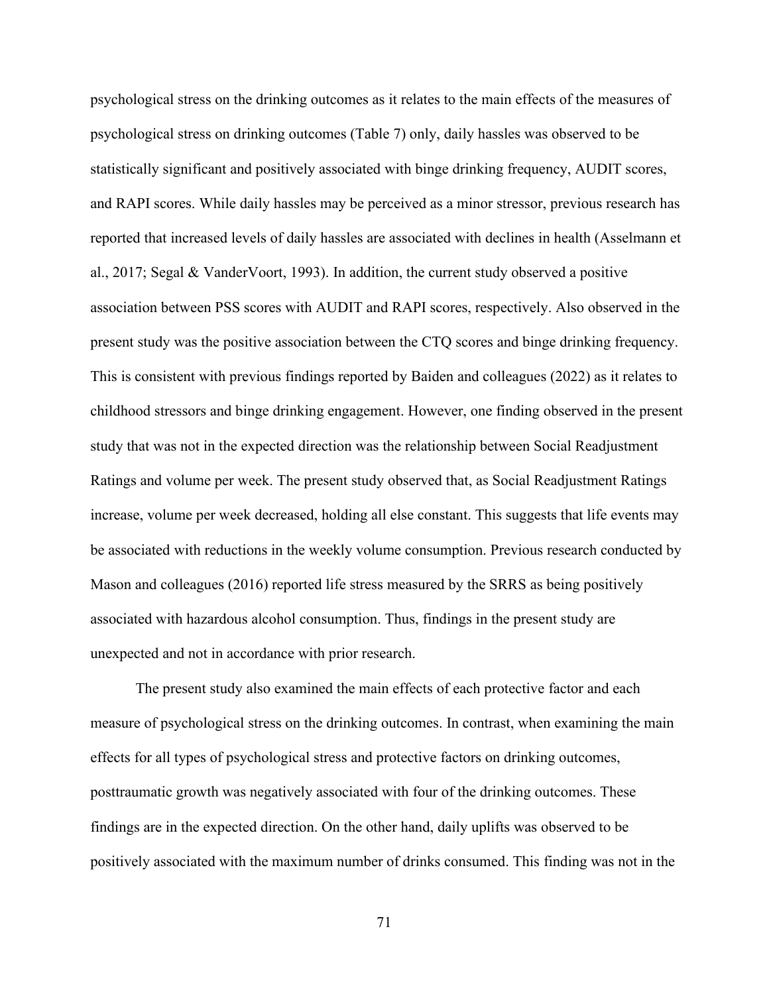psychological stress on the drinking outcomes as it relates to the main effects of the measures of psychological stress on drinking outcomes (Table 7) only, daily hassles was observed to be statistically significant and positively associated with binge drinking frequency, AUDIT scores, and RAPI scores. While daily hassles may be perceived as a minor stressor, previous research has reported that increased levels of daily hassles are associated with declines in health (Asselmann et al., 2017; Segal & VanderVoort, 1993). In addition, the current study observed a positive association between PSS scores with AUDIT and RAPI scores, respectively. Also observed in the present study was the positive association between the CTQ scores and binge drinking frequency. This is consistent with previous findings reported by Baiden and colleagues (2022) as it relates to childhood stressors and binge drinking engagement. However, one finding observed in the present study that was not in the expected direction was the relationship between Social Readjustment Ratings and volume per week. The present study observed that, as Social Readjustment Ratings increase, volume per week decreased, holding all else constant. This suggests that life events may be associated with reductions in the weekly volume consumption. Previous research conducted by Mason and colleagues (2016) reported life stress measured by the SRRS as being positively associated with hazardous alcohol consumption. Thus, findings in the present study are unexpected and not in accordance with prior research.

The present study also examined the main effects of each protective factor and each measure of psychological stress on the drinking outcomes. In contrast, when examining the main effects for all types of psychological stress and protective factors on drinking outcomes, posttraumatic growth was negatively associated with four of the drinking outcomes. These findings are in the expected direction. On the other hand, daily uplifts was observed to be positively associated with the maximum number of drinks consumed. This finding was not in the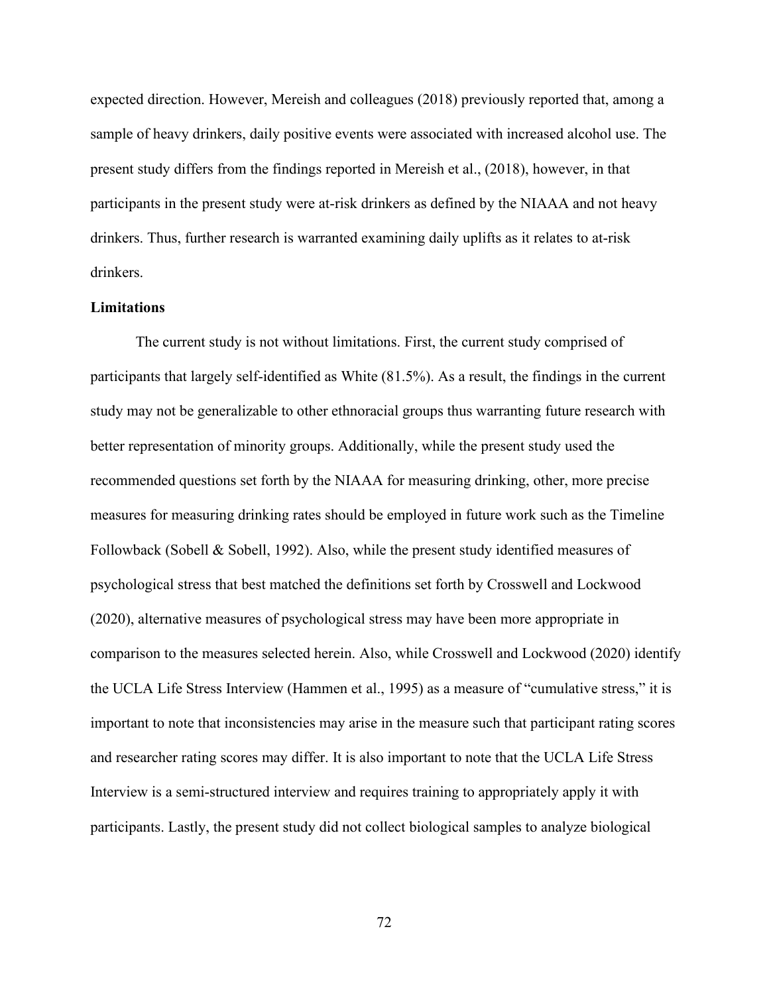expected direction. However, Mereish and colleagues (2018) previously reported that, among a sample of heavy drinkers, daily positive events were associated with increased alcohol use. The present study differs from the findings reported in Mereish et al., (2018), however, in that participants in the present study were at-risk drinkers as defined by the NIAAA and not heavy drinkers. Thus, further research is warranted examining daily uplifts as it relates to at-risk drinkers.

## **Limitations**

The current study is not without limitations. First, the current study comprised of participants that largely self-identified as White (81.5%). As a result, the findings in the current study may not be generalizable to other ethnoracial groups thus warranting future research with better representation of minority groups. Additionally, while the present study used the recommended questions set forth by the NIAAA for measuring drinking, other, more precise measures for measuring drinking rates should be employed in future work such as the Timeline Followback (Sobell & Sobell, 1992). Also, while the present study identified measures of psychological stress that best matched the definitions set forth by Crosswell and Lockwood (2020), alternative measures of psychological stress may have been more appropriate in comparison to the measures selected herein. Also, while Crosswell and Lockwood (2020) identify the UCLA Life Stress Interview (Hammen et al., 1995) as a measure of "cumulative stress," it is important to note that inconsistencies may arise in the measure such that participant rating scores and researcher rating scores may differ. It is also important to note that the UCLA Life Stress Interview is a semi-structured interview and requires training to appropriately apply it with participants. Lastly, the present study did not collect biological samples to analyze biological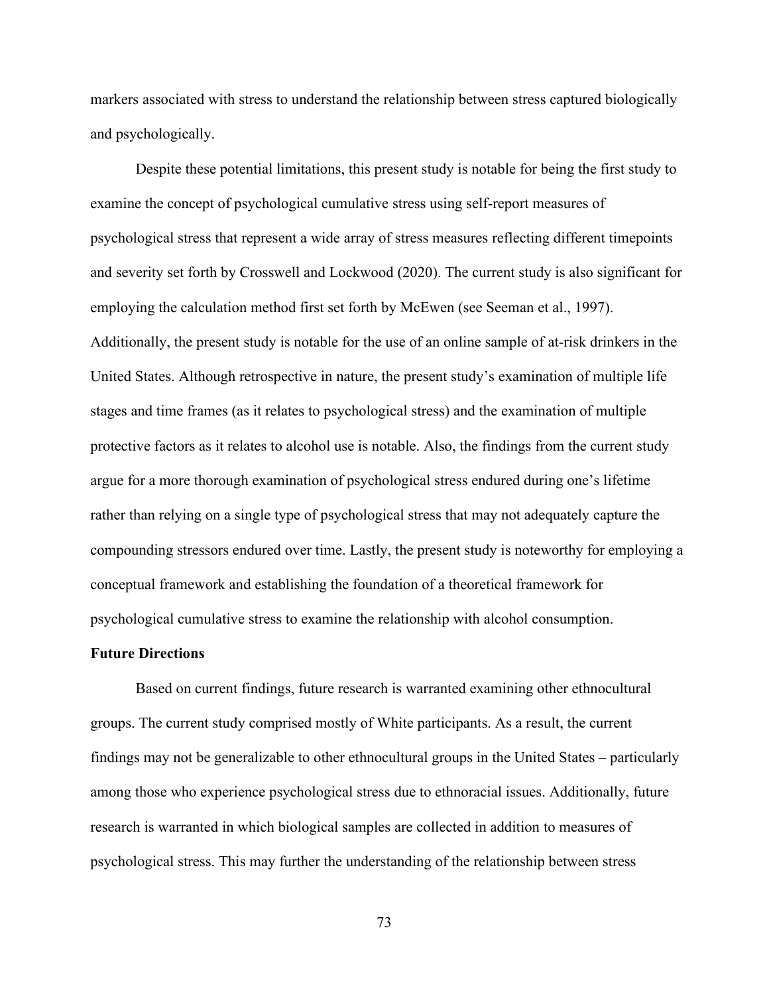markers associated with stress to understand the relationship between stress captured biologically and psychologically.

Despite these potential limitations, this present study is notable for being the first study to examine the concept of psychological cumulative stress using self-report measures of psychological stress that represent a wide array of stress measures reflecting different timepoints and severity set forth by Crosswell and Lockwood (2020). The current study is also significant for employing the calculation method first set forth by McEwen (see Seeman et al., 1997). Additionally, the present study is notable for the use of an online sample of at-risk drinkers in the United States. Although retrospective in nature, the present study's examination of multiple life stages and time frames (as it relates to psychological stress) and the examination of multiple protective factors as it relates to alcohol use is notable. Also, the findings from the current study argue for a more thorough examination of psychological stress endured during one's lifetime rather than relying on a single type of psychological stress that may not adequately capture the compounding stressors endured over time. Lastly, the present study is noteworthy for employing a conceptual framework and establishing the foundation of a theoretical framework for psychological cumulative stress to examine the relationship with alcohol consumption.

## **Future Directions**

Based on current findings, future research is warranted examining other ethnocultural groups. The current study comprised mostly of White participants. As a result, the current findings may not be generalizable to other ethnocultural groups in the United States – particularly among those who experience psychological stress due to ethnoracial issues. Additionally, future research is warranted in which biological samples are collected in addition to measures of psychological stress. This may further the understanding of the relationship between stress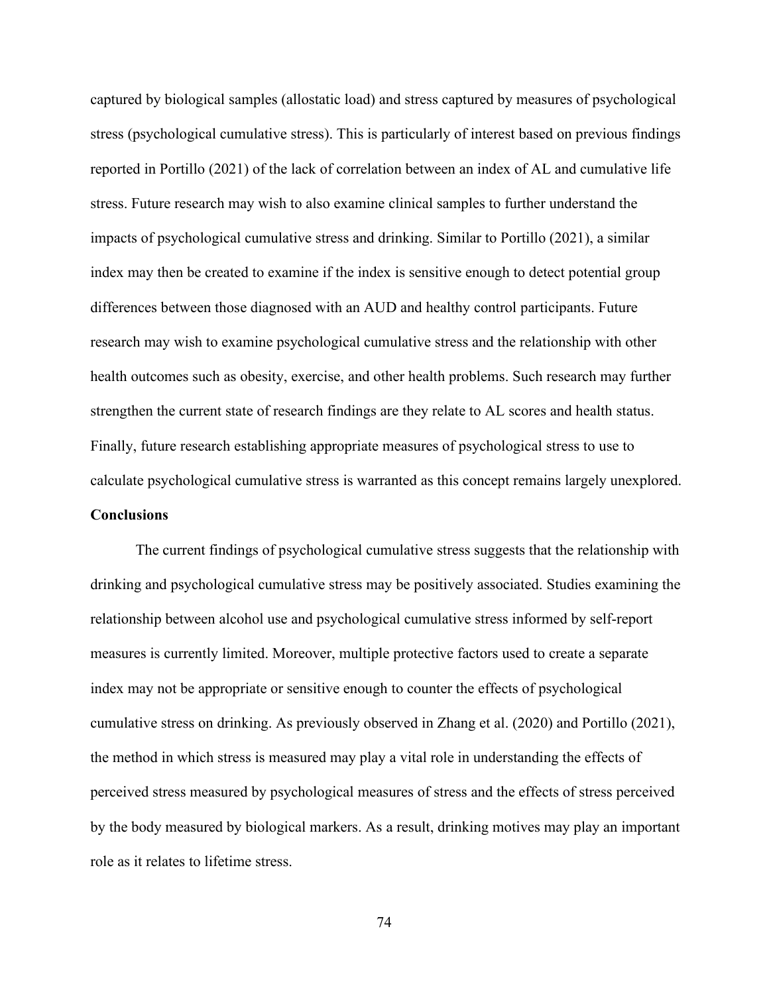captured by biological samples (allostatic load) and stress captured by measures of psychological stress (psychological cumulative stress). This is particularly of interest based on previous findings reported in Portillo (2021) of the lack of correlation between an index of AL and cumulative life stress. Future research may wish to also examine clinical samples to further understand the impacts of psychological cumulative stress and drinking. Similar to Portillo (2021), a similar index may then be created to examine if the index is sensitive enough to detect potential group differences between those diagnosed with an AUD and healthy control participants. Future research may wish to examine psychological cumulative stress and the relationship with other health outcomes such as obesity, exercise, and other health problems. Such research may further strengthen the current state of research findings are they relate to AL scores and health status. Finally, future research establishing appropriate measures of psychological stress to use to calculate psychological cumulative stress is warranted as this concept remains largely unexplored. **Conclusions**

 The current findings of psychological cumulative stress suggests that the relationship with drinking and psychological cumulative stress may be positively associated. Studies examining the relationship between alcohol use and psychological cumulative stress informed by self-report measures is currently limited. Moreover, multiple protective factors used to create a separate index may not be appropriate or sensitive enough to counter the effects of psychological cumulative stress on drinking. As previously observed in Zhang et al. (2020) and Portillo (2021), the method in which stress is measured may play a vital role in understanding the effects of perceived stress measured by psychological measures of stress and the effects of stress perceived by the body measured by biological markers. As a result, drinking motives may play an important role as it relates to lifetime stress.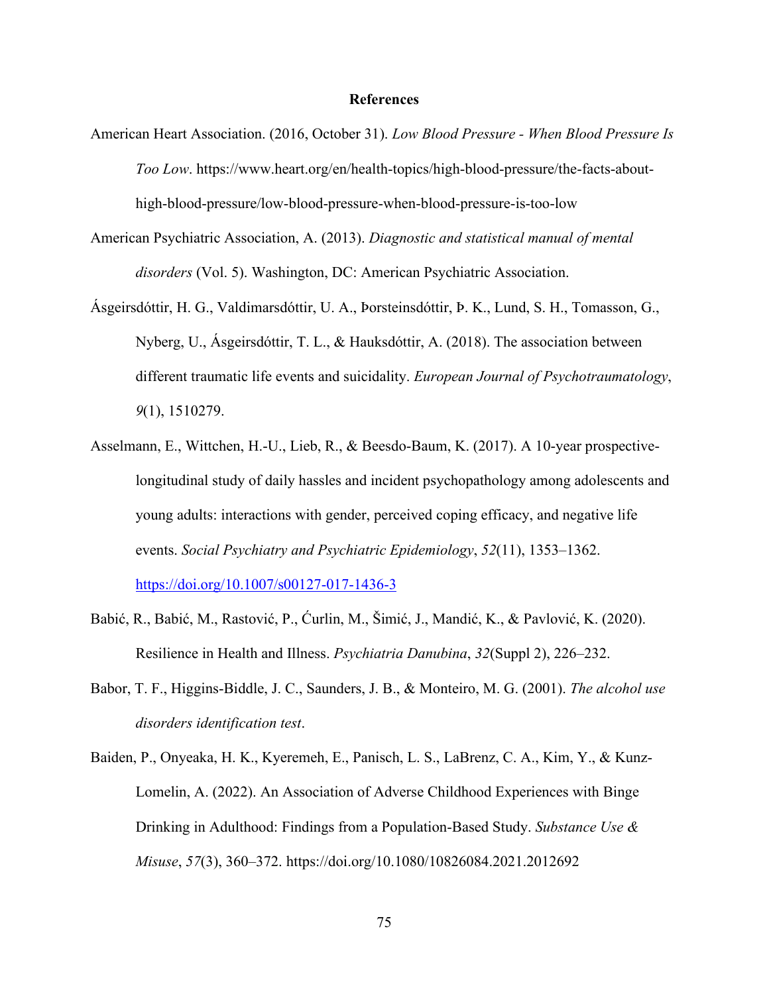## **References**

- American Heart Association. (2016, October 31). *Low Blood Pressure When Blood Pressure Is Too Low*. https://www.heart.org/en/health-topics/high-blood-pressure/the-facts-abouthigh-blood-pressure/low-blood-pressure-when-blood-pressure-is-too-low
- American Psychiatric Association, A. (2013). *Diagnostic and statistical manual of mental disorders* (Vol. 5). Washington, DC: American Psychiatric Association.
- Ásgeirsdóttir, H. G., Valdimarsdóttir, U. A., Þorsteinsdóttir, Þ. K., Lund, S. H., Tomasson, G., Nyberg, U., Ásgeirsdóttir, T. L., & Hauksdóttir, A. (2018). The association between different traumatic life events and suicidality. *European Journal of Psychotraumatology*, *9*(1), 1510279.
- Asselmann, E., Wittchen, H.-U., Lieb, R., & Beesdo-Baum, K. (2017). A 10-year prospectivelongitudinal study of daily hassles and incident psychopathology among adolescents and young adults: interactions with gender, perceived coping efficacy, and negative life events. *Social Psychiatry and Psychiatric Epidemiology*, *52*(11), 1353–1362. <https://doi.org/10.1007/s00127-017-1436-3>
- Babić, R., Babić, M., Rastović, P., Ćurlin, M., Šimić, J., Mandić, K., & Pavlović, K. (2020). Resilience in Health and Illness. *Psychiatria Danubina*, *32*(Suppl 2), 226–232.
- Babor, T. F., Higgins-Biddle, J. C., Saunders, J. B., & Monteiro, M. G. (2001). *The alcohol use disorders identification test*.
- Baiden, P., Onyeaka, H. K., Kyeremeh, E., Panisch, L. S., LaBrenz, C. A., Kim, Y., & Kunz-Lomelin, A. (2022). An Association of Adverse Childhood Experiences with Binge Drinking in Adulthood: Findings from a Population-Based Study. *Substance Use & Misuse*, *57*(3), 360–372. https://doi.org/10.1080/10826084.2021.2012692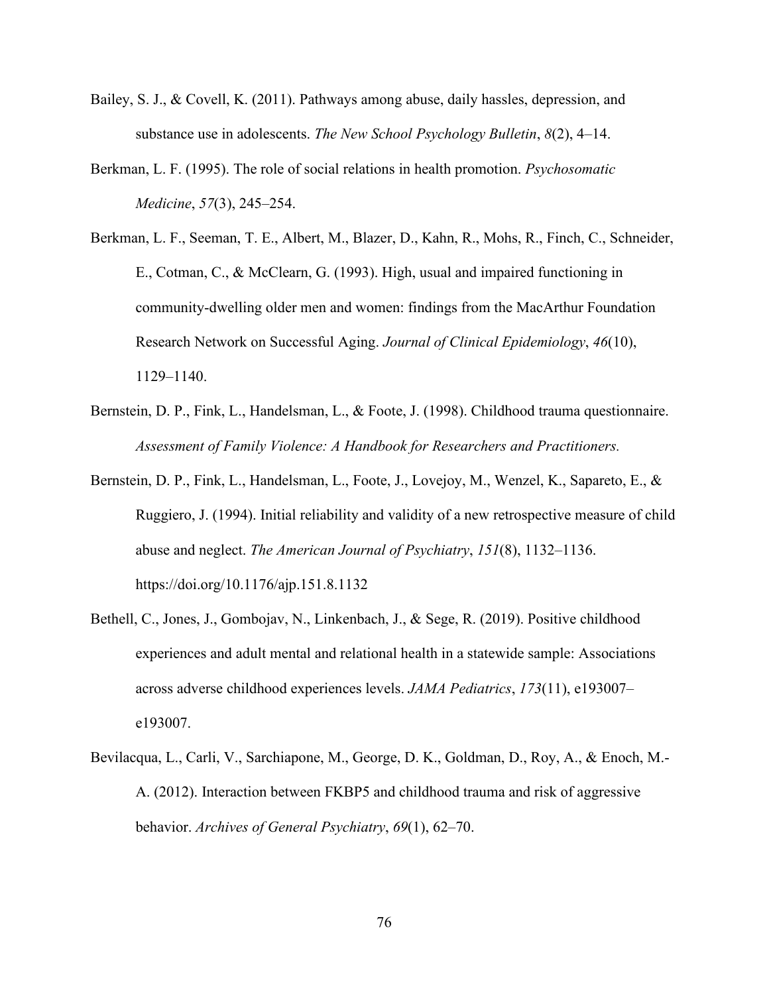- Bailey, S. J., & Covell, K. (2011). Pathways among abuse, daily hassles, depression, and substance use in adolescents. *The New School Psychology Bulletin*, *8*(2), 4–14.
- Berkman, L. F. (1995). The role of social relations in health promotion. *Psychosomatic Medicine*, *57*(3), 245–254.
- Berkman, L. F., Seeman, T. E., Albert, M., Blazer, D., Kahn, R., Mohs, R., Finch, C., Schneider, E., Cotman, C., & McClearn, G. (1993). High, usual and impaired functioning in community-dwelling older men and women: findings from the MacArthur Foundation Research Network on Successful Aging. *Journal of Clinical Epidemiology*, *46*(10), 1129–1140.
- Bernstein, D. P., Fink, L., Handelsman, L., & Foote, J. (1998). Childhood trauma questionnaire. *Assessment of Family Violence: A Handbook for Researchers and Practitioners.*
- Bernstein, D. P., Fink, L., Handelsman, L., Foote, J., Lovejoy, M., Wenzel, K., Sapareto, E., & Ruggiero, J. (1994). Initial reliability and validity of a new retrospective measure of child abuse and neglect. *The American Journal of Psychiatry*, *151*(8), 1132–1136. https://doi.org/10.1176/ajp.151.8.1132
- Bethell, C., Jones, J., Gombojav, N., Linkenbach, J., & Sege, R. (2019). Positive childhood experiences and adult mental and relational health in a statewide sample: Associations across adverse childhood experiences levels. *JAMA Pediatrics*, *173*(11), e193007– e193007.
- Bevilacqua, L., Carli, V., Sarchiapone, M., George, D. K., Goldman, D., Roy, A., & Enoch, M.- A. (2012). Interaction between FKBP5 and childhood trauma and risk of aggressive behavior. *Archives of General Psychiatry*, *69*(1), 62–70.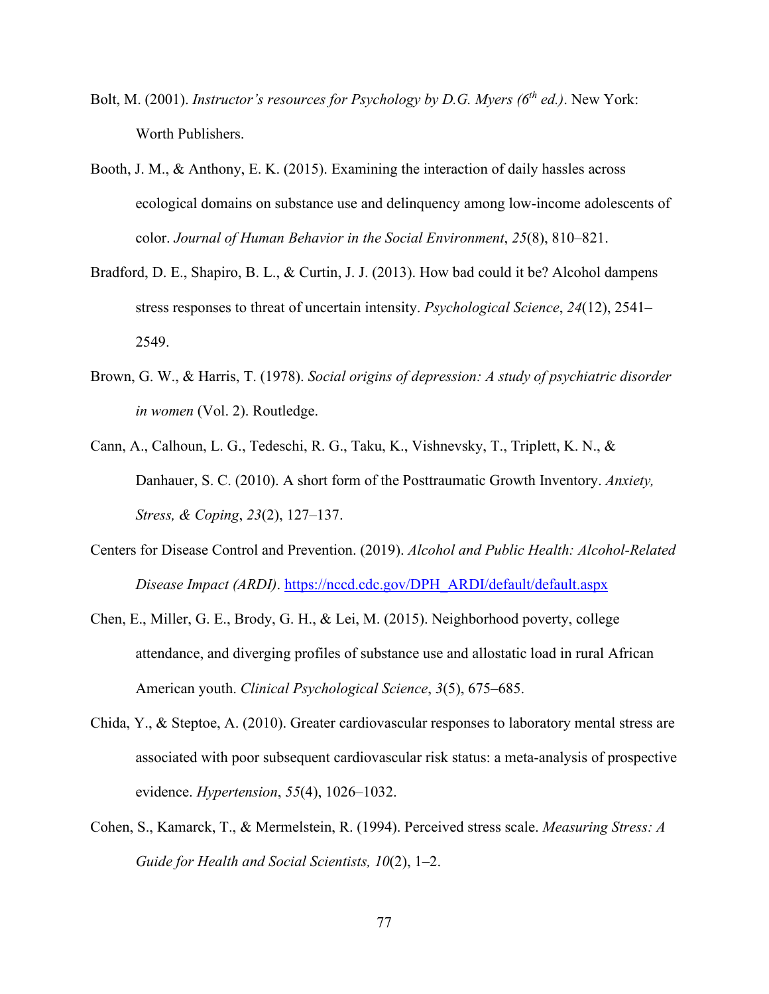- Bolt, M. (2001). *Instructor's resources for Psychology by D.G. Myers (6th ed.)*. New York: Worth Publishers.
- Booth, J. M., & Anthony, E. K. (2015). Examining the interaction of daily hassles across ecological domains on substance use and delinquency among low-income adolescents of color. *Journal of Human Behavior in the Social Environment*, *25*(8), 810–821.
- Bradford, D. E., Shapiro, B. L., & Curtin, J. J. (2013). How bad could it be? Alcohol dampens stress responses to threat of uncertain intensity. *Psychological Science*, *24*(12), 2541– 2549.
- Brown, G. W., & Harris, T. (1978). *Social origins of depression: A study of psychiatric disorder in women* (Vol. 2). Routledge.
- Cann, A., Calhoun, L. G., Tedeschi, R. G., Taku, K., Vishnevsky, T., Triplett, K. N., & Danhauer, S. C. (2010). A short form of the Posttraumatic Growth Inventory. *Anxiety, Stress, & Coping*, *23*(2), 127–137.
- Centers for Disease Control and Prevention. (2019). *Alcohol and Public Health: Alcohol-Related Disease Impact (ARDI)*. [https://nccd.cdc.gov/DPH\\_ARDI/default/default.aspx](https://nccd.cdc.gov/DPH_ARDI/default/default.aspx)
- Chen, E., Miller, G. E., Brody, G. H., & Lei, M. (2015). Neighborhood poverty, college attendance, and diverging profiles of substance use and allostatic load in rural African American youth. *Clinical Psychological Science*, *3*(5), 675–685.
- Chida, Y., & Steptoe, A. (2010). Greater cardiovascular responses to laboratory mental stress are associated with poor subsequent cardiovascular risk status: a meta-analysis of prospective evidence. *Hypertension*, *55*(4), 1026–1032.
- Cohen, S., Kamarck, T., & Mermelstein, R. (1994). Perceived stress scale. *Measuring Stress: A Guide for Health and Social Scientists, 10*(2), 1–2.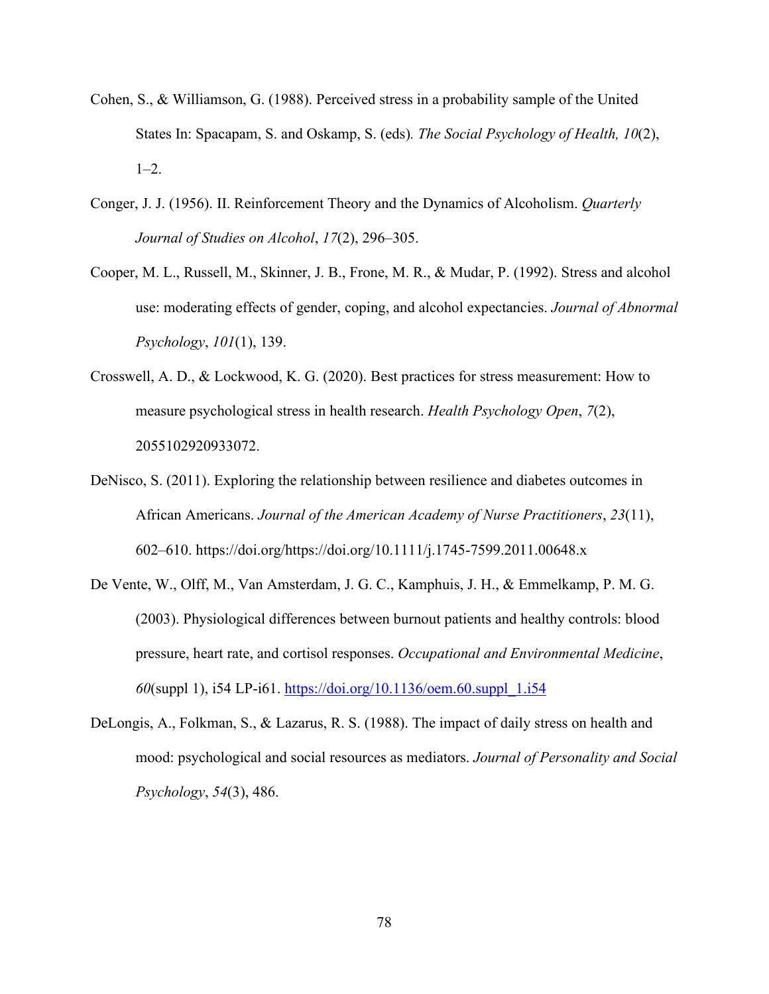- Cohen, S., & Williamson, G. (1988). Perceived stress in a probability sample of the United States In: Spacapam, S. and Oskamp, S. (eds)*. The Social Psychology of Health, 10*(2),  $1-2.$
- Conger, J. J. (1956). II. Reinforcement Theory and the Dynamics of Alcoholism. *Quarterly Journal of Studies on Alcohol*, *17*(2), 296–305.
- Cooper, M. L., Russell, M., Skinner, J. B., Frone, M. R., & Mudar, P. (1992). Stress and alcohol use: moderating effects of gender, coping, and alcohol expectancies. *Journal of Abnormal Psychology*, *101*(1), 139.
- Crosswell, A. D., & Lockwood, K. G. (2020). Best practices for stress measurement: How to measure psychological stress in health research. *Health Psychology Open*, *7*(2), 2055102920933072.
- DeNisco, S. (2011). Exploring the relationship between resilience and diabetes outcomes in African Americans. *Journal of the American Academy of Nurse Practitioners*, *23*(11), 602–610. https://doi.org/https://doi.org/10.1111/j.1745-7599.2011.00648.x
- De Vente, W., Olff, M., Van Amsterdam, J. G. C., Kamphuis, J. H., & Emmelkamp, P. M. G. (2003). Physiological differences between burnout patients and healthy controls: blood pressure, heart rate, and cortisol responses. *Occupational and Environmental Medicine*, *60*(suppl 1), i54 LP-i61. [https://doi.org/10.1136/oem.60.suppl\\_1.i54](https://doi.org/10.1136/oem.60.suppl_1.i54)
- DeLongis, A., Folkman, S., & Lazarus, R. S. (1988). The impact of daily stress on health and mood: psychological and social resources as mediators. *Journal of Personality and Social Psychology*, *54*(3), 486.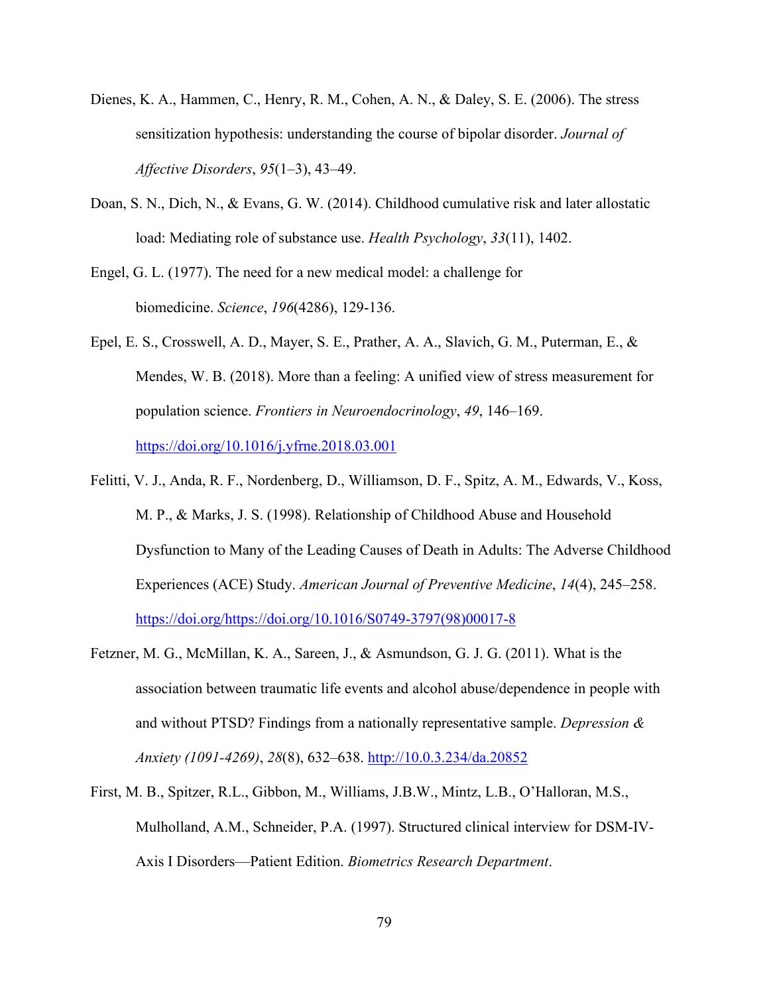- Dienes, K. A., Hammen, C., Henry, R. M., Cohen, A. N., & Daley, S. E. (2006). The stress sensitization hypothesis: understanding the course of bipolar disorder. *Journal of Affective Disorders*, *95*(1–3), 43–49.
- Doan, S. N., Dich, N., & Evans, G. W. (2014). Childhood cumulative risk and later allostatic load: Mediating role of substance use. *Health Psychology*, *33*(11), 1402.
- Engel, G. L. (1977). The need for a new medical model: a challenge for biomedicine. *Science*, *196*(4286), 129-136.
- Epel, E. S., Crosswell, A. D., Mayer, S. E., Prather, A. A., Slavich, G. M., Puterman, E., & Mendes, W. B. (2018). More than a feeling: A unified view of stress measurement for population science. *Frontiers in Neuroendocrinology*, *49*, 146–169. <https://doi.org/10.1016/j.yfrne.2018.03.001>
- Felitti, V. J., Anda, R. F., Nordenberg, D., Williamson, D. F., Spitz, A. M., Edwards, V., Koss, M. P., & Marks, J. S. (1998). Relationship of Childhood Abuse and Household Dysfunction to Many of the Leading Causes of Death in Adults: The Adverse Childhood Experiences (ACE) Study. *American Journal of Preventive Medicine*, *14*(4), 245–258. [https://doi.org/https://doi.org/10.1016/S0749-3797\(98\)00017-8](https://doi.org/https:/doi.org/10.1016/S0749-3797(98)00017-8)
- Fetzner, M. G., McMillan, K. A., Sareen, J., & Asmundson, G. J. G. (2011). What is the association between traumatic life events and alcohol abuse/dependence in people with and without PTSD? Findings from a nationally representative sample. *Depression & Anxiety (1091-4269)*, *28*(8), 632–638.<http://10.0.3.234/da.20852>
- First, M. B., Spitzer, R.L., Gibbon, M., Williams, J.B.W., Mintz, L.B., O'Halloran, M.S., Mulholland, A.M., Schneider, P.A. (1997). Structured clinical interview for DSM-IV-Axis I Disorders—Patient Edition. *Biometrics Research Department*.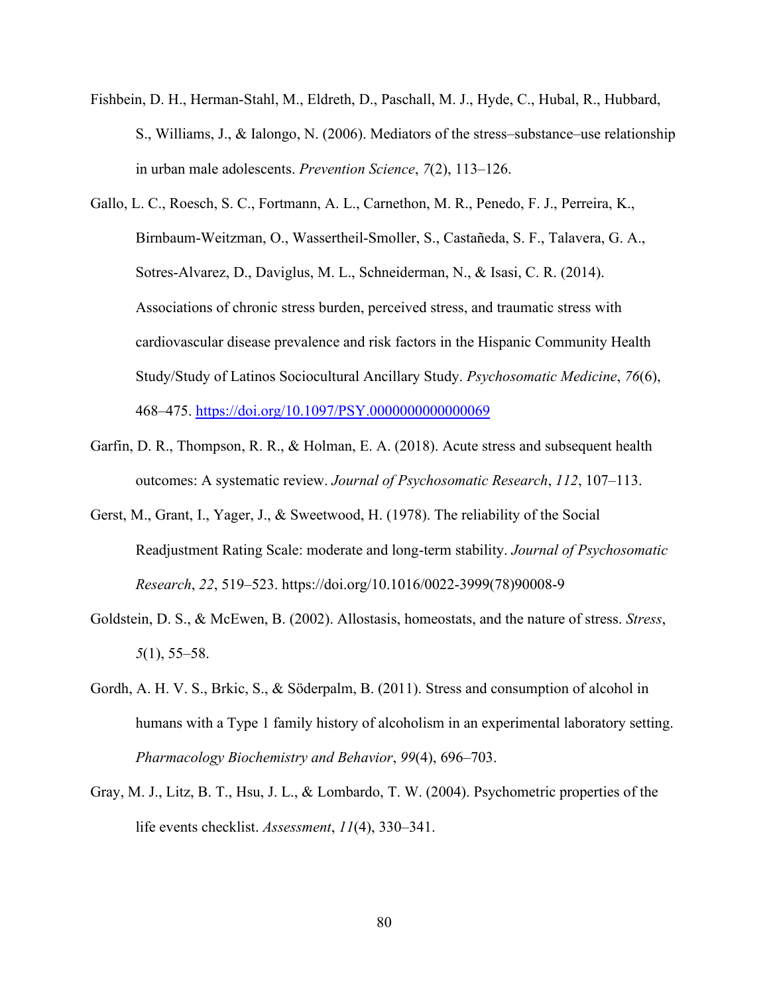- Fishbein, D. H., Herman-Stahl, M., Eldreth, D., Paschall, M. J., Hyde, C., Hubal, R., Hubbard, S., Williams, J., & Ialongo, N. (2006). Mediators of the stress–substance–use relationship in urban male adolescents. *Prevention Science*, *7*(2), 113–126.
- Gallo, L. C., Roesch, S. C., Fortmann, A. L., Carnethon, M. R., Penedo, F. J., Perreira, K., Birnbaum-Weitzman, O., Wassertheil-Smoller, S., Castañeda, S. F., Talavera, G. A., Sotres-Alvarez, D., Daviglus, M. L., Schneiderman, N., & Isasi, C. R. (2014). Associations of chronic stress burden, perceived stress, and traumatic stress with cardiovascular disease prevalence and risk factors in the Hispanic Community Health Study/Study of Latinos Sociocultural Ancillary Study. *Psychosomatic Medicine*, *76*(6), 468–475.<https://doi.org/10.1097/PSY.0000000000000069>
- Garfin, D. R., Thompson, R. R., & Holman, E. A. (2018). Acute stress and subsequent health outcomes: A systematic review. *Journal of Psychosomatic Research*, *112*, 107–113.
- Gerst, M., Grant, I., Yager, J., & Sweetwood, H. (1978). The reliability of the Social Readjustment Rating Scale: moderate and long-term stability. *Journal of Psychosomatic Research*, *22*, 519–523. https://doi.org/10.1016/0022-3999(78)90008-9
- Goldstein, D. S., & McEwen, B. (2002). Allostasis, homeostats, and the nature of stress. *Stress*, *5*(1), 55–58.
- Gordh, A. H. V. S., Brkic, S., & Söderpalm, B. (2011). Stress and consumption of alcohol in humans with a Type 1 family history of alcoholism in an experimental laboratory setting. *Pharmacology Biochemistry and Behavior*, *99*(4), 696–703.
- Gray, M. J., Litz, B. T., Hsu, J. L., & Lombardo, T. W. (2004). Psychometric properties of the life events checklist. *Assessment*, *11*(4), 330–341.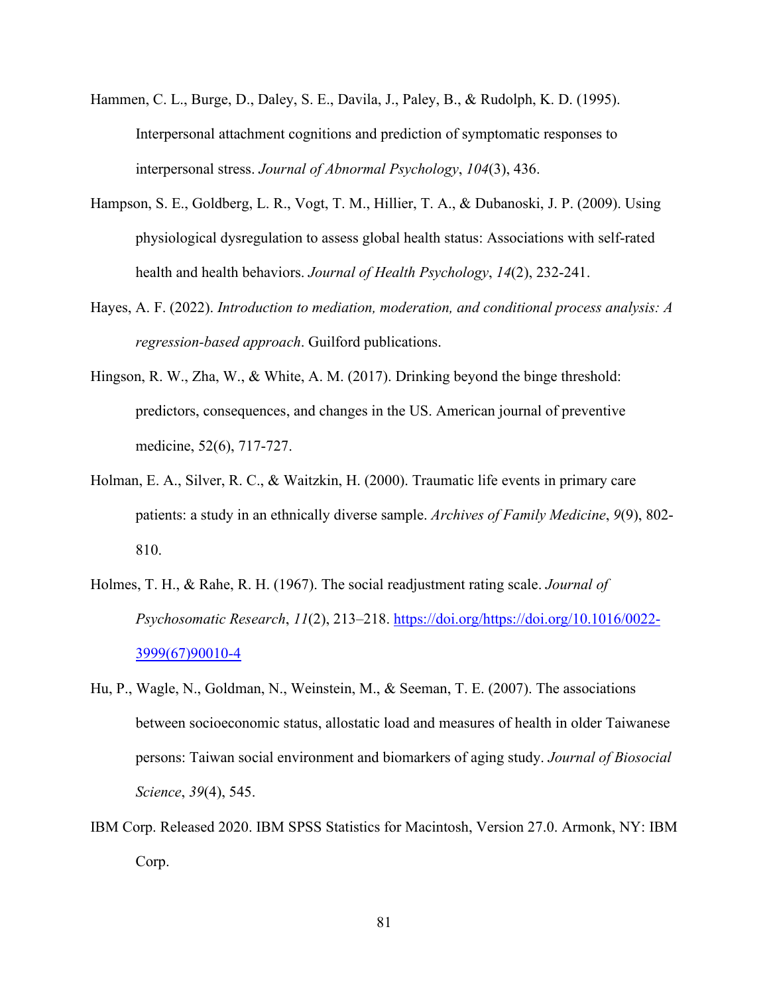- Hammen, C. L., Burge, D., Daley, S. E., Davila, J., Paley, B., & Rudolph, K. D. (1995). Interpersonal attachment cognitions and prediction of symptomatic responses to interpersonal stress. *Journal of Abnormal Psychology*, *104*(3), 436.
- Hampson, S. E., Goldberg, L. R., Vogt, T. M., Hillier, T. A., & Dubanoski, J. P. (2009). Using physiological dysregulation to assess global health status: Associations with self-rated health and health behaviors. *Journal of Health Psychology*, *14*(2), 232-241.
- Hayes, A. F. (2022). *Introduction to mediation, moderation, and conditional process analysis: A regression-based approach*. Guilford publications.
- Hingson, R. W., Zha, W., & White, A. M. (2017). Drinking beyond the binge threshold: predictors, consequences, and changes in the US. American journal of preventive medicine, 52(6), 717-727.
- Holman, E. A., Silver, R. C., & Waitzkin, H. (2000). Traumatic life events in primary care patients: a study in an ethnically diverse sample. *Archives of Family Medicine*, *9*(9), 802- 810.
- Holmes, T. H., & Rahe, R. H. (1967). The social readjustment rating scale. *Journal of Psychosomatic Research*, *11*(2), 213–218. [https://doi.org/https://doi.org/10.1016/0022-](https://doi.org/https:/doi.org/10.1016/0022-3999(67)90010-4) [3999\(67\)90010-4](https://doi.org/https:/doi.org/10.1016/0022-3999(67)90010-4)
- Hu, P., Wagle, N., Goldman, N., Weinstein, M., & Seeman, T. E. (2007). The associations between socioeconomic status, allostatic load and measures of health in older Taiwanese persons: Taiwan social environment and biomarkers of aging study. *Journal of Biosocial Science*, *39*(4), 545.
- IBM Corp. Released 2020. IBM SPSS Statistics for Macintosh, Version 27.0. Armonk, NY: IBM Corp.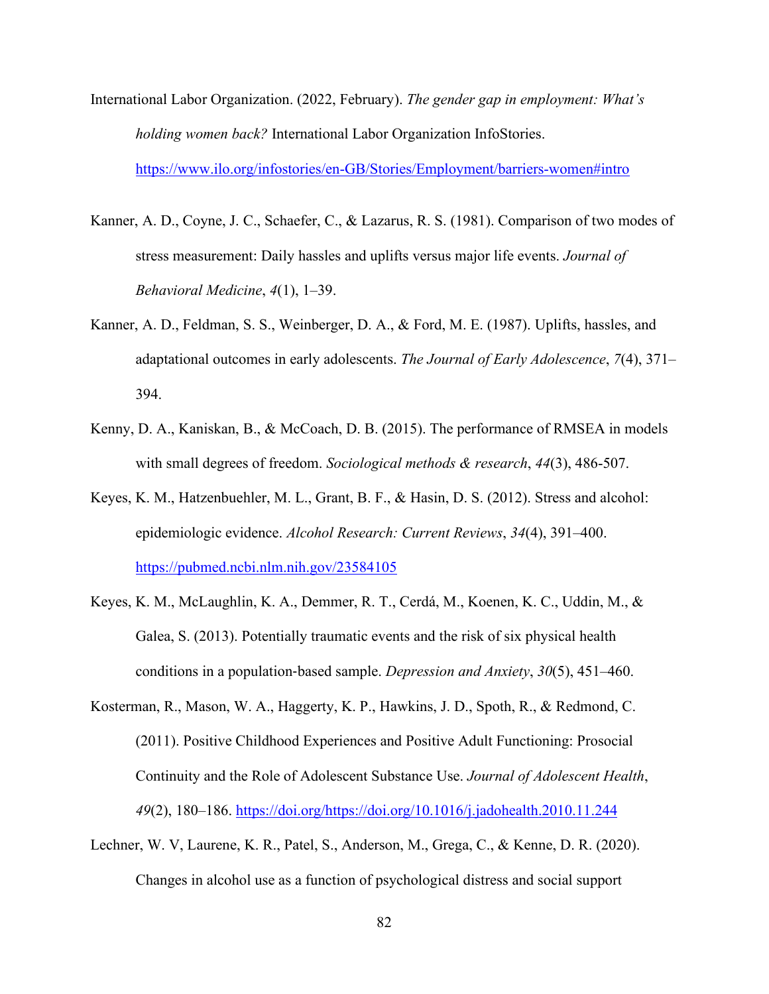- International Labor Organization. (2022, February). *The gender gap in employment: What's holding women back?* International Labor Organization InfoStories. <https://www.ilo.org/infostories/en-GB/Stories/Employment/barriers-women#intro>
- Kanner, A. D., Coyne, J. C., Schaefer, C., & Lazarus, R. S. (1981). Comparison of two modes of stress measurement: Daily hassles and uplifts versus major life events. *Journal of Behavioral Medicine*, *4*(1), 1–39.
- Kanner, A. D., Feldman, S. S., Weinberger, D. A., & Ford, M. E. (1987). Uplifts, hassles, and adaptational outcomes in early adolescents. *The Journal of Early Adolescence*, *7*(4), 371– 394.
- Kenny, D. A., Kaniskan, B., & McCoach, D. B. (2015). The performance of RMSEA in models with small degrees of freedom. *Sociological methods & research*, *44*(3), 486-507.
- Keyes, K. M., Hatzenbuehler, M. L., Grant, B. F., & Hasin, D. S. (2012). Stress and alcohol: epidemiologic evidence. *Alcohol Research: Current Reviews*, *34*(4), 391–400. <https://pubmed.ncbi.nlm.nih.gov/23584105>
- Keyes, K. M., McLaughlin, K. A., Demmer, R. T., Cerdá, M., Koenen, K. C., Uddin, M., & Galea, S. (2013). Potentially traumatic events and the risk of six physical health conditions in a population‐based sample. *Depression and Anxiety*, *30*(5), 451–460.
- Kosterman, R., Mason, W. A., Haggerty, K. P., Hawkins, J. D., Spoth, R., & Redmond, C. (2011). Positive Childhood Experiences and Positive Adult Functioning: Prosocial Continuity and the Role of Adolescent Substance Use. *Journal of Adolescent Health*, *49*(2), 180–186. [https://doi.org/https://doi.org/10.1016/j.jadohealth.2010.11.244](https://doi.org/https:/doi.org/10.1016/j.jadohealth.2010.11.244)
- Lechner, W. V, Laurene, K. R., Patel, S., Anderson, M., Grega, C., & Kenne, D. R. (2020). Changes in alcohol use as a function of psychological distress and social support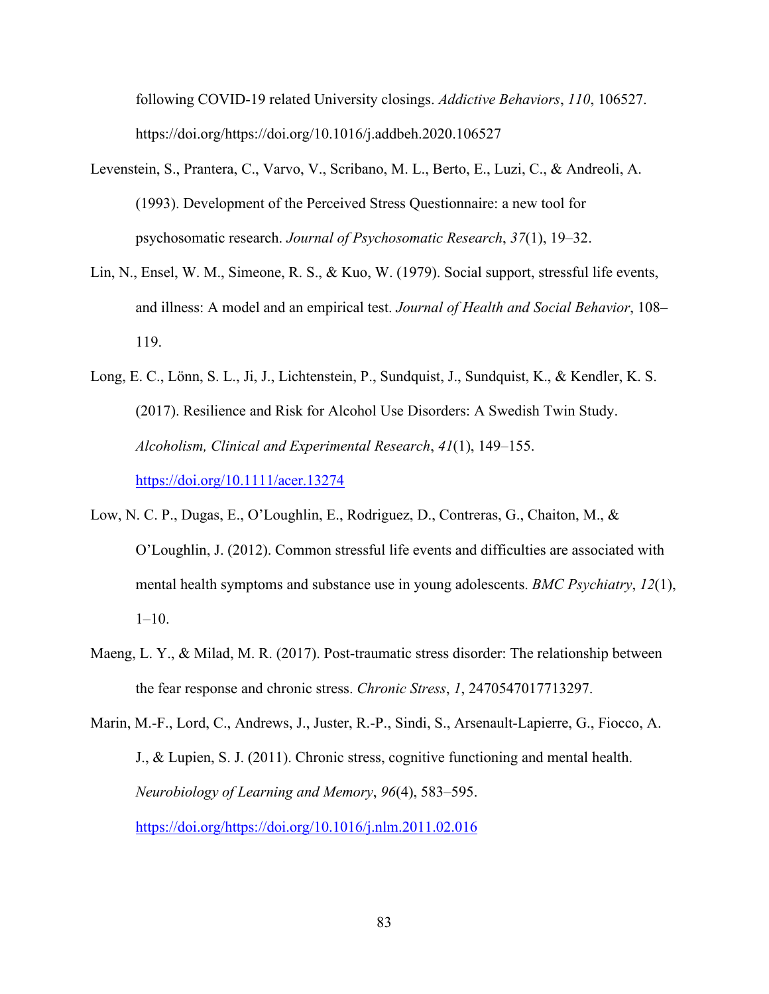following COVID-19 related University closings. *Addictive Behaviors*, *110*, 106527. https://doi.org/https://doi.org/10.1016/j.addbeh.2020.106527

- Levenstein, S., Prantera, C., Varvo, V., Scribano, M. L., Berto, E., Luzi, C., & Andreoli, A. (1993). Development of the Perceived Stress Questionnaire: a new tool for psychosomatic research. *Journal of Psychosomatic Research*, *37*(1), 19–32.
- Lin, N., Ensel, W. M., Simeone, R. S., & Kuo, W. (1979). Social support, stressful life events, and illness: A model and an empirical test. *Journal of Health and Social Behavior*, 108– 119.
- Long, E. C., Lönn, S. L., Ji, J., Lichtenstein, P., Sundquist, J., Sundquist, K., & Kendler, K. S. (2017). Resilience and Risk for Alcohol Use Disorders: A Swedish Twin Study. *Alcoholism, Clinical and Experimental Research*, *41*(1), 149–155. <https://doi.org/10.1111/acer.13274>
- Low, N. C. P., Dugas, E., O'Loughlin, E., Rodriguez, D., Contreras, G., Chaiton, M., & O'Loughlin, J. (2012). Common stressful life events and difficulties are associated with mental health symptoms and substance use in young adolescents. *BMC Psychiatry*, *12*(1),  $1-10.$
- Maeng, L. Y., & Milad, M. R. (2017). Post-traumatic stress disorder: The relationship between the fear response and chronic stress. *Chronic Stress*, *1*, 2470547017713297.

Marin, M.-F., Lord, C., Andrews, J., Juster, R.-P., Sindi, S., Arsenault-Lapierre, G., Fiocco, A. J., & Lupien, S. J. (2011). Chronic stress, cognitive functioning and mental health. *Neurobiology of Learning and Memory*, *96*(4), 583–595. [https://doi.org/https://doi.org/10.1016/j.nlm.2011.02.016](https://doi.org/https:/doi.org/10.1016/j.nlm.2011.02.016)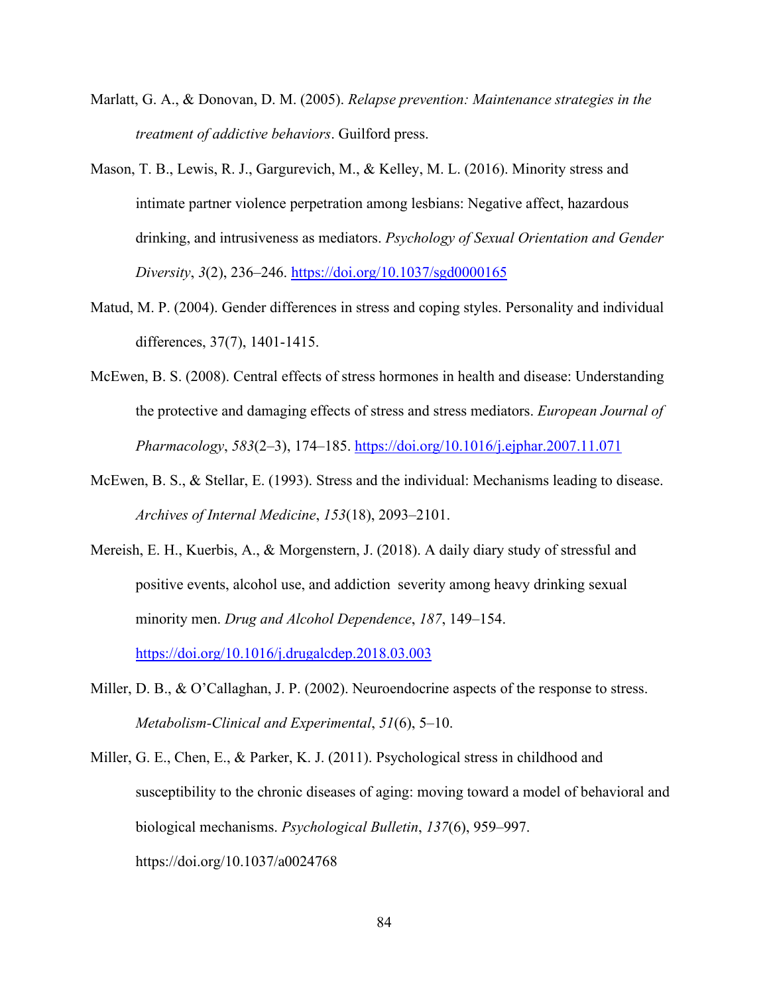- Marlatt, G. A., & Donovan, D. M. (2005). *Relapse prevention: Maintenance strategies in the treatment of addictive behaviors*. Guilford press.
- Mason, T. B., Lewis, R. J., Gargurevich, M., & Kelley, M. L. (2016). Minority stress and intimate partner violence perpetration among lesbians: Negative affect, hazardous drinking, and intrusiveness as mediators. *Psychology of Sexual Orientation and Gender Diversity*, *3*(2), 236–246.<https://doi.org/10.1037/sgd0000165>
- Matud, M. P. (2004). Gender differences in stress and coping styles. Personality and individual differences, 37(7), 1401-1415.
- McEwen, B. S. (2008). Central effects of stress hormones in health and disease: Understanding the protective and damaging effects of stress and stress mediators. *European Journal of Pharmacology*, *583*(2–3), 174–185.<https://doi.org/10.1016/j.ejphar.2007.11.071>
- McEwen, B. S., & Stellar, E. (1993). Stress and the individual: Mechanisms leading to disease. *Archives of Internal Medicine*, *153*(18), 2093–2101.
- Mereish, E. H., Kuerbis, A., & Morgenstern, J. (2018). A daily diary study of stressful and positive events, alcohol use, and addiction severity among heavy drinking sexual minority men. *Drug and Alcohol Dependence*, *187*, 149–154. <https://doi.org/10.1016/j.drugalcdep.2018.03.003>
- Miller, D. B., & O'Callaghan, J. P. (2002). Neuroendocrine aspects of the response to stress. *Metabolism-Clinical and Experimental*, *51*(6), 5–10.
- Miller, G. E., Chen, E., & Parker, K. J. (2011). Psychological stress in childhood and susceptibility to the chronic diseases of aging: moving toward a model of behavioral and biological mechanisms. *Psychological Bulletin*, *137*(6), 959–997. https://doi.org/10.1037/a0024768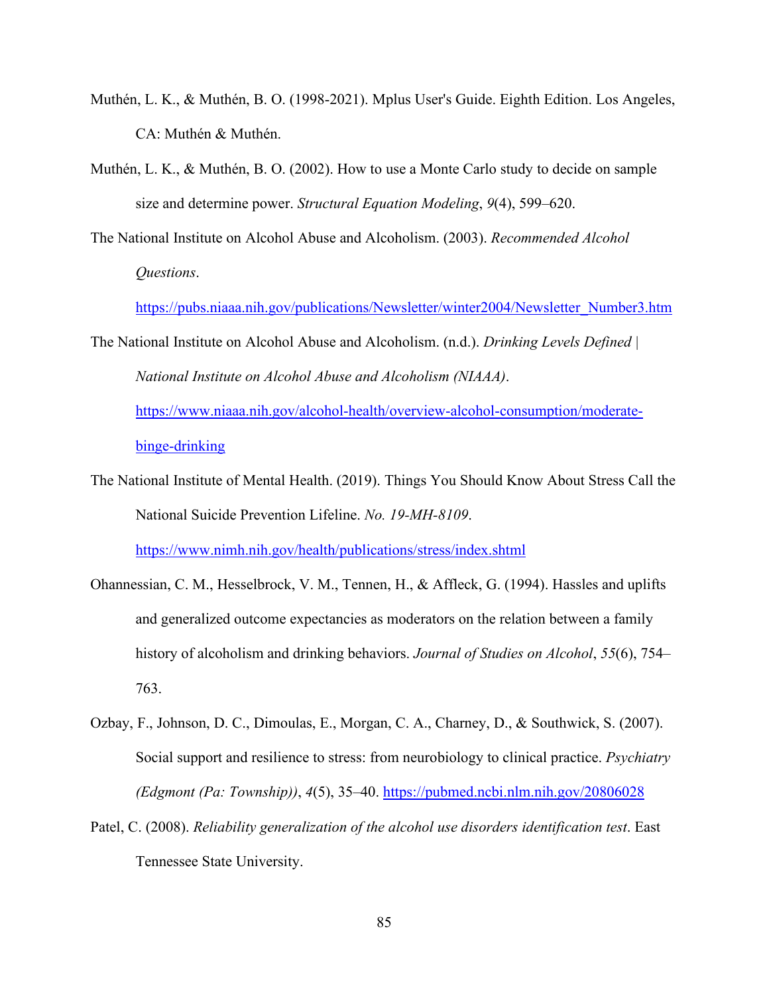- Muthén, L. K., & Muthén, B. O. (1998-2021). Mplus User's Guide. Eighth Edition. Los Angeles, CA: Muthén & Muthén.
- Muthén, L. K., & Muthén, B. O. (2002). How to use a Monte Carlo study to decide on sample size and determine power. *Structural Equation Modeling*, *9*(4), 599–620.

The National Institute on Alcohol Abuse and Alcoholism. (2003). *Recommended Alcohol Questions*.

[https://pubs.niaaa.nih.gov/publications/Newsletter/winter2004/Newsletter\\_Number3.htm](https://pubs.niaaa.nih.gov/publications/Newsletter/winter2004/Newsletter_Number3.htm)

The National Institute on Alcohol Abuse and Alcoholism. (n.d.). *Drinking Levels Defined | National Institute on Alcohol Abuse and Alcoholism (NIAAA)*. [https://www.niaaa.nih.gov/alcohol-health/overview-alcohol-consumption/moderate-](https://www.niaaa.nih.gov/alcohol-health/overview-alcohol-consumption/moderate-binge-drinking)

[binge-drinking](https://www.niaaa.nih.gov/alcohol-health/overview-alcohol-consumption/moderate-binge-drinking)

- The National Institute of Mental Health. (2019). Things You Should Know About Stress Call the National Suicide Prevention Lifeline. *No. 19-MH-8109*. <https://www.nimh.nih.gov/health/publications/stress/index.shtml>
- Ohannessian, C. M., Hesselbrock, V. M., Tennen, H., & Affleck, G. (1994). Hassles and uplifts and generalized outcome expectancies as moderators on the relation between a family history of alcoholism and drinking behaviors. *Journal of Studies on Alcohol*, *55*(6), 754– 763.
- Ozbay, F., Johnson, D. C., Dimoulas, E., Morgan, C. A., Charney, D., & Southwick, S. (2007). Social support and resilience to stress: from neurobiology to clinical practice. *Psychiatry (Edgmont (Pa: Township))*, *4*(5), 35–40.<https://pubmed.ncbi.nlm.nih.gov/20806028>
- Patel, C. (2008). *Reliability generalization of the alcohol use disorders identification test*. East Tennessee State University.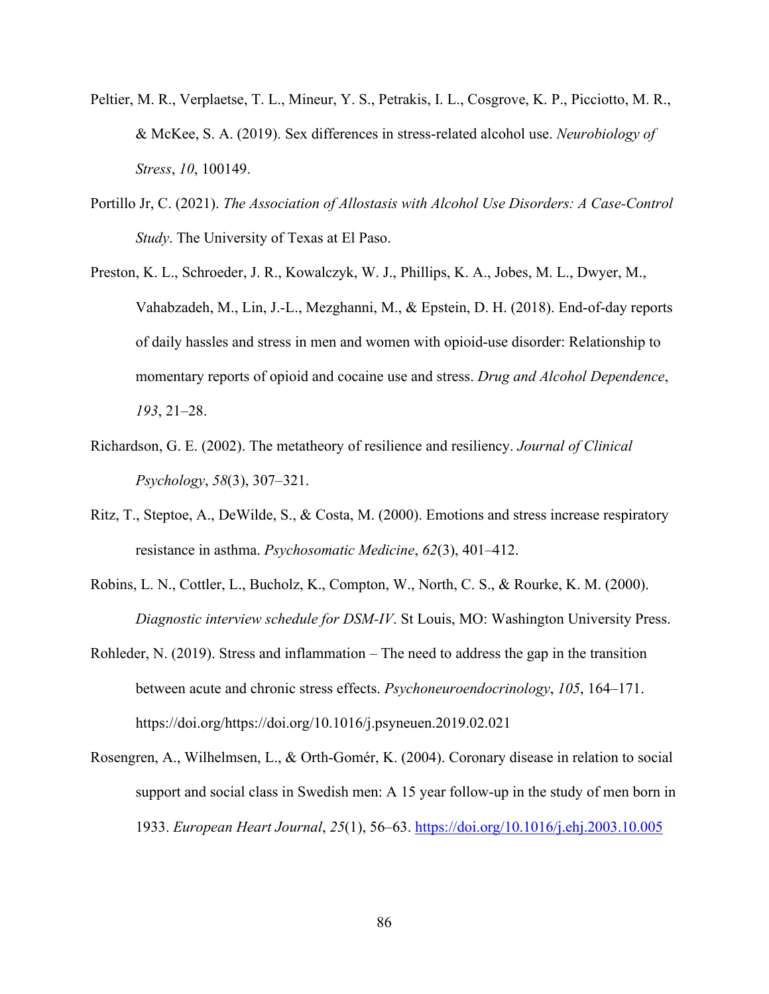- Peltier, M. R., Verplaetse, T. L., Mineur, Y. S., Petrakis, I. L., Cosgrove, K. P., Picciotto, M. R., & McKee, S. A. (2019). Sex differences in stress-related alcohol use. *Neurobiology of Stress*, *10*, 100149.
- Portillo Jr, C. (2021). *The Association of Allostasis with Alcohol Use Disorders: A Case-Control Study*. The University of Texas at El Paso.
- Preston, K. L., Schroeder, J. R., Kowalczyk, W. J., Phillips, K. A., Jobes, M. L., Dwyer, M., Vahabzadeh, M., Lin, J.-L., Mezghanni, M., & Epstein, D. H. (2018). End-of-day reports of daily hassles and stress in men and women with opioid-use disorder: Relationship to momentary reports of opioid and cocaine use and stress. *Drug and Alcohol Dependence*, *193*, 21–28.
- Richardson, G. E. (2002). The metatheory of resilience and resiliency. *Journal of Clinical Psychology*, *58*(3), 307–321.
- Ritz, T., Steptoe, A., DeWilde, S., & Costa, M. (2000). Emotions and stress increase respiratory resistance in asthma. *Psychosomatic Medicine*, *62*(3), 401–412.
- Robins, L. N., Cottler, L., Bucholz, K., Compton, W., North, C. S., & Rourke, K. M. (2000). *Diagnostic interview schedule for DSM-IV*. St Louis, MO: Washington University Press.
- Rohleder, N. (2019). Stress and inflammation The need to address the gap in the transition between acute and chronic stress effects. *Psychoneuroendocrinology*, *105*, 164–171. https://doi.org/https://doi.org/10.1016/j.psyneuen.2019.02.021
- Rosengren, A., Wilhelmsen, L., & Orth-Gomér, K. (2004). Coronary disease in relation to social support and social class in Swedish men: A 15 year follow-up in the study of men born in 1933. *European Heart Journal*, *25*(1), 56–63.<https://doi.org/10.1016/j.ehj.2003.10.005>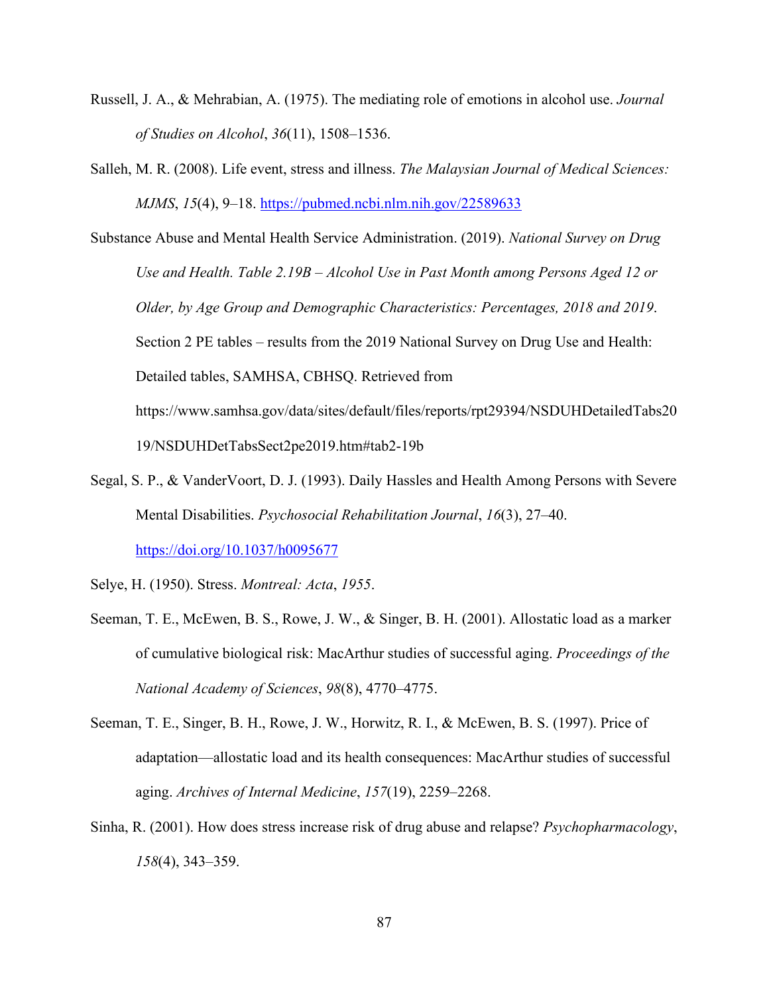- Russell, J. A., & Mehrabian, A. (1975). The mediating role of emotions in alcohol use. *Journal of Studies on Alcohol*, *36*(11), 1508–1536.
- Salleh, M. R. (2008). Life event, stress and illness. *The Malaysian Journal of Medical Sciences: MJMS*, *15*(4), 9–18.<https://pubmed.ncbi.nlm.nih.gov/22589633>

Substance Abuse and Mental Health Service Administration. (2019). *National Survey on Drug Use and Health. Table 2.19B – Alcohol Use in Past Month among Persons Aged 12 or Older, by Age Group and Demographic Characteristics: Percentages, 2018 and 2019*. Section 2 PE tables – results from the 2019 National Survey on Drug Use and Health: Detailed tables, SAMHSA, CBHSQ. Retrieved from https://www.samhsa.gov/data/sites/default/files/reports/rpt29394/NSDUHDetailedTabs20 19/NSDUHDetTabsSect2pe2019.htm#tab2-19b

Segal, S. P., & VanderVoort, D. J. (1993). Daily Hassles and Health Among Persons with Severe Mental Disabilities. *Psychosocial Rehabilitation Journal*, *16*(3), 27–40. <https://doi.org/10.1037/h0095677>

Selye, H. (1950). Stress. *Montreal: Acta*, *1955*.

- Seeman, T. E., McEwen, B. S., Rowe, J. W., & Singer, B. H. (2001). Allostatic load as a marker of cumulative biological risk: MacArthur studies of successful aging. *Proceedings of the National Academy of Sciences*, *98*(8), 4770–4775.
- Seeman, T. E., Singer, B. H., Rowe, J. W., Horwitz, R. I., & McEwen, B. S. (1997). Price of adaptation—allostatic load and its health consequences: MacArthur studies of successful aging. *Archives of Internal Medicine*, *157*(19), 2259–2268.
- Sinha, R. (2001). How does stress increase risk of drug abuse and relapse? *Psychopharmacology*, *158*(4), 343–359.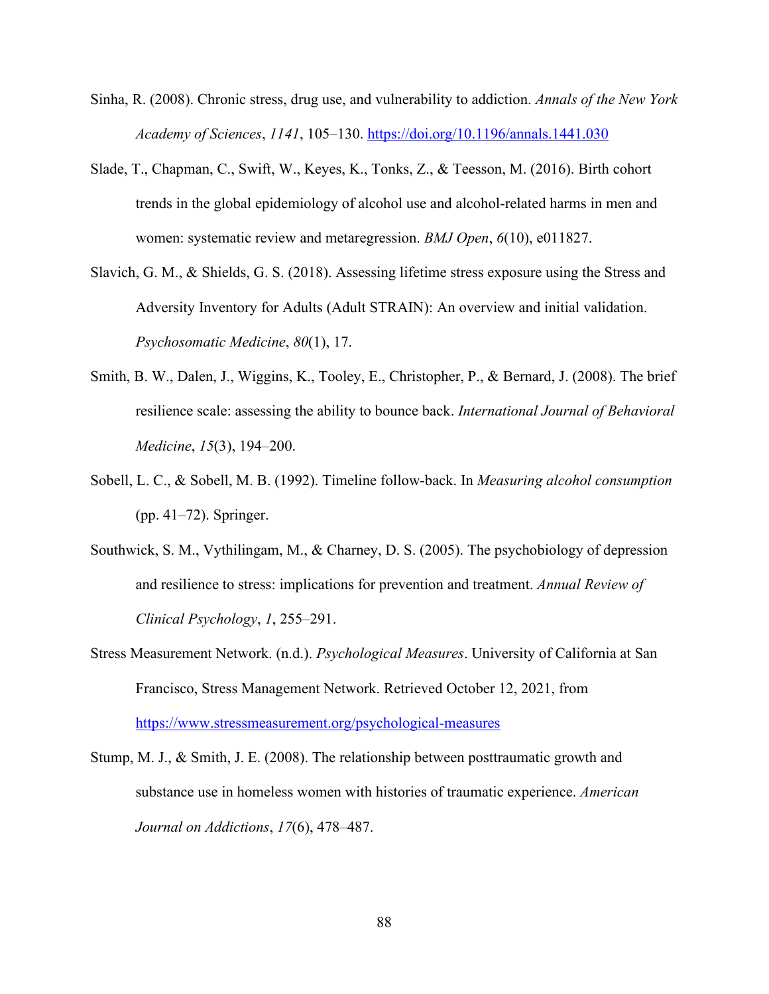- Sinha, R. (2008). Chronic stress, drug use, and vulnerability to addiction. *Annals of the New York Academy of Sciences*, *1141*, 105–130.<https://doi.org/10.1196/annals.1441.030>
- Slade, T., Chapman, C., Swift, W., Keyes, K., Tonks, Z., & Teesson, M. (2016). Birth cohort trends in the global epidemiology of alcohol use and alcohol-related harms in men and women: systematic review and metaregression. *BMJ Open*, *6*(10), e011827.
- Slavich, G. M., & Shields, G. S. (2018). Assessing lifetime stress exposure using the Stress and Adversity Inventory for Adults (Adult STRAIN): An overview and initial validation. *Psychosomatic Medicine*, *80*(1), 17.
- Smith, B. W., Dalen, J., Wiggins, K., Tooley, E., Christopher, P., & Bernard, J. (2008). The brief resilience scale: assessing the ability to bounce back. *International Journal of Behavioral Medicine*, *15*(3), 194–200.
- Sobell, L. C., & Sobell, M. B. (1992). Timeline follow-back. In *Measuring alcohol consumption* (pp. 41–72). Springer.
- Southwick, S. M., Vythilingam, M., & Charney, D. S. (2005). The psychobiology of depression and resilience to stress: implications for prevention and treatment. *Annual Review of Clinical Psychology*, *1*, 255–291.
- Stress Measurement Network. (n.d.). *Psychological Measures*. University of California at San Francisco, Stress Management Network. Retrieved October 12, 2021, from <https://www.stressmeasurement.org/psychological-measures>
- Stump, M. J., & Smith, J. E. (2008). The relationship between posttraumatic growth and substance use in homeless women with histories of traumatic experience. *American Journal on Addictions*, *17*(6), 478–487.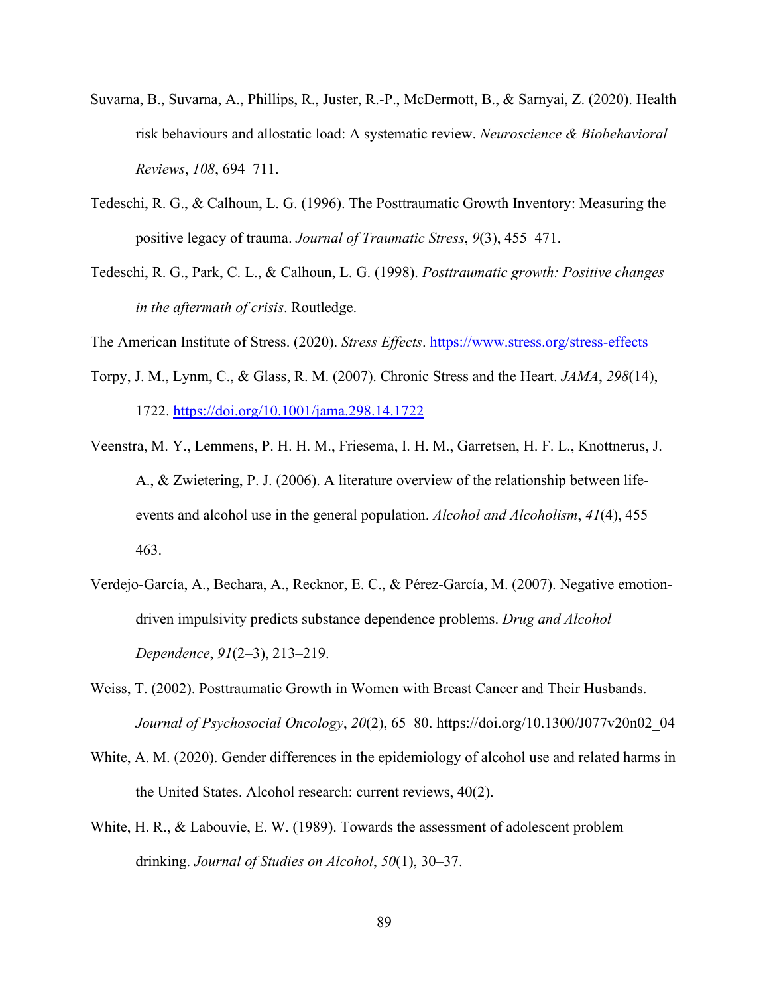- Suvarna, B., Suvarna, A., Phillips, R., Juster, R.-P., McDermott, B., & Sarnyai, Z. (2020). Health risk behaviours and allostatic load: A systematic review. *Neuroscience & Biobehavioral Reviews*, *108*, 694–711.
- Tedeschi, R. G., & Calhoun, L. G. (1996). The Posttraumatic Growth Inventory: Measuring the positive legacy of trauma. *Journal of Traumatic Stress*, *9*(3), 455–471.
- Tedeschi, R. G., Park, C. L., & Calhoun, L. G. (1998). *Posttraumatic growth: Positive changes in the aftermath of crisis*. Routledge.

The American Institute of Stress. (2020). *Stress Effects*.<https://www.stress.org/stress-effects>

- Torpy, J. M., Lynm, C., & Glass, R. M. (2007). Chronic Stress and the Heart. *JAMA*, *298*(14), 1722.<https://doi.org/10.1001/jama.298.14.1722>
- Veenstra, M. Y., Lemmens, P. H. H. M., Friesema, I. H. M., Garretsen, H. F. L., Knottnerus, J. A., & Zwietering, P. J. (2006). A literature overview of the relationship between lifeevents and alcohol use in the general population. *Alcohol and Alcoholism*, *41*(4), 455– 463.
- Verdejo-García, A., Bechara, A., Recknor, E. C., & Pérez-García, M. (2007). Negative emotiondriven impulsivity predicts substance dependence problems. *Drug and Alcohol Dependence*, *91*(2–3), 213–219.
- Weiss, T. (2002). Posttraumatic Growth in Women with Breast Cancer and Their Husbands. *Journal of Psychosocial Oncology*, *20*(2), 65–80. https://doi.org/10.1300/J077v20n02\_04
- White, A. M. (2020). Gender differences in the epidemiology of alcohol use and related harms in the United States. Alcohol research: current reviews, 40(2).
- White, H. R., & Labouvie, E. W. (1989). Towards the assessment of adolescent problem drinking. *Journal of Studies on Alcohol*, *50*(1), 30–37.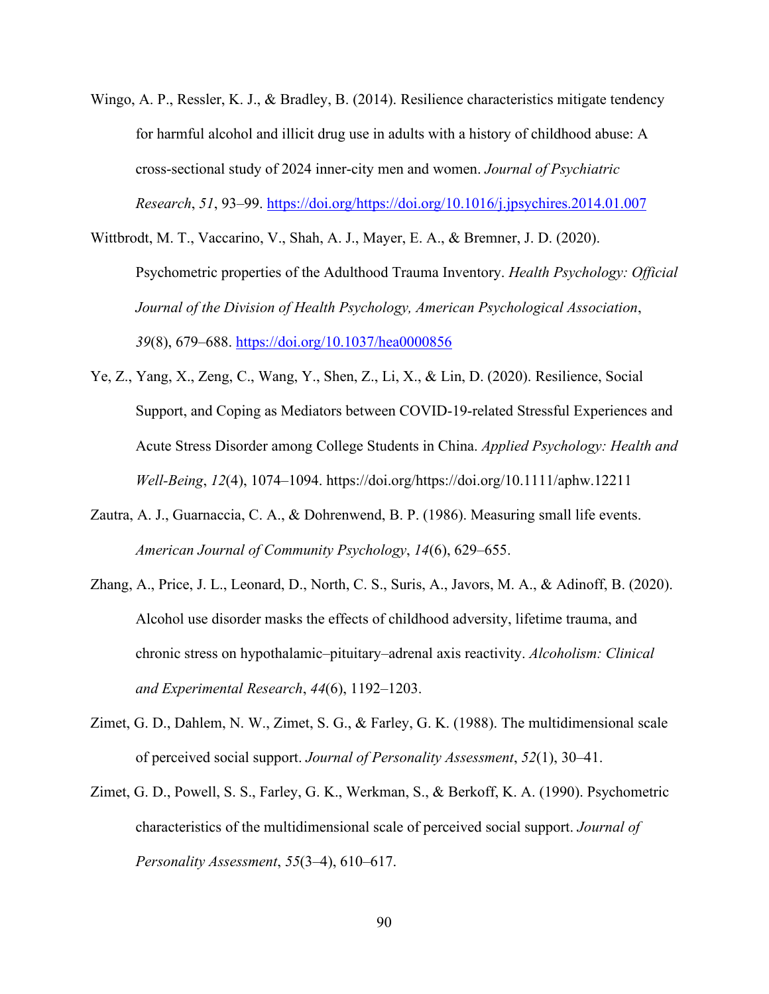- Wingo, A. P., Ressler, K. J., & Bradley, B. (2014). Resilience characteristics mitigate tendency for harmful alcohol and illicit drug use in adults with a history of childhood abuse: A cross-sectional study of 2024 inner-city men and women. *Journal of Psychiatric Research*, *51*, 93–99. [https://doi.org/https://doi.org/10.1016/j.jpsychires.2014.01.007](https://doi.org/https:/doi.org/10.1016/j.jpsychires.2014.01.007)
- Wittbrodt, M. T., Vaccarino, V., Shah, A. J., Mayer, E. A., & Bremner, J. D. (2020). Psychometric properties of the Adulthood Trauma Inventory. *Health Psychology: Official Journal of the Division of Health Psychology, American Psychological Association*, *39*(8), 679–688.<https://doi.org/10.1037/hea0000856>
- Ye, Z., Yang, X., Zeng, C., Wang, Y., Shen, Z., Li, X., & Lin, D. (2020). Resilience, Social Support, and Coping as Mediators between COVID-19-related Stressful Experiences and Acute Stress Disorder among College Students in China. *Applied Psychology: Health and Well-Being*, *12*(4), 1074–1094. https://doi.org/https://doi.org/10.1111/aphw.12211
- Zautra, A. J., Guarnaccia, C. A., & Dohrenwend, B. P. (1986). Measuring small life events. *American Journal of Community Psychology*, *14*(6), 629–655.
- Zhang, A., Price, J. L., Leonard, D., North, C. S., Suris, A., Javors, M. A., & Adinoff, B. (2020). Alcohol use disorder masks the effects of childhood adversity, lifetime trauma, and chronic stress on hypothalamic–pituitary–adrenal axis reactivity. *Alcoholism: Clinical and Experimental Research*, *44*(6), 1192–1203.
- Zimet, G. D., Dahlem, N. W., Zimet, S. G., & Farley, G. K. (1988). The multidimensional scale of perceived social support. *Journal of Personality Assessment*, *52*(1), 30–41.
- Zimet, G. D., Powell, S. S., Farley, G. K., Werkman, S., & Berkoff, K. A. (1990). Psychometric characteristics of the multidimensional scale of perceived social support. *Journal of Personality Assessment*, *55*(3–4), 610–617.